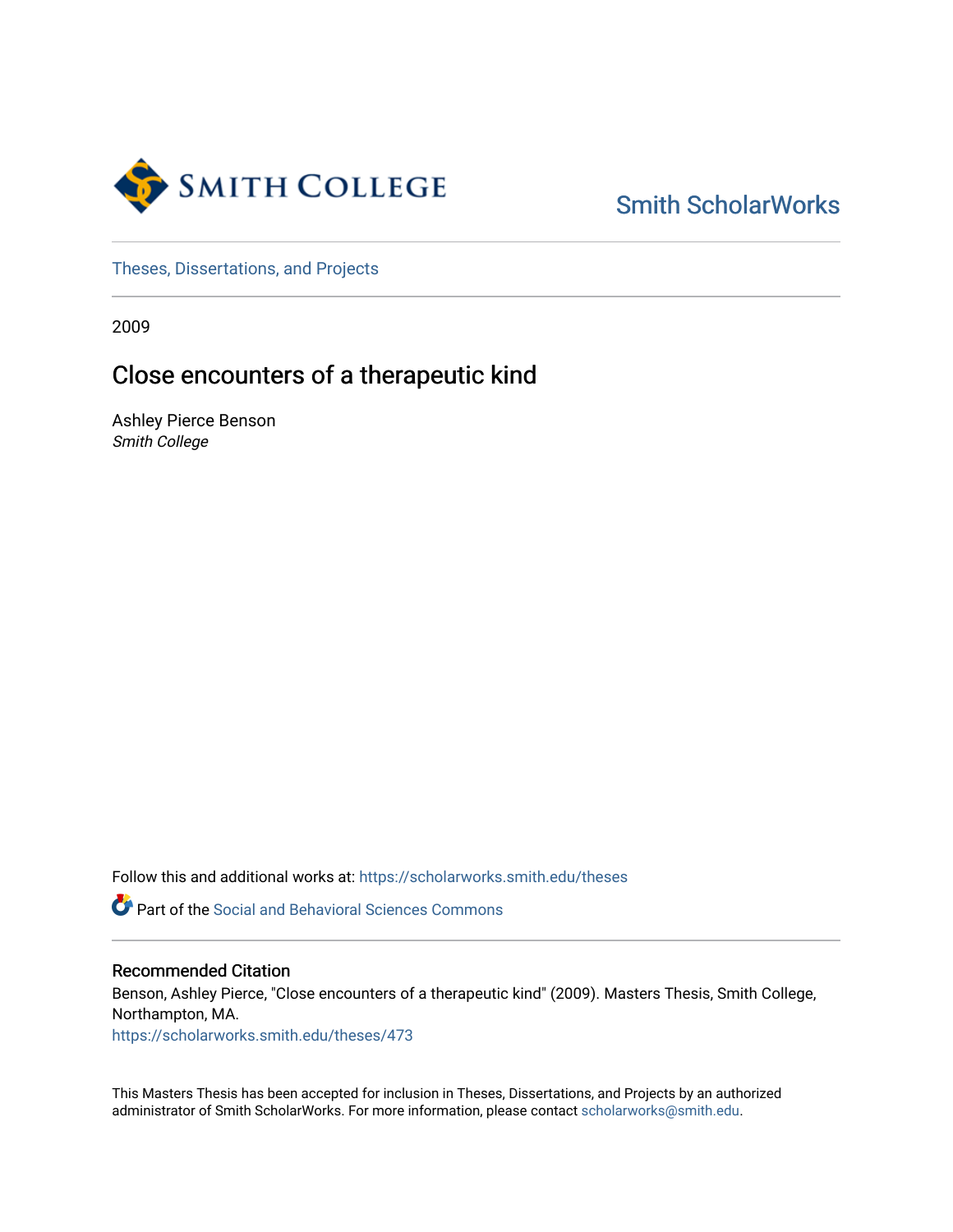

# [Smith ScholarWorks](https://scholarworks.smith.edu/)

[Theses, Dissertations, and Projects](https://scholarworks.smith.edu/theses) 

2009

# Close encounters of a therapeutic kind

Ashley Pierce Benson Smith College

Follow this and additional works at: [https://scholarworks.smith.edu/theses](https://scholarworks.smith.edu/theses?utm_source=scholarworks.smith.edu%2Ftheses%2F473&utm_medium=PDF&utm_campaign=PDFCoverPages) 

**P** Part of the Social and Behavioral Sciences Commons

# Recommended Citation

Benson, Ashley Pierce, "Close encounters of a therapeutic kind" (2009). Masters Thesis, Smith College, Northampton, MA.

[https://scholarworks.smith.edu/theses/473](https://scholarworks.smith.edu/theses/473?utm_source=scholarworks.smith.edu%2Ftheses%2F473&utm_medium=PDF&utm_campaign=PDFCoverPages) 

This Masters Thesis has been accepted for inclusion in Theses, Dissertations, and Projects by an authorized administrator of Smith ScholarWorks. For more information, please contact [scholarworks@smith.edu](mailto:scholarworks@smith.edu).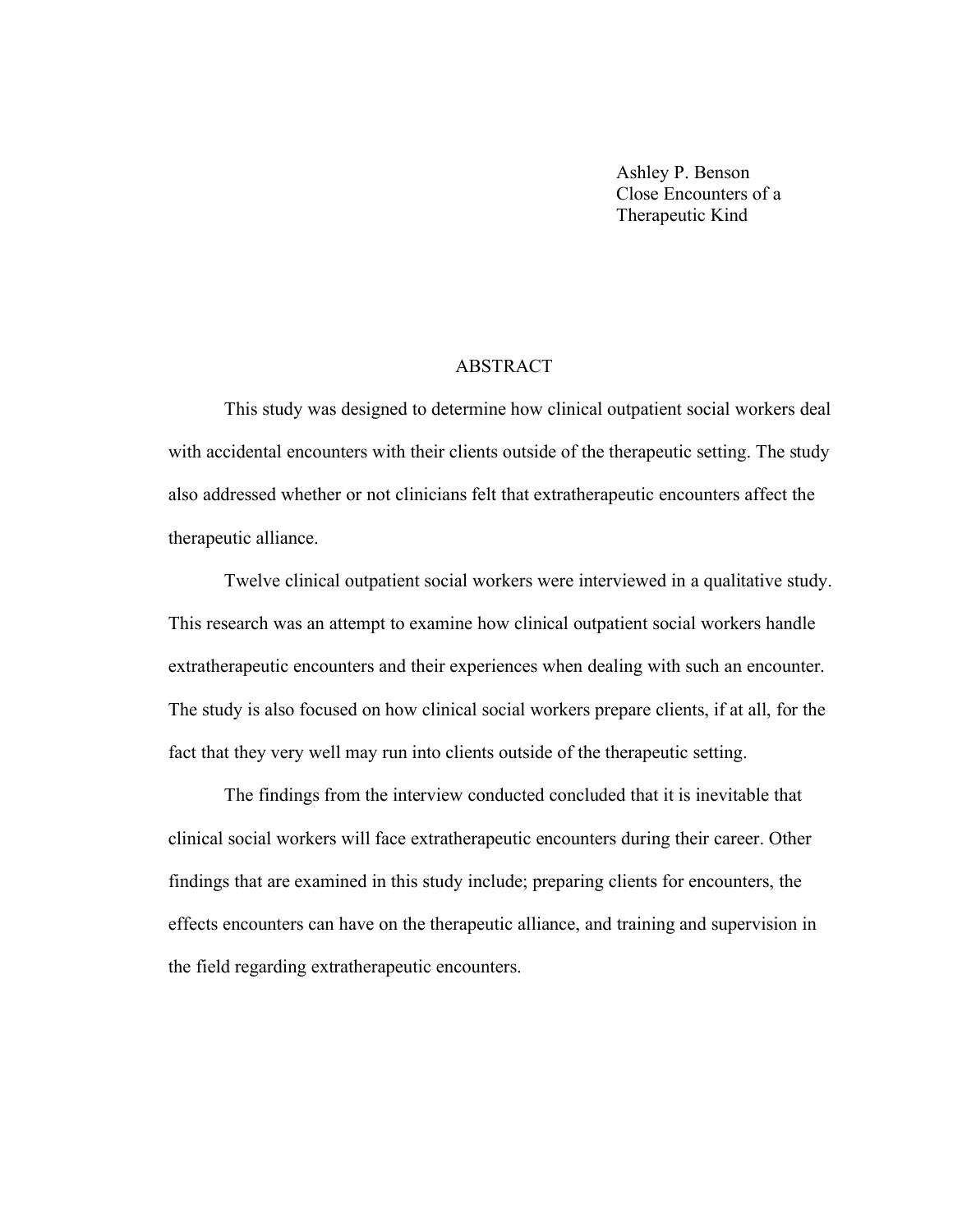Ashley P. Benson Close Encounters of a Therapeutic Kind

# ABSTRACT

This study was designed to determine how clinical outpatient social workers deal with accidental encounters with their clients outside of the therapeutic setting. The study also addressed whether or not clinicians felt that extratherapeutic encounters affect the therapeutic alliance.

Twelve clinical outpatient social workers were interviewed in a qualitative study. This research was an attempt to examine how clinical outpatient social workers handle extratherapeutic encounters and their experiences when dealing with such an encounter. The study is also focused on how clinical social workers prepare clients, if at all, for the fact that they very well may run into clients outside of the therapeutic setting.

The findings from the interview conducted concluded that it is inevitable that clinical social workers will face extratherapeutic encounters during their career. Other findings that are examined in this study include; preparing clients for encounters, the effects encounters can have on the therapeutic alliance, and training and supervision in the field regarding extratherapeutic encounters.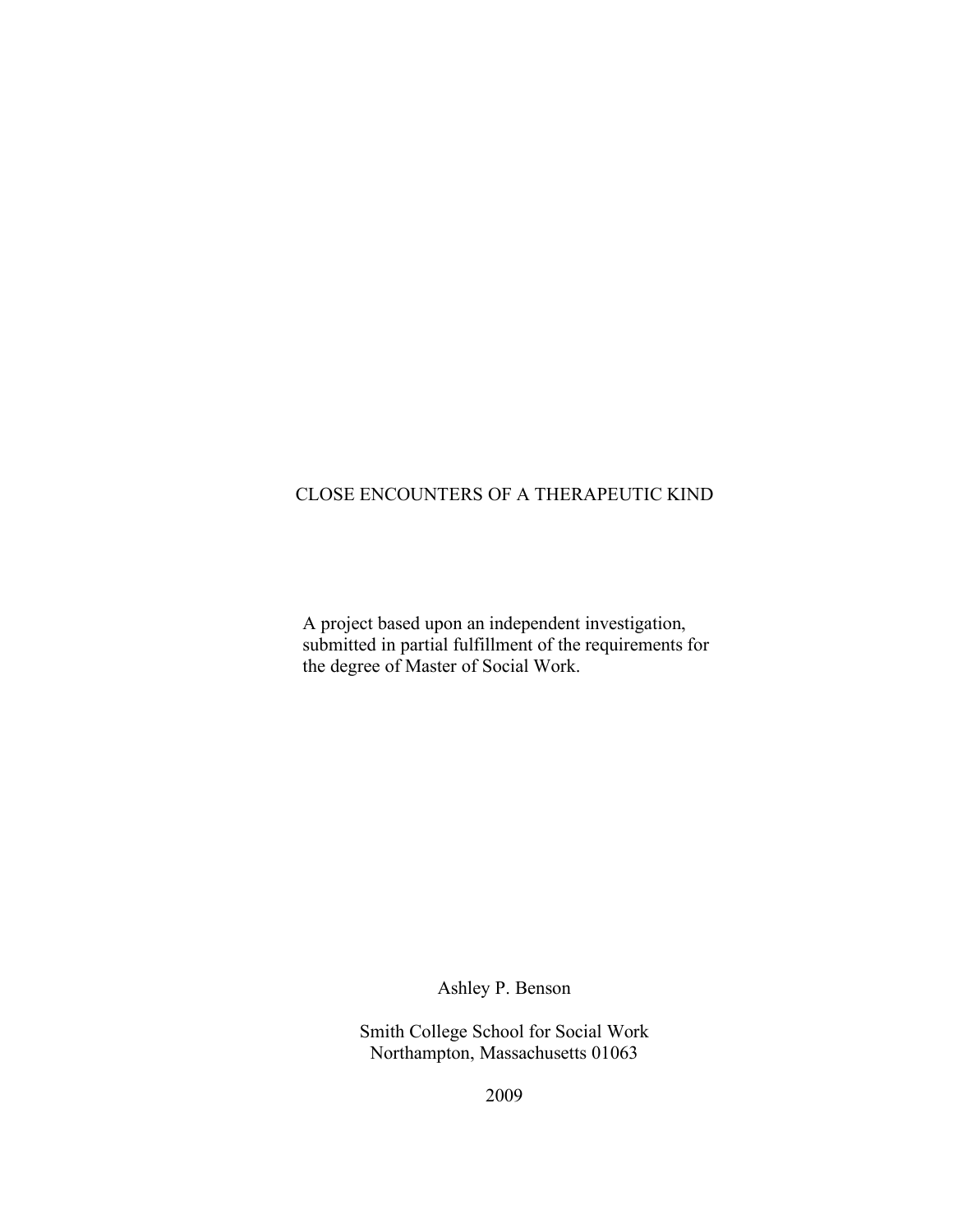# CLOSE ENCOUNTERS OF A THERAPEUTIC KIND

A project based upon an independent investigation, submitted in partial fulfillment of the requirements for the degree of Master of Social Work.

Ashley P. Benson

Smith College School for Social Work Northampton, Massachusetts 01063

2009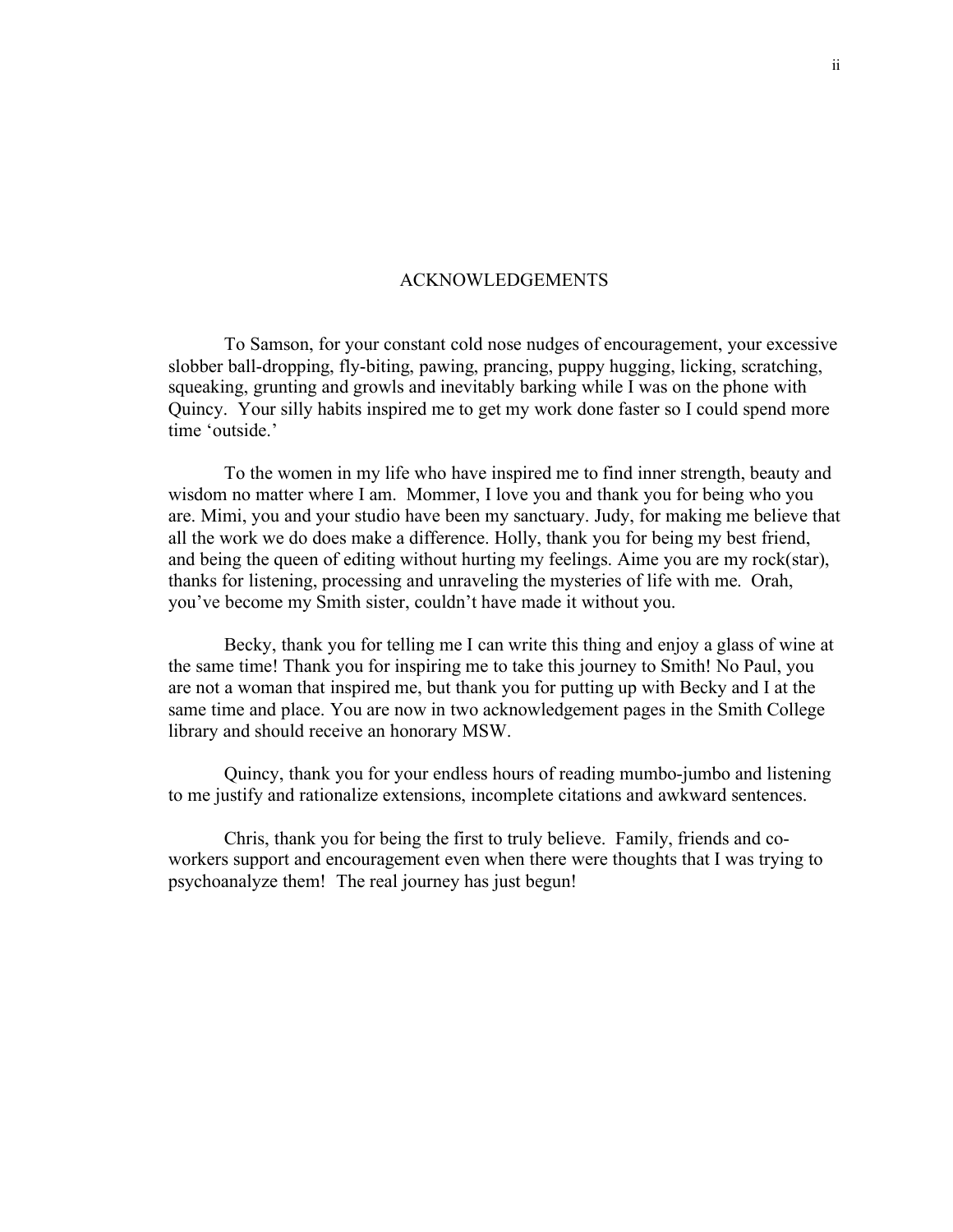#### ACKNOWLEDGEMENTS

To Samson, for your constant cold nose nudges of encouragement, your excessive slobber ball-dropping, fly-biting, pawing, prancing, puppy hugging, licking, scratching, squeaking, grunting and growls and inevitably barking while I was on the phone with Quincy. Your silly habits inspired me to get my work done faster so I could spend more time 'outside.'

To the women in my life who have inspired me to find inner strength, beauty and wisdom no matter where I am. Mommer, I love you and thank you for being who you are. Mimi, you and your studio have been my sanctuary. Judy, for making me believe that all the work we do does make a difference. Holly, thank you for being my best friend, and being the queen of editing without hurting my feelings. Aime you are my rock(star), thanks for listening, processing and unraveling the mysteries of life with me. Orah, you've become my Smith sister, couldn't have made it without you.

Becky, thank you for telling me I can write this thing and enjoy a glass of wine at the same time! Thank you for inspiring me to take this journey to Smith! No Paul, you are not a woman that inspired me, but thank you for putting up with Becky and I at the same time and place. You are now in two acknowledgement pages in the Smith College library and should receive an honorary MSW.

Quincy, thank you for your endless hours of reading mumbo-jumbo and listening to me justify and rationalize extensions, incomplete citations and awkward sentences.

Chris, thank you for being the first to truly believe. Family, friends and coworkers support and encouragement even when there were thoughts that I was trying to psychoanalyze them! The real journey has just begun!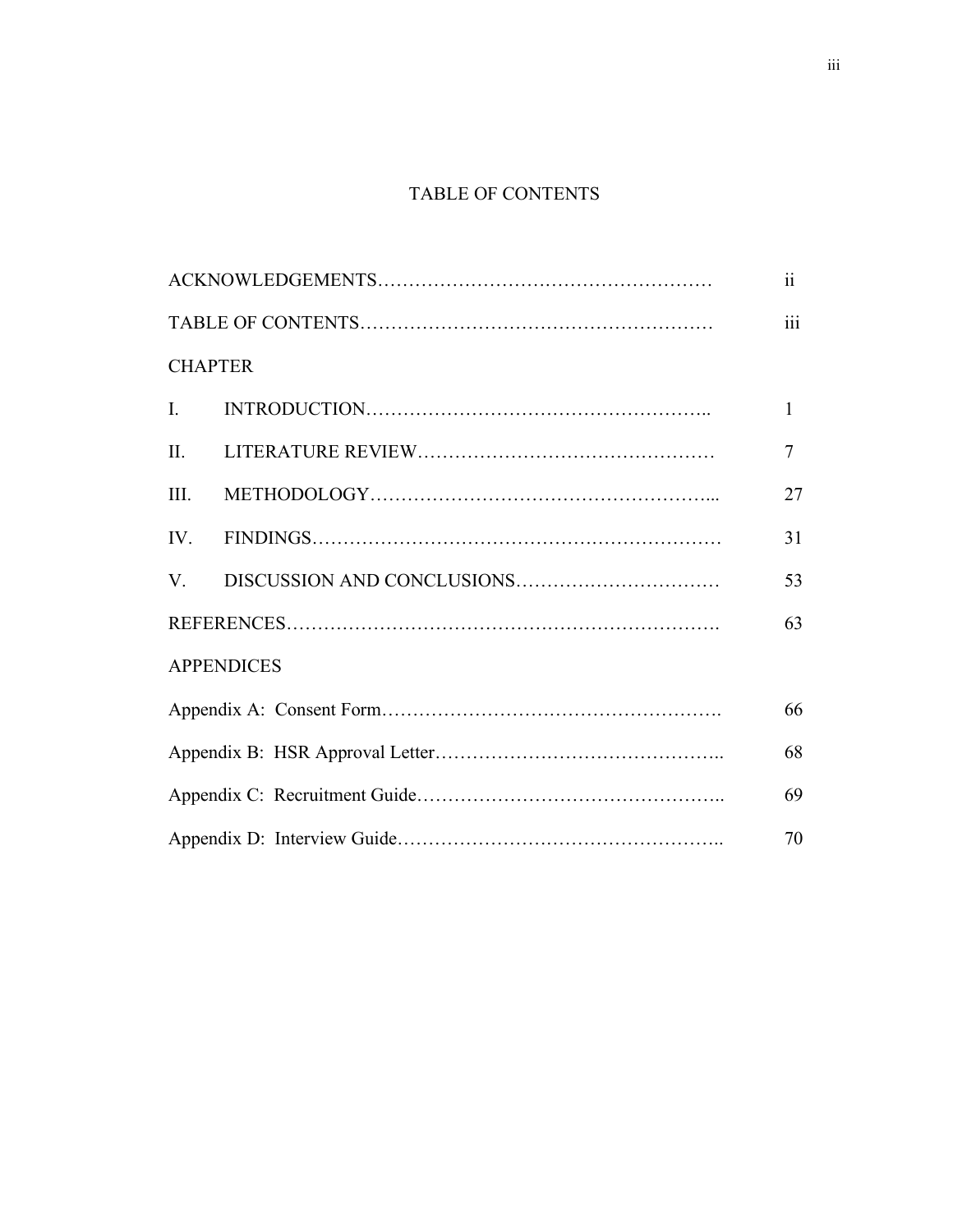# TABLE OF CONTENTS

|                   | $\mathbf{ii}$           |
|-------------------|-------------------------|
|                   | $\overline{\text{iii}}$ |
| <b>CHAPTER</b>    |                         |
| $\mathbf{I}$ .    | $\mathbf{1}$            |
| II.               | $\overline{7}$          |
| III.              | 27                      |
| IV.               | 31                      |
| V.                | 53                      |
|                   | 63                      |
| <b>APPENDICES</b> |                         |
|                   | 66                      |
|                   | 68                      |
|                   | 69                      |
|                   | 70                      |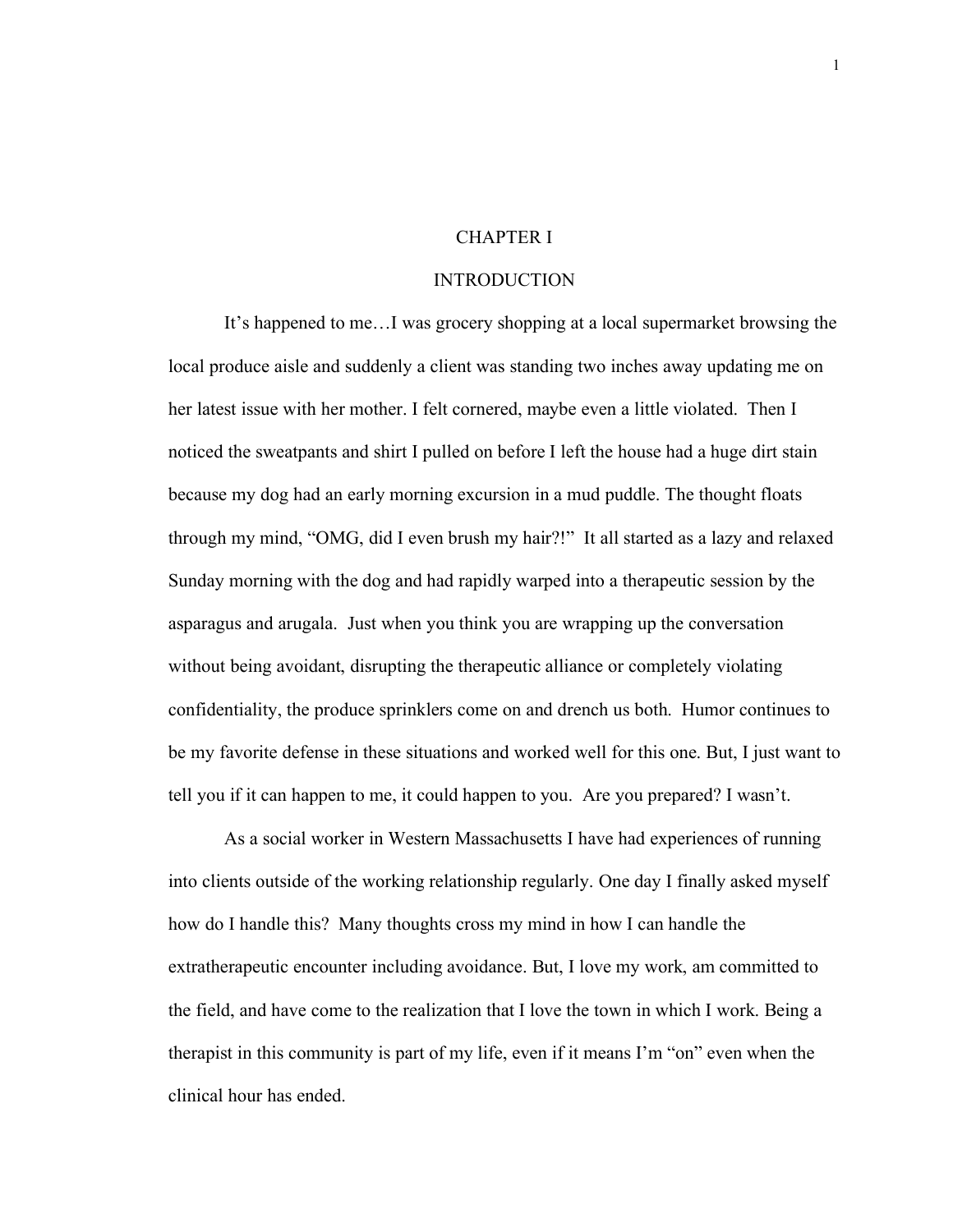### CHAPTER I

#### INTRODUCTION

It's happened to me…I was grocery shopping at a local supermarket browsing the local produce aisle and suddenly a client was standing two inches away updating me on her latest issue with her mother. I felt cornered, maybe even a little violated. Then I noticed the sweatpants and shirt I pulled on before I left the house had a huge dirt stain because my dog had an early morning excursion in a mud puddle. The thought floats through my mind, "OMG, did I even brush my hair?!" It all started as a lazy and relaxed Sunday morning with the dog and had rapidly warped into a therapeutic session by the asparagus and arugala. Just when you think you are wrapping up the conversation without being avoidant, disrupting the therapeutic alliance or completely violating confidentiality, the produce sprinklers come on and drench us both. Humor continues to be my favorite defense in these situations and worked well for this one. But, I just want to tell you if it can happen to me, it could happen to you. Are you prepared? I wasn't.

As a social worker in Western Massachusetts I have had experiences of running into clients outside of the working relationship regularly. One day I finally asked myself how do I handle this? Many thoughts cross my mind in how I can handle the extratherapeutic encounter including avoidance. But, I love my work, am committed to the field, and have come to the realization that I love the town in which I work. Being a therapist in this community is part of my life, even if it means I'm "on" even when the clinical hour has ended.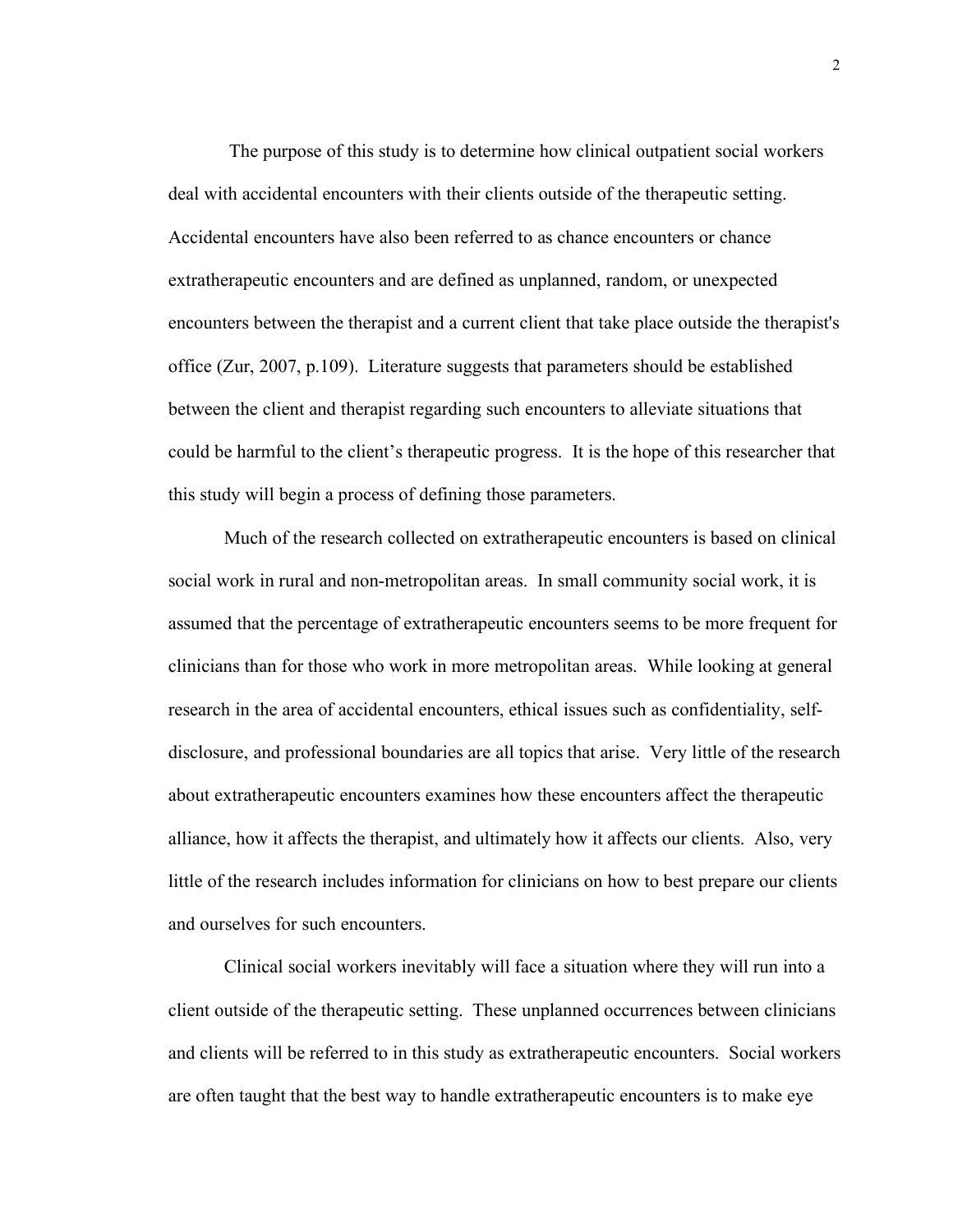The purpose of this study is to determine how clinical outpatient social workers deal with accidental encounters with their clients outside of the therapeutic setting. Accidental encounters have also been referred to as chance encounters or chance extratherapeutic encounters and are defined as unplanned, random, or unexpected encounters between the therapist and a current client that take place outside the therapist's office (Zur, 2007, p.109). Literature suggests that parameters should be established between the client and therapist regarding such encounters to alleviate situations that could be harmful to the client's therapeutic progress. It is the hope of this researcher that this study will begin a process of defining those parameters.

Much of the research collected on extratherapeutic encounters is based on clinical social work in rural and non-metropolitan areas. In small community social work, it is assumed that the percentage of extratherapeutic encounters seems to be more frequent for clinicians than for those who work in more metropolitan areas. While looking at general research in the area of accidental encounters, ethical issues such as confidentiality, selfdisclosure, and professional boundaries are all topics that arise. Very little of the research about extratherapeutic encounters examines how these encounters affect the therapeutic alliance, how it affects the therapist, and ultimately how it affects our clients. Also, very little of the research includes information for clinicians on how to best prepare our clients and ourselves for such encounters.

Clinical social workers inevitably will face a situation where they will run into a client outside of the therapeutic setting. These unplanned occurrences between clinicians and clients will be referred to in this study as extratherapeutic encounters. Social workers are often taught that the best way to handle extratherapeutic encounters is to make eye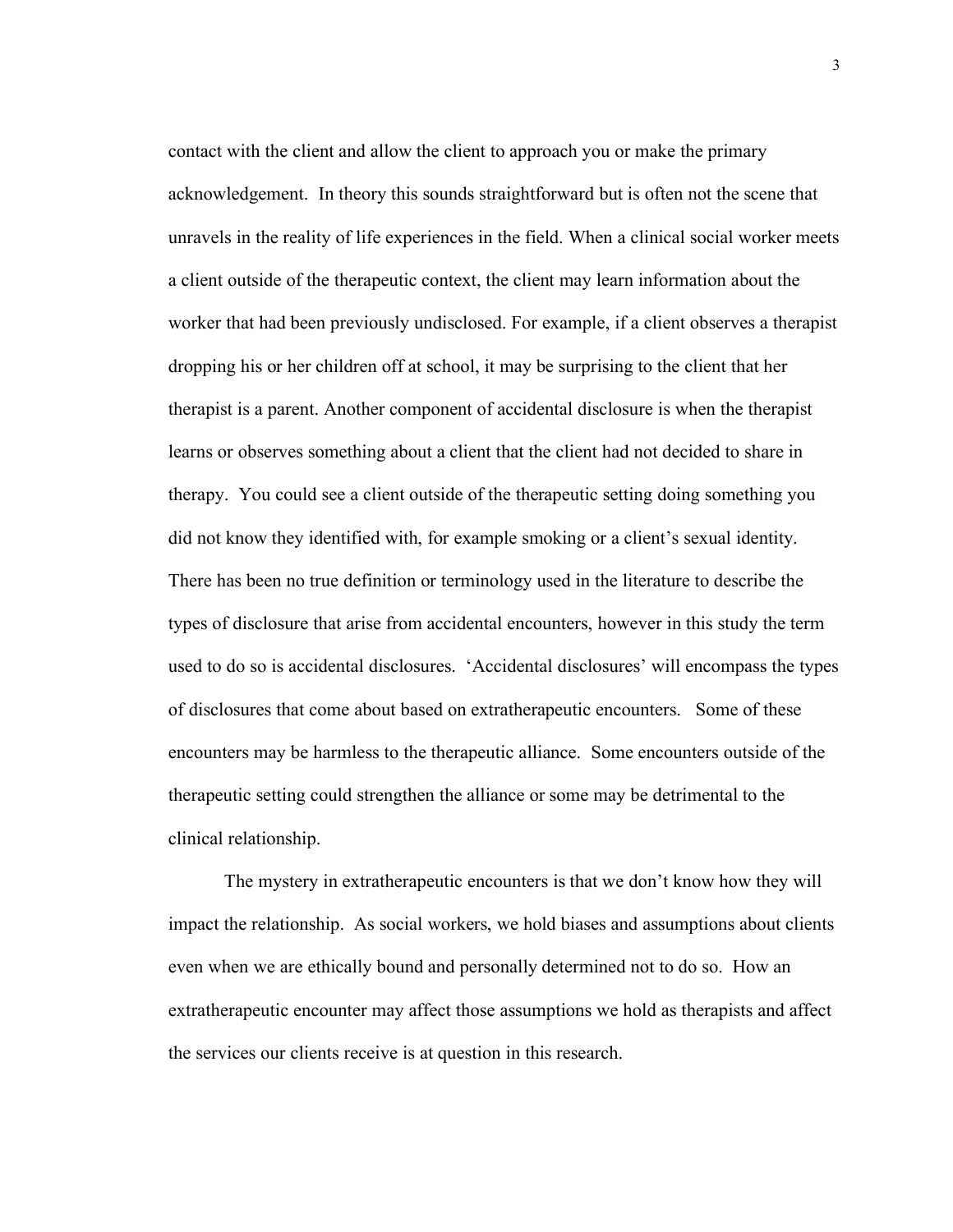contact with the client and allow the client to approach you or make the primary acknowledgement. In theory this sounds straightforward but is often not the scene that unravels in the reality of life experiences in the field. When a clinical social worker meets a client outside of the therapeutic context, the client may learn information about the worker that had been previously undisclosed. For example, if a client observes a therapist dropping his or her children off at school, it may be surprising to the client that her therapist is a parent. Another component of accidental disclosure is when the therapist learns or observes something about a client that the client had not decided to share in therapy. You could see a client outside of the therapeutic setting doing something you did not know they identified with, for example smoking or a client's sexual identity. There has been no true definition or terminology used in the literature to describe the types of disclosure that arise from accidental encounters, however in this study the term used to do so is accidental disclosures. 'Accidental disclosures' will encompass the types of disclosures that come about based on extratherapeutic encounters. Some of these encounters may be harmless to the therapeutic alliance. Some encounters outside of the therapeutic setting could strengthen the alliance or some may be detrimental to the clinical relationship.

The mystery in extratherapeutic encounters is that we don't know how they will impact the relationship. As social workers, we hold biases and assumptions about clients even when we are ethically bound and personally determined not to do so. How an extratherapeutic encounter may affect those assumptions we hold as therapists and affect the services our clients receive is at question in this research.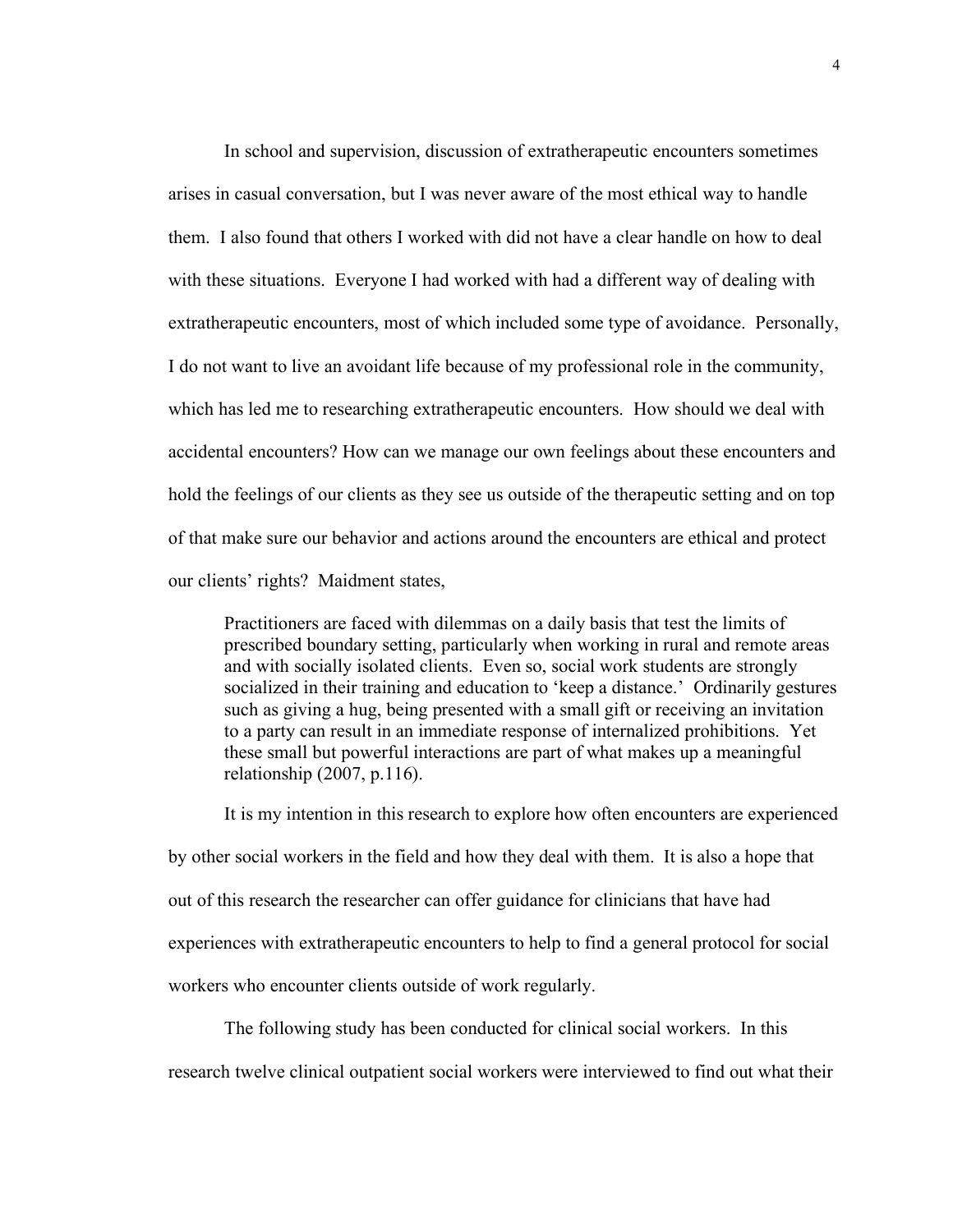In school and supervision, discussion of extratherapeutic encounters sometimes arises in casual conversation, but I was never aware of the most ethical way to handle them. I also found that others I worked with did not have a clear handle on how to deal with these situations. Everyone I had worked with had a different way of dealing with extratherapeutic encounters, most of which included some type of avoidance. Personally, I do not want to live an avoidant life because of my professional role in the community, which has led me to researching extratherapeutic encounters. How should we deal with accidental encounters? How can we manage our own feelings about these encounters and hold the feelings of our clients as they see us outside of the therapeutic setting and on top of that make sure our behavior and actions around the encounters are ethical and protect our clients' rights? Maidment states,

Practitioners are faced with dilemmas on a daily basis that test the limits of prescribed boundary setting, particularly when working in rural and remote areas and with socially isolated clients. Even so, social work students are strongly socialized in their training and education to 'keep a distance.' Ordinarily gestures such as giving a hug, being presented with a small gift or receiving an invitation to a party can result in an immediate response of internalized prohibitions. Yet these small but powerful interactions are part of what makes up a meaningful relationship (2007, p.116).

It is my intention in this research to explore how often encounters are experienced by other social workers in the field and how they deal with them. It is also a hope that out of this research the researcher can offer guidance for clinicians that have had experiences with extratherapeutic encounters to help to find a general protocol for social workers who encounter clients outside of work regularly.

The following study has been conducted for clinical social workers. In this research twelve clinical outpatient social workers were interviewed to find out what their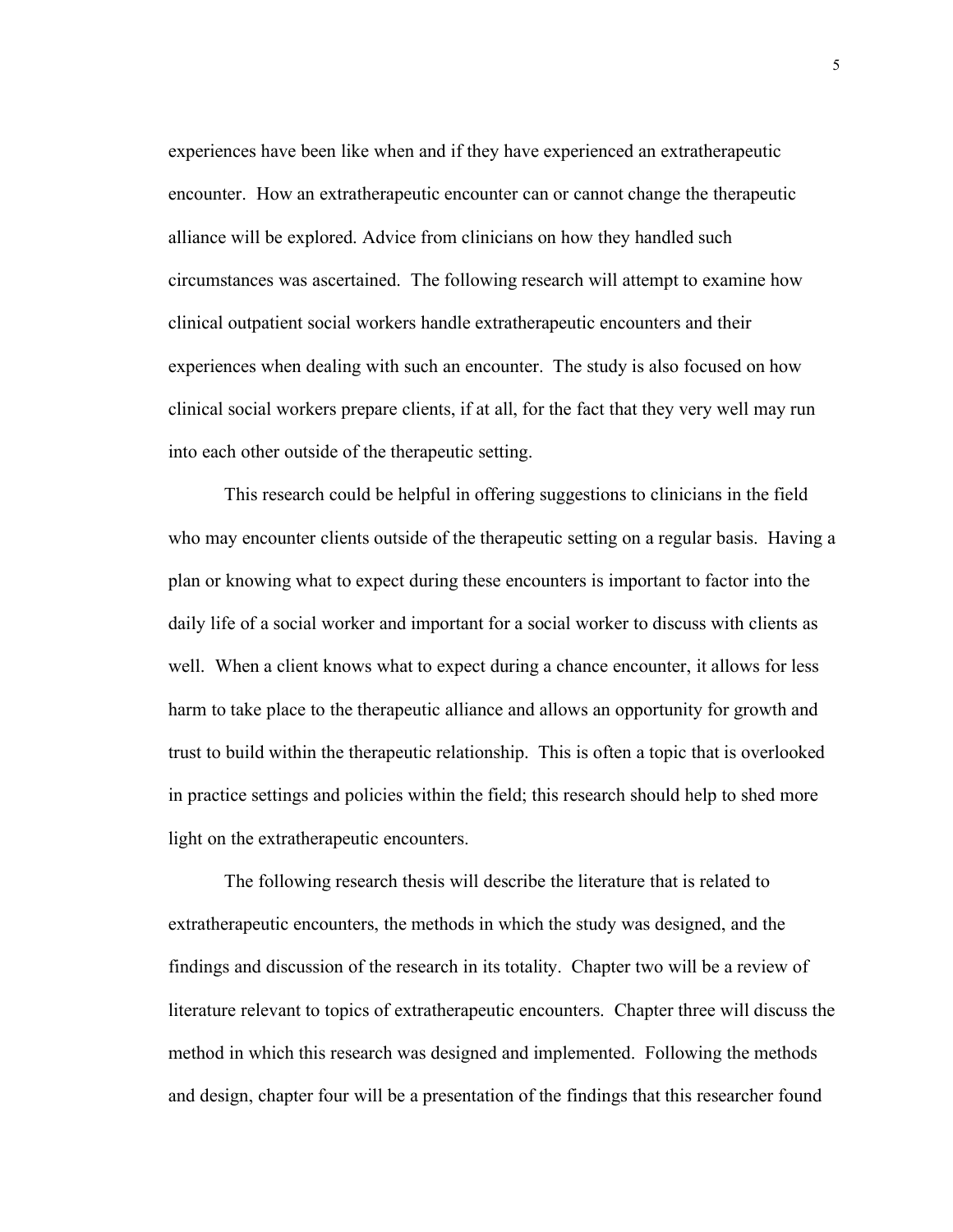experiences have been like when and if they have experienced an extratherapeutic encounter. How an extratherapeutic encounter can or cannot change the therapeutic alliance will be explored. Advice from clinicians on how they handled such circumstances was ascertained. The following research will attempt to examine how clinical outpatient social workers handle extratherapeutic encounters and their experiences when dealing with such an encounter. The study is also focused on how clinical social workers prepare clients, if at all, for the fact that they very well may run into each other outside of the therapeutic setting.

This research could be helpful in offering suggestions to clinicians in the field who may encounter clients outside of the therapeutic setting on a regular basis. Having a plan or knowing what to expect during these encounters is important to factor into the daily life of a social worker and important for a social worker to discuss with clients as well. When a client knows what to expect during a chance encounter, it allows for less harm to take place to the therapeutic alliance and allows an opportunity for growth and trust to build within the therapeutic relationship. This is often a topic that is overlooked in practice settings and policies within the field; this research should help to shed more light on the extratherapeutic encounters.

The following research thesis will describe the literature that is related to extratherapeutic encounters, the methods in which the study was designed, and the findings and discussion of the research in its totality. Chapter two will be a review of literature relevant to topics of extratherapeutic encounters. Chapter three will discuss the method in which this research was designed and implemented. Following the methods and design, chapter four will be a presentation of the findings that this researcher found

5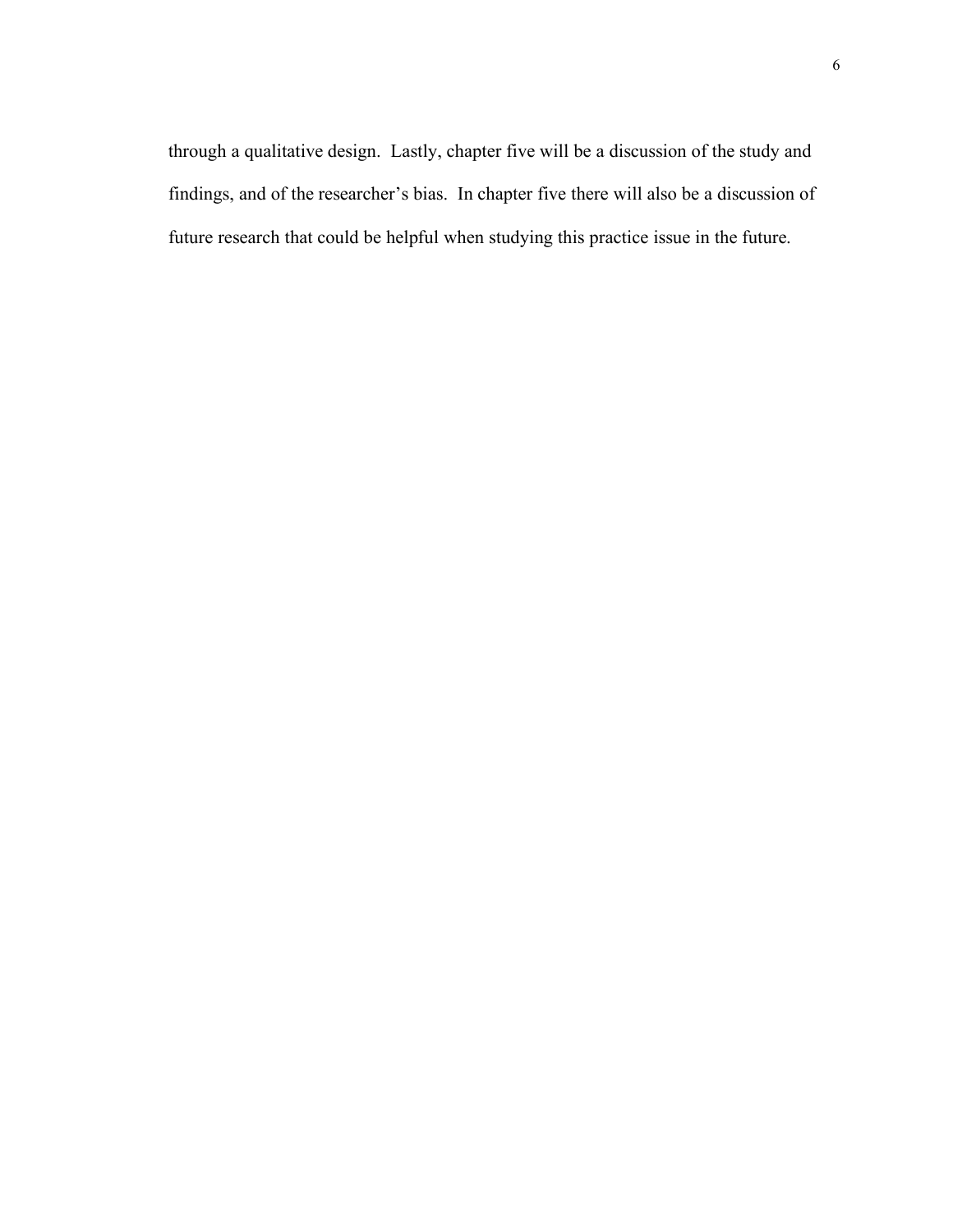through a qualitative design. Lastly, chapter five will be a discussion of the study and findings, and of the researcher's bias. In chapter five there will also be a discussion of future research that could be helpful when studying this practice issue in the future.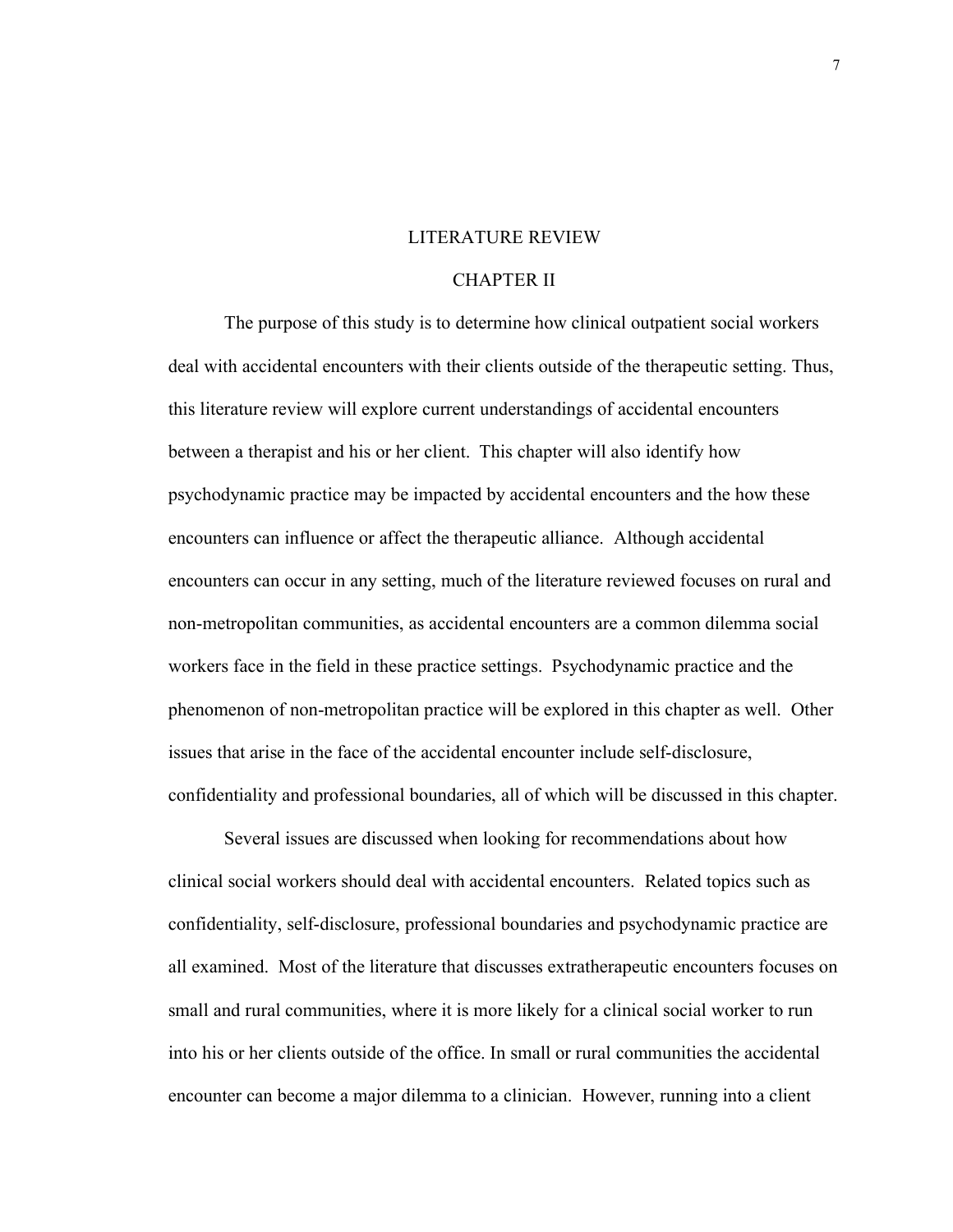#### LITERATURE REVIEW

#### CHAPTER II

The purpose of this study is to determine how clinical outpatient social workers deal with accidental encounters with their clients outside of the therapeutic setting. Thus, this literature review will explore current understandings of accidental encounters between a therapist and his or her client. This chapter will also identify how psychodynamic practice may be impacted by accidental encounters and the how these encounters can influence or affect the therapeutic alliance. Although accidental encounters can occur in any setting, much of the literature reviewed focuses on rural and non-metropolitan communities, as accidental encounters are a common dilemma social workers face in the field in these practice settings. Psychodynamic practice and the phenomenon of non-metropolitan practice will be explored in this chapter as well. Other issues that arise in the face of the accidental encounter include self-disclosure, confidentiality and professional boundaries, all of which will be discussed in this chapter.

Several issues are discussed when looking for recommendations about how clinical social workers should deal with accidental encounters. Related topics such as confidentiality, self-disclosure, professional boundaries and psychodynamic practice are all examined. Most of the literature that discusses extratherapeutic encounters focuses on small and rural communities, where it is more likely for a clinical social worker to run into his or her clients outside of the office. In small or rural communities the accidental encounter can become a major dilemma to a clinician. However, running into a client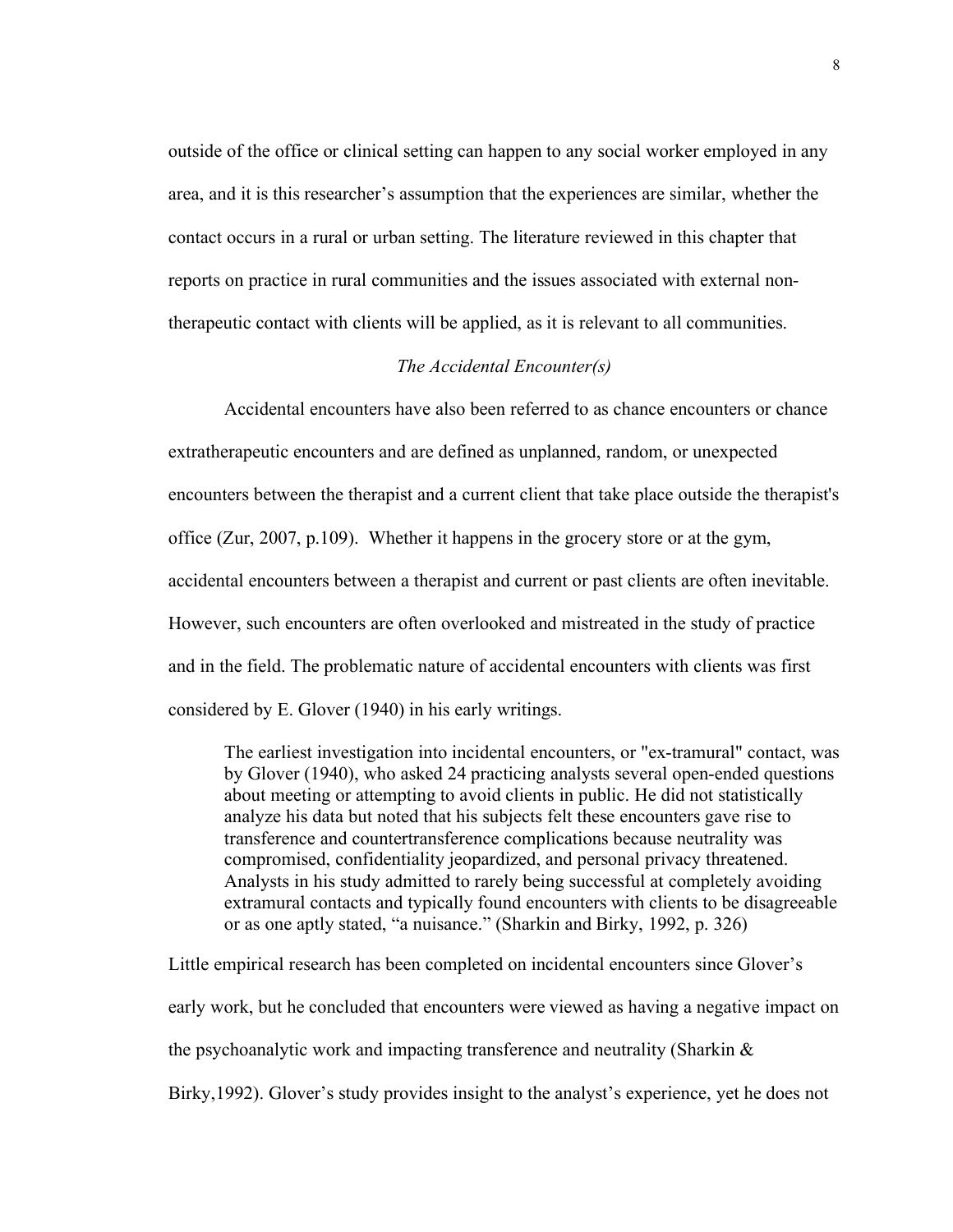outside of the office or clinical setting can happen to any social worker employed in any area, and it is this researcher's assumption that the experiences are similar, whether the contact occurs in a rural or urban setting. The literature reviewed in this chapter that reports on practice in rural communities and the issues associated with external nontherapeutic contact with clients will be applied, as it is relevant to all communities.

# *The Accidental Encounter(s)*

Accidental encounters have also been referred to as chance encounters or chance extratherapeutic encounters and are defined as unplanned, random, or unexpected encounters between the therapist and a current client that take place outside the therapist's office (Zur, 2007, p.109). Whether it happens in the grocery store or at the gym, accidental encounters between a therapist and current or past clients are often inevitable. However, such encounters are often overlooked and mistreated in the study of practice and in the field. The problematic nature of accidental encounters with clients was first considered by E. Glover (1940) in his early writings.

The earliest investigation into incidental encounters, or "ex-tramural" contact, was by Glover (1940), who asked 24 practicing analysts several open-ended questions about meeting or attempting to avoid clients in public. He did not statistically analyze his data but noted that his subjects felt these encounters gave rise to transference and countertransference complications because neutrality was compromised, confidentiality jeopardized, and personal privacy threatened. Analysts in his study admitted to rarely being successful at completely avoiding extramural contacts and typically found encounters with clients to be disagreeable or as one aptly stated, "a nuisance." (Sharkin and Birky, 1992, p. 326)

Little empirical research has been completed on incidental encounters since Glover's early work, but he concluded that encounters were viewed as having a negative impact on the psychoanalytic work and impacting transference and neutrality (Sharkin & Birky,1992). Glover's study provides insight to the analyst's experience, yet he does not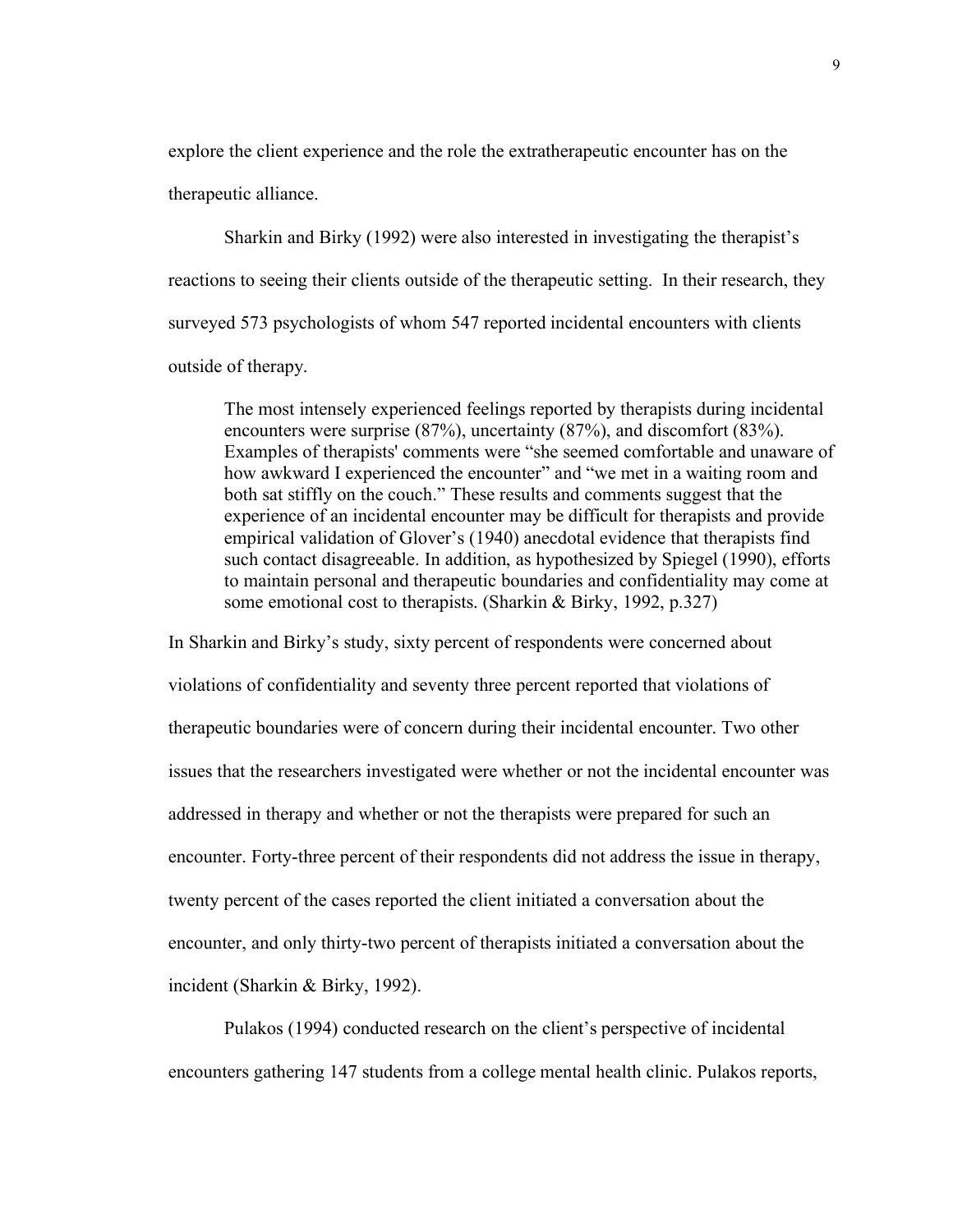explore the client experience and the role the extratherapeutic encounter has on the therapeutic alliance.

Sharkin and Birky (1992) were also interested in investigating the therapist's reactions to seeing their clients outside of the therapeutic setting. In their research, they surveyed 573 psychologists of whom 547 reported incidental encounters with clients outside of therapy.

The most intensely experienced feelings reported by therapists during incidental encounters were surprise (87%), uncertainty (87%), and discomfort (83%). Examples of therapists' comments were "she seemed comfortable and unaware of how awkward I experienced the encounter" and "we met in a waiting room and both sat stiffly on the couch." These results and comments suggest that the experience of an incidental encounter may be difficult for therapists and provide empirical validation of Glover's (1940) anecdotal evidence that therapists find such contact disagreeable. In addition, as hypothesized by Spiegel (1990), efforts to maintain personal and therapeutic boundaries and confidentiality may come at some emotional cost to therapists. (Sharkin & Birky, 1992, p.327)

In Sharkin and Birky's study, sixty percent of respondents were concerned about violations of confidentiality and seventy three percent reported that violations of therapeutic boundaries were of concern during their incidental encounter. Two other issues that the researchers investigated were whether or not the incidental encounter was addressed in therapy and whether or not the therapists were prepared for such an encounter. Forty-three percent of their respondents did not address the issue in therapy, twenty percent of the cases reported the client initiated a conversation about the encounter, and only thirty-two percent of therapists initiated a conversation about the incident (Sharkin & Birky, 1992).

Pulakos (1994) conducted research on the client's perspective of incidental encounters gathering 147 students from a college mental health clinic. Pulakos reports,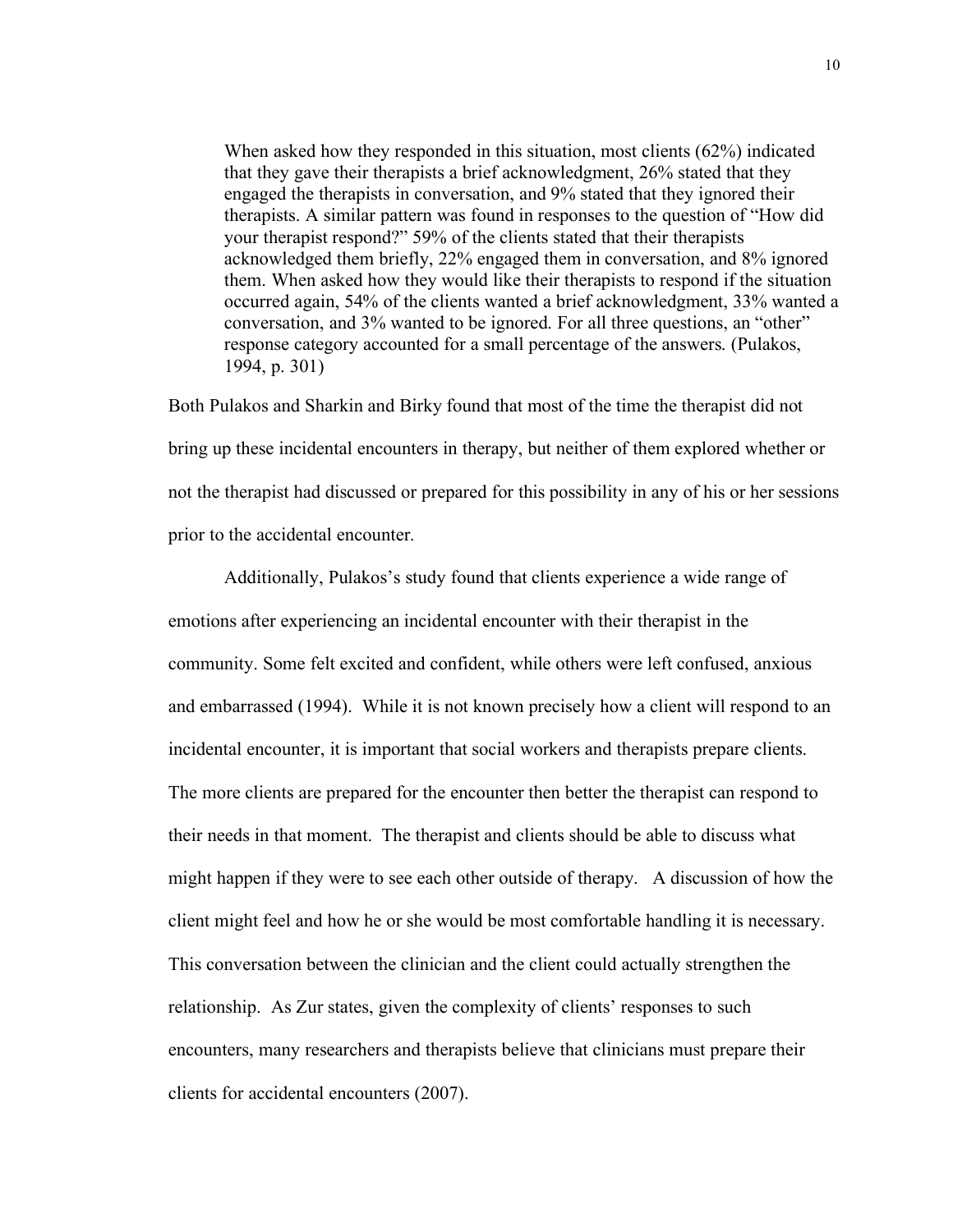When asked how they responded in this situation, most clients (62%) indicated that they gave their therapists a brief acknowledgment, 26% stated that they engaged the therapists in conversation, and 9% stated that they ignored their therapists. A similar pattern was found in responses to the question of "How did your therapist respond?" 59% of the clients stated that their therapists acknowledged them briefly, 22% engaged them in conversation, and 8% ignored them. When asked how they would like their therapists to respond if the situation occurred again, 54% of the clients wanted a brief acknowledgment, 33% wanted a conversation, and 3% wanted to be ignored. For all three questions, an "other" response category accounted for a small percentage of the answers. (Pulakos, 1994, p. 301)

Both Pulakos and Sharkin and Birky found that most of the time the therapist did not bring up these incidental encounters in therapy, but neither of them explored whether or not the therapist had discussed or prepared for this possibility in any of his or her sessions prior to the accidental encounter.

Additionally, Pulakos's study found that clients experience a wide range of emotions after experiencing an incidental encounter with their therapist in the community. Some felt excited and confident, while others were left confused, anxious and embarrassed (1994). While it is not known precisely how a client will respond to an incidental encounter, it is important that social workers and therapists prepare clients. The more clients are prepared for the encounter then better the therapist can respond to their needs in that moment. The therapist and clients should be able to discuss what might happen if they were to see each other outside of therapy. A discussion of how the client might feel and how he or she would be most comfortable handling it is necessary. This conversation between the clinician and the client could actually strengthen the relationship. As Zur states, given the complexity of clients' responses to such encounters, many researchers and therapists believe that clinicians must prepare their clients for accidental encounters (2007).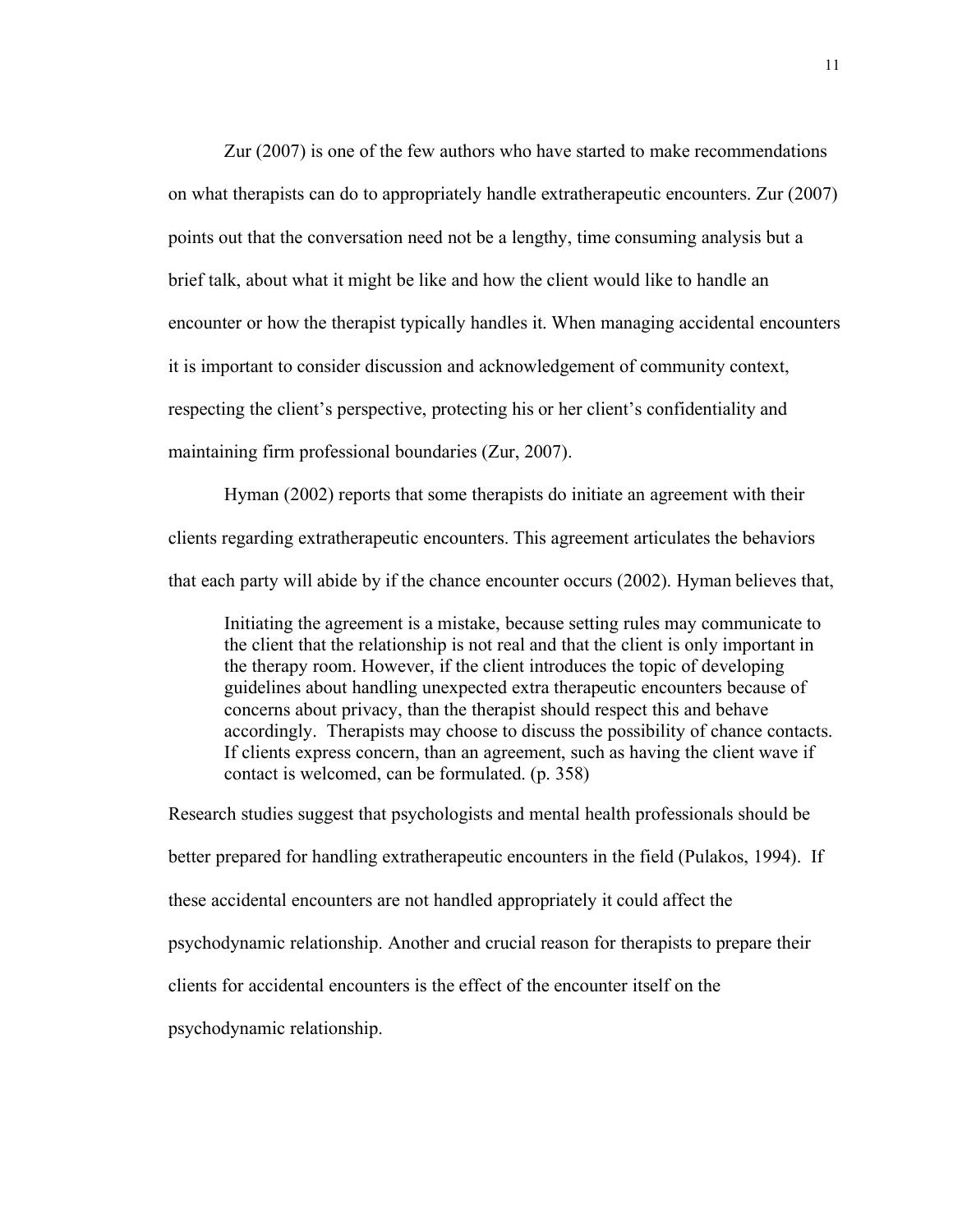Zur (2007) is one of the few authors who have started to make recommendations on what therapists can do to appropriately handle extratherapeutic encounters. Zur (2007) points out that the conversation need not be a lengthy, time consuming analysis but a brief talk, about what it might be like and how the client would like to handle an encounter or how the therapist typically handles it. When managing accidental encounters it is important to consider discussion and acknowledgement of community context, respecting the client's perspective, protecting his or her client's confidentiality and maintaining firm professional boundaries (Zur, 2007).

Hyman (2002) reports that some therapists do initiate an agreement with their clients regarding extratherapeutic encounters. This agreement articulates the behaviors that each party will abide by if the chance encounter occurs (2002). Hyman believes that,

Initiating the agreement is a mistake, because setting rules may communicate to the client that the relationship is not real and that the client is only important in the therapy room. However, if the client introduces the topic of developing guidelines about handling unexpected extra therapeutic encounters because of concerns about privacy, than the therapist should respect this and behave accordingly. Therapists may choose to discuss the possibility of chance contacts. If clients express concern, than an agreement, such as having the client wave if contact is welcomed, can be formulated. (p. 358)

Research studies suggest that psychologists and mental health professionals should be better prepared for handling extratherapeutic encounters in the field (Pulakos, 1994). If these accidental encounters are not handled appropriately it could affect the psychodynamic relationship. Another and crucial reason for therapists to prepare their clients for accidental encounters is the effect of the encounter itself on the psychodynamic relationship.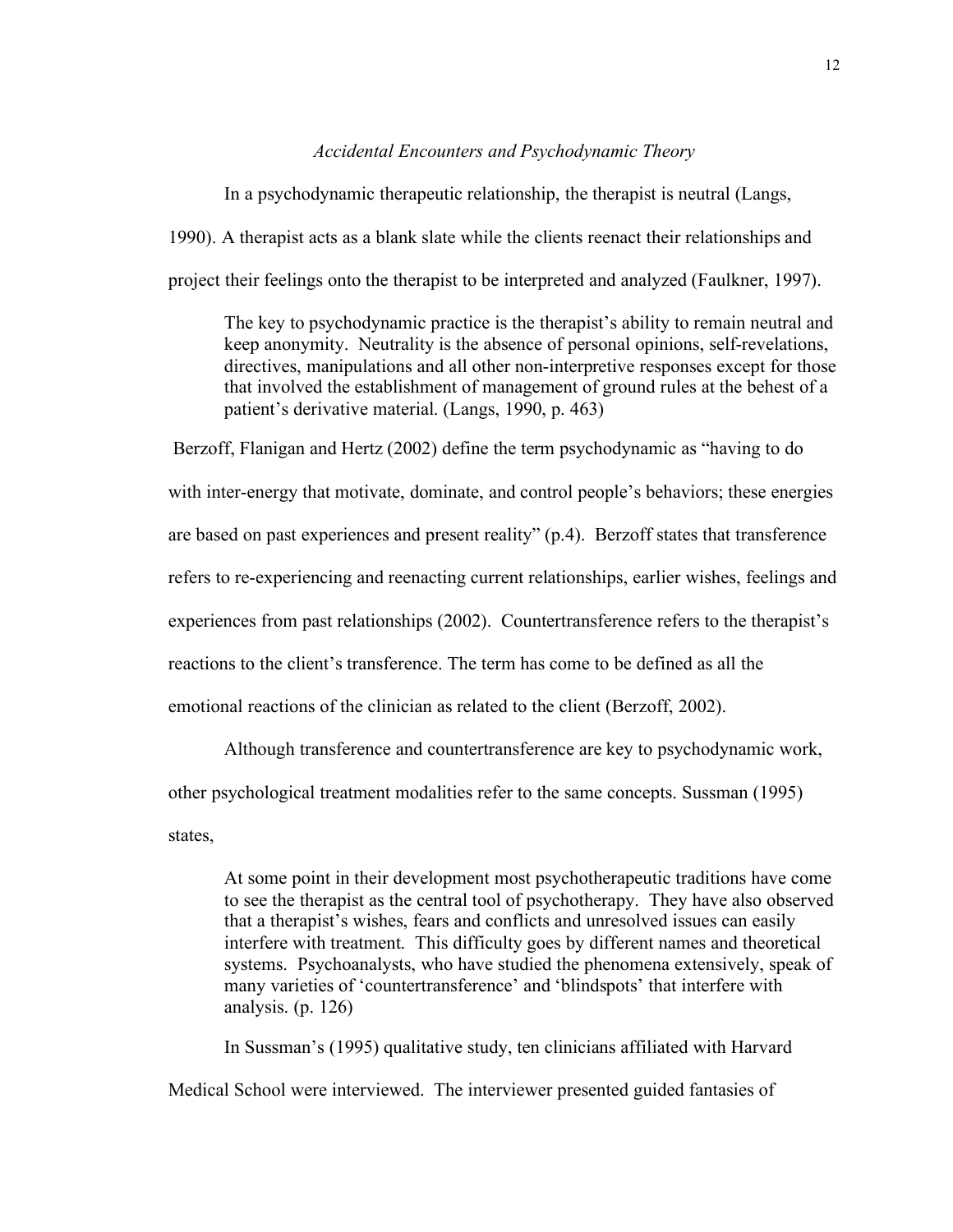#### *Accidental Encounters and Psychodynamic Theory*

In a psychodynamic therapeutic relationship, the therapist is neutral (Langs, 1990). A therapist acts as a blank slate while the clients reenact their relationships and project their feelings onto the therapist to be interpreted and analyzed (Faulkner, 1997).

The key to psychodynamic practice is the therapist's ability to remain neutral and keep anonymity. Neutrality is the absence of personal opinions, self-revelations, directives, manipulations and all other non-interpretive responses except for those that involved the establishment of management of ground rules at the behest of a patient's derivative material. (Langs, 1990, p. 463)

 Berzoff, Flanigan and Hertz (2002) define the term psychodynamic as "having to do with inter-energy that motivate, dominate, and control people's behaviors; these energies are based on past experiences and present reality" (p.4). Berzoff states that transference refers to re-experiencing and reenacting current relationships, earlier wishes, feelings and experiences from past relationships (2002). Countertransference refers to the therapist's reactions to the client's transference. The term has come to be defined as all the emotional reactions of the clinician as related to the client (Berzoff, 2002).

Although transference and countertransference are key to psychodynamic work,

other psychological treatment modalities refer to the same concepts. Sussman (1995)

states,

At some point in their development most psychotherapeutic traditions have come to see the therapist as the central tool of psychotherapy. They have also observed that a therapist's wishes, fears and conflicts and unresolved issues can easily interfere with treatment. This difficulty goes by different names and theoretical systems. Psychoanalysts, who have studied the phenomena extensively, speak of many varieties of 'countertransference' and 'blindspots' that interfere with analysis. (p. 126)

In Sussman's (1995) qualitative study, ten clinicians affiliated with Harvard Medical School were interviewed. The interviewer presented guided fantasies of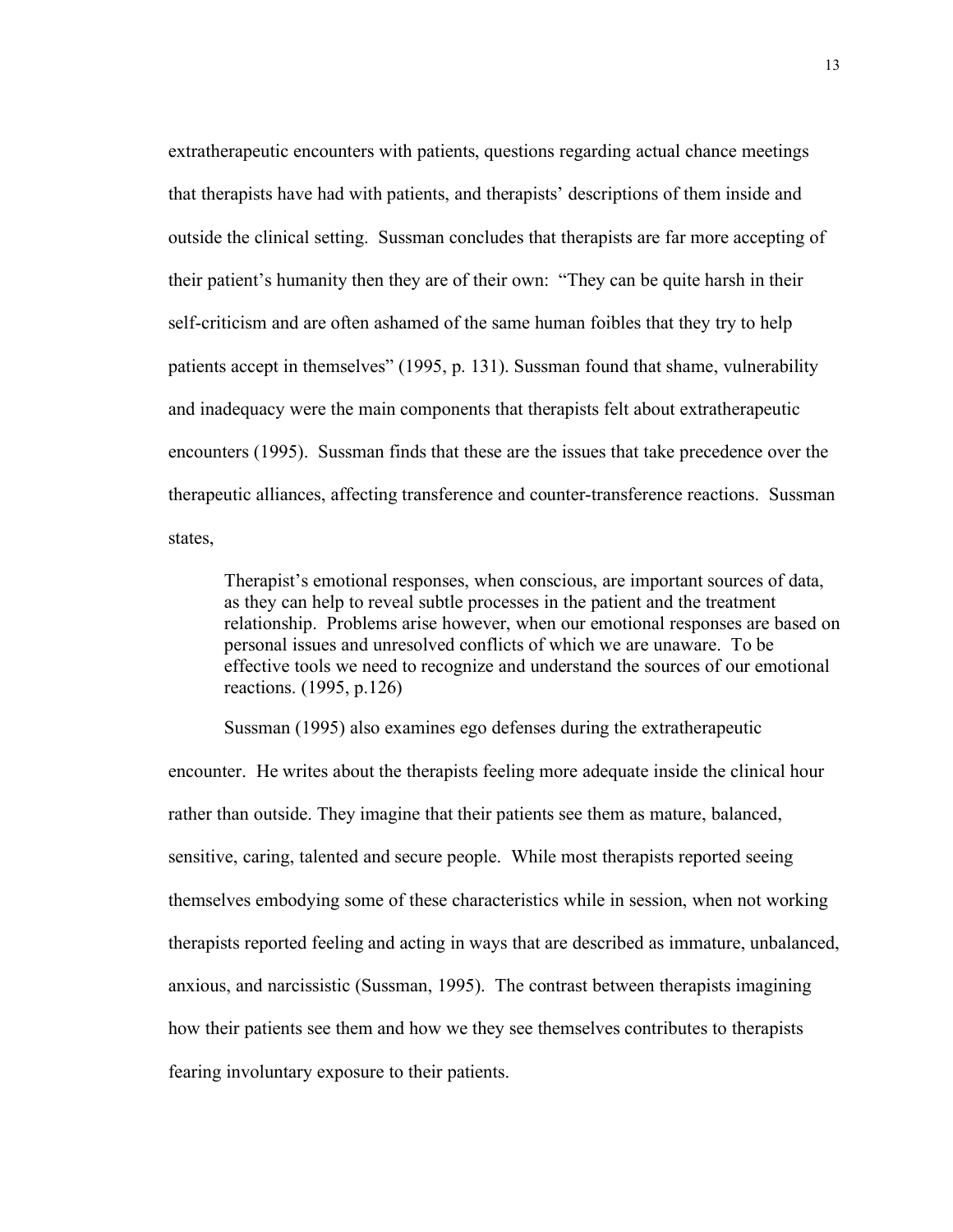extratherapeutic encounters with patients, questions regarding actual chance meetings that therapists have had with patients, and therapists' descriptions of them inside and outside the clinical setting. Sussman concludes that therapists are far more accepting of their patient's humanity then they are of their own: "They can be quite harsh in their self-criticism and are often ashamed of the same human foibles that they try to help patients accept in themselves" (1995, p. 131). Sussman found that shame, vulnerability and inadequacy were the main components that therapists felt about extratherapeutic encounters (1995). Sussman finds that these are the issues that take precedence over the therapeutic alliances, affecting transference and counter-transference reactions. Sussman states,

Therapist's emotional responses, when conscious, are important sources of data, as they can help to reveal subtle processes in the patient and the treatment relationship. Problems arise however, when our emotional responses are based on personal issues and unresolved conflicts of which we are unaware. To be effective tools we need to recognize and understand the sources of our emotional reactions. (1995, p.126)

Sussman (1995) also examines ego defenses during the extratherapeutic

encounter. He writes about the therapists feeling more adequate inside the clinical hour rather than outside. They imagine that their patients see them as mature, balanced, sensitive, caring, talented and secure people. While most therapists reported seeing themselves embodying some of these characteristics while in session, when not working therapists reported feeling and acting in ways that are described as immature, unbalanced, anxious, and narcissistic (Sussman, 1995). The contrast between therapists imagining how their patients see them and how we they see themselves contributes to therapists fearing involuntary exposure to their patients.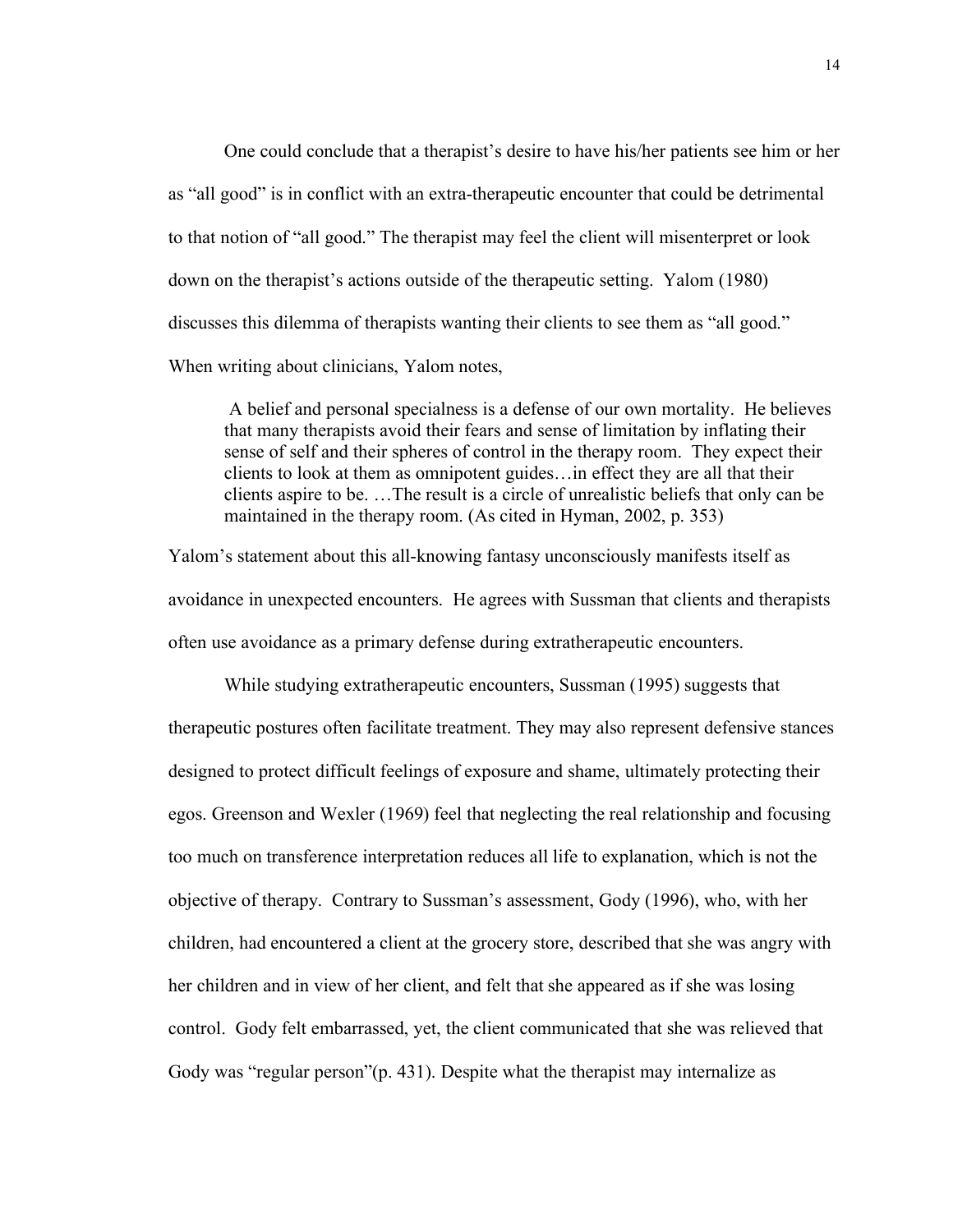One could conclude that a therapist's desire to have his/her patients see him or her as "all good" is in conflict with an extra-therapeutic encounter that could be detrimental to that notion of "all good." The therapist may feel the client will misenterpret or look down on the therapist's actions outside of the therapeutic setting. Yalom (1980) discusses this dilemma of therapists wanting their clients to see them as "all good." When writing about clinicians, Yalom notes,

 A belief and personal specialness is a defense of our own mortality. He believes that many therapists avoid their fears and sense of limitation by inflating their sense of self and their spheres of control in the therapy room. They expect their clients to look at them as omnipotent guides…in effect they are all that their clients aspire to be. …The result is a circle of unrealistic beliefs that only can be maintained in the therapy room. (As cited in Hyman, 2002, p. 353)

Yalom's statement about this all-knowing fantasy unconsciously manifests itself as avoidance in unexpected encounters. He agrees with Sussman that clients and therapists often use avoidance as a primary defense during extratherapeutic encounters.

While studying extratherapeutic encounters, Sussman (1995) suggests that therapeutic postures often facilitate treatment. They may also represent defensive stances designed to protect difficult feelings of exposure and shame, ultimately protecting their egos. Greenson and Wexler (1969) feel that neglecting the real relationship and focusing too much on transference interpretation reduces all life to explanation, which is not the objective of therapy. Contrary to Sussman's assessment, Gody (1996), who, with her children, had encountered a client at the grocery store, described that she was angry with her children and in view of her client, and felt that she appeared as if she was losing control. Gody felt embarrassed, yet, the client communicated that she was relieved that Gody was "regular person"(p. 431). Despite what the therapist may internalize as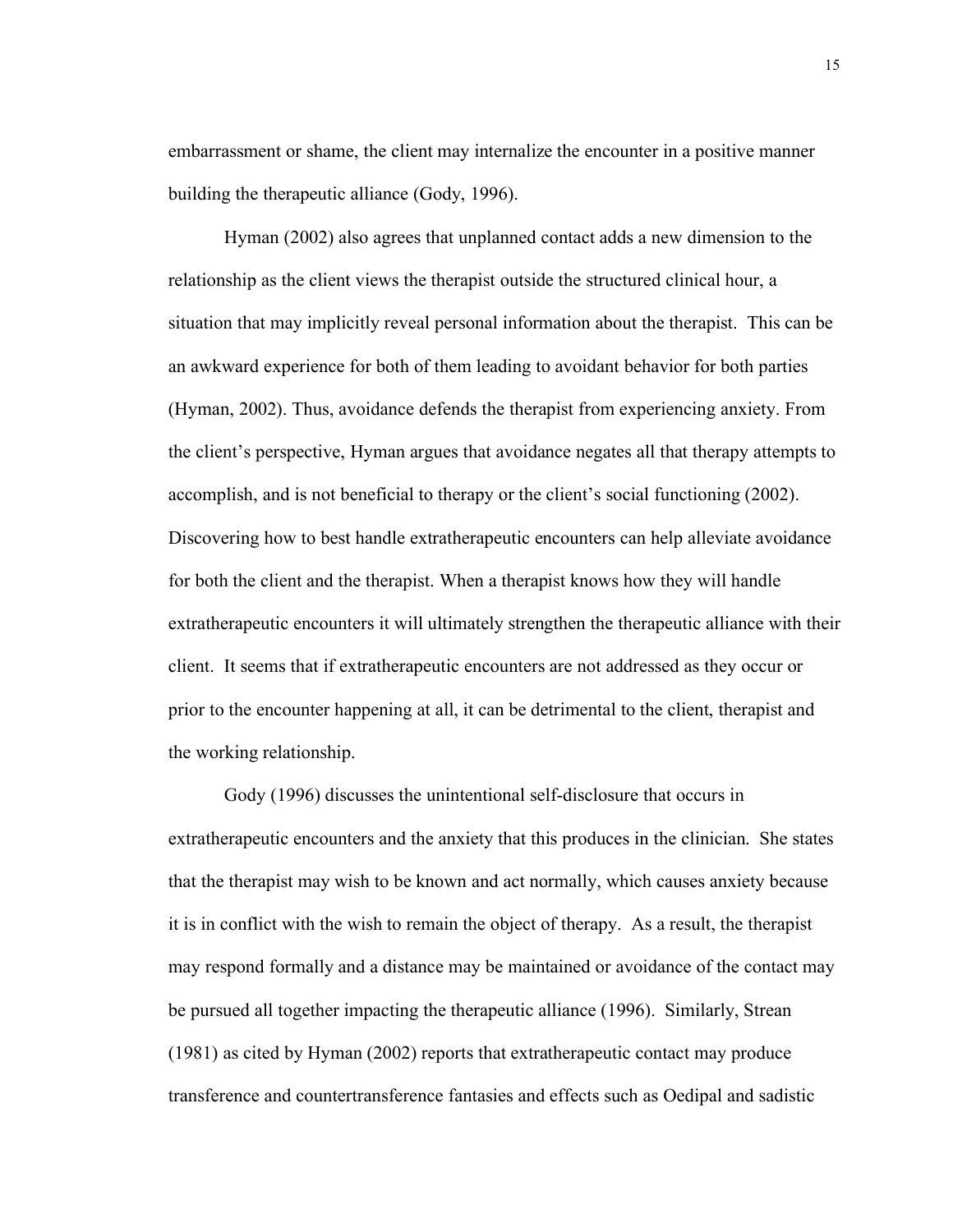embarrassment or shame, the client may internalize the encounter in a positive manner building the therapeutic alliance (Gody, 1996).

Hyman (2002) also agrees that unplanned contact adds a new dimension to the relationship as the client views the therapist outside the structured clinical hour, a situation that may implicitly reveal personal information about the therapist. This can be an awkward experience for both of them leading to avoidant behavior for both parties (Hyman, 2002). Thus, avoidance defends the therapist from experiencing anxiety. From the client's perspective, Hyman argues that avoidance negates all that therapy attempts to accomplish, and is not beneficial to therapy or the client's social functioning (2002). Discovering how to best handle extratherapeutic encounters can help alleviate avoidance for both the client and the therapist. When a therapist knows how they will handle extratherapeutic encounters it will ultimately strengthen the therapeutic alliance with their client. It seems that if extratherapeutic encounters are not addressed as they occur or prior to the encounter happening at all, it can be detrimental to the client, therapist and the working relationship.

Gody (1996) discusses the unintentional self-disclosure that occurs in extratherapeutic encounters and the anxiety that this produces in the clinician. She states that the therapist may wish to be known and act normally, which causes anxiety because it is in conflict with the wish to remain the object of therapy. As a result, the therapist may respond formally and a distance may be maintained or avoidance of the contact may be pursued all together impacting the therapeutic alliance (1996). Similarly, Strean (1981) as cited by Hyman (2002) reports that extratherapeutic contact may produce transference and countertransference fantasies and effects such as Oedipal and sadistic

15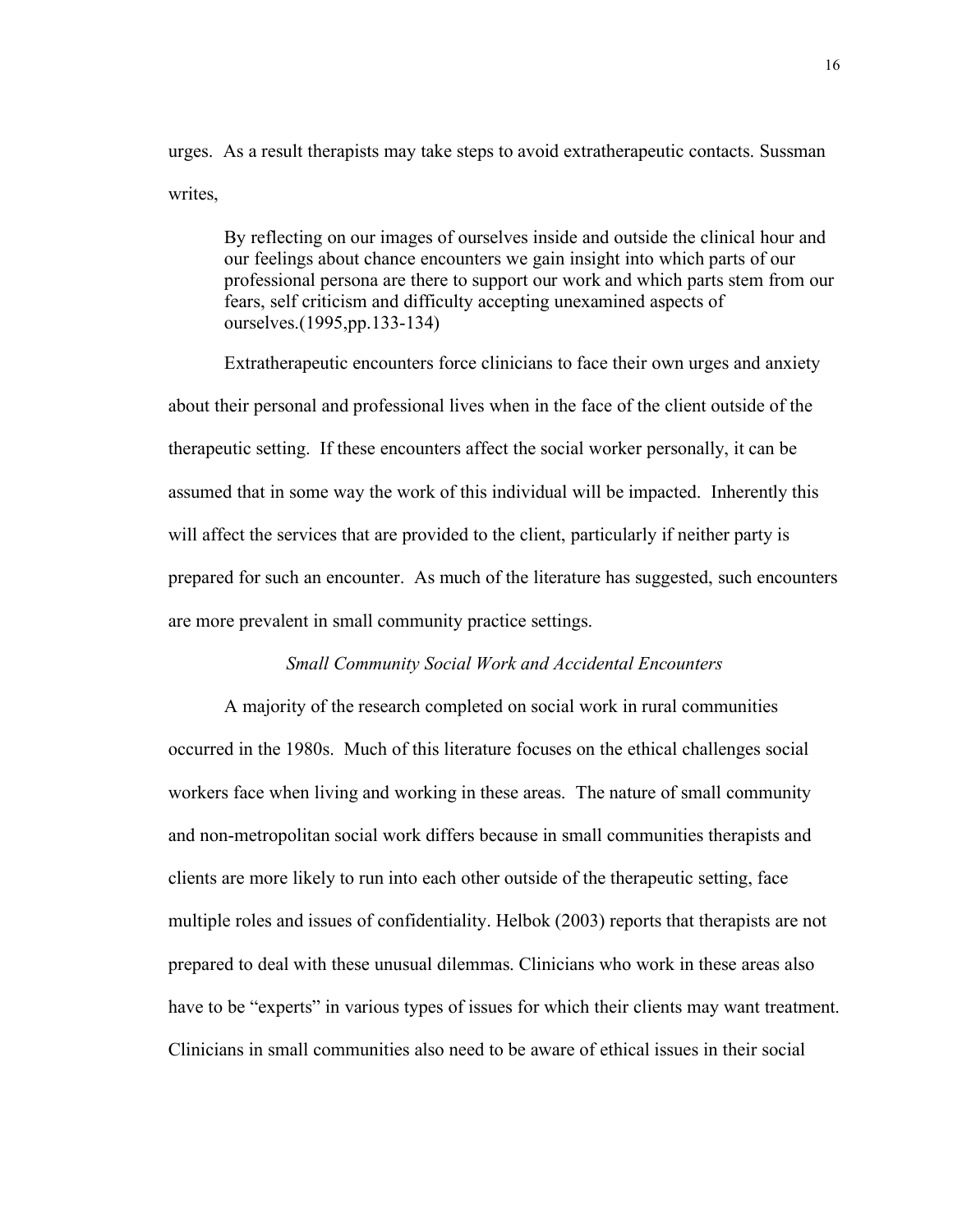urges. As a result therapists may take steps to avoid extratherapeutic contacts. Sussman writes,

By reflecting on our images of ourselves inside and outside the clinical hour and our feelings about chance encounters we gain insight into which parts of our professional persona are there to support our work and which parts stem from our fears, self criticism and difficulty accepting unexamined aspects of ourselves.(1995,pp.133-134)

Extratherapeutic encounters force clinicians to face their own urges and anxiety about their personal and professional lives when in the face of the client outside of the therapeutic setting. If these encounters affect the social worker personally, it can be assumed that in some way the work of this individual will be impacted. Inherently this will affect the services that are provided to the client, particularly if neither party is prepared for such an encounter. As much of the literature has suggested, such encounters are more prevalent in small community practice settings.

# *Small Community Social Work and Accidental Encounters*

A majority of the research completed on social work in rural communities occurred in the 1980s. Much of this literature focuses on the ethical challenges social workers face when living and working in these areas. The nature of small community and non-metropolitan social work differs because in small communities therapists and clients are more likely to run into each other outside of the therapeutic setting, face multiple roles and issues of confidentiality. Helbok (2003) reports that therapists are not prepared to deal with these unusual dilemmas. Clinicians who work in these areas also have to be "experts" in various types of issues for which their clients may want treatment. Clinicians in small communities also need to be aware of ethical issues in their social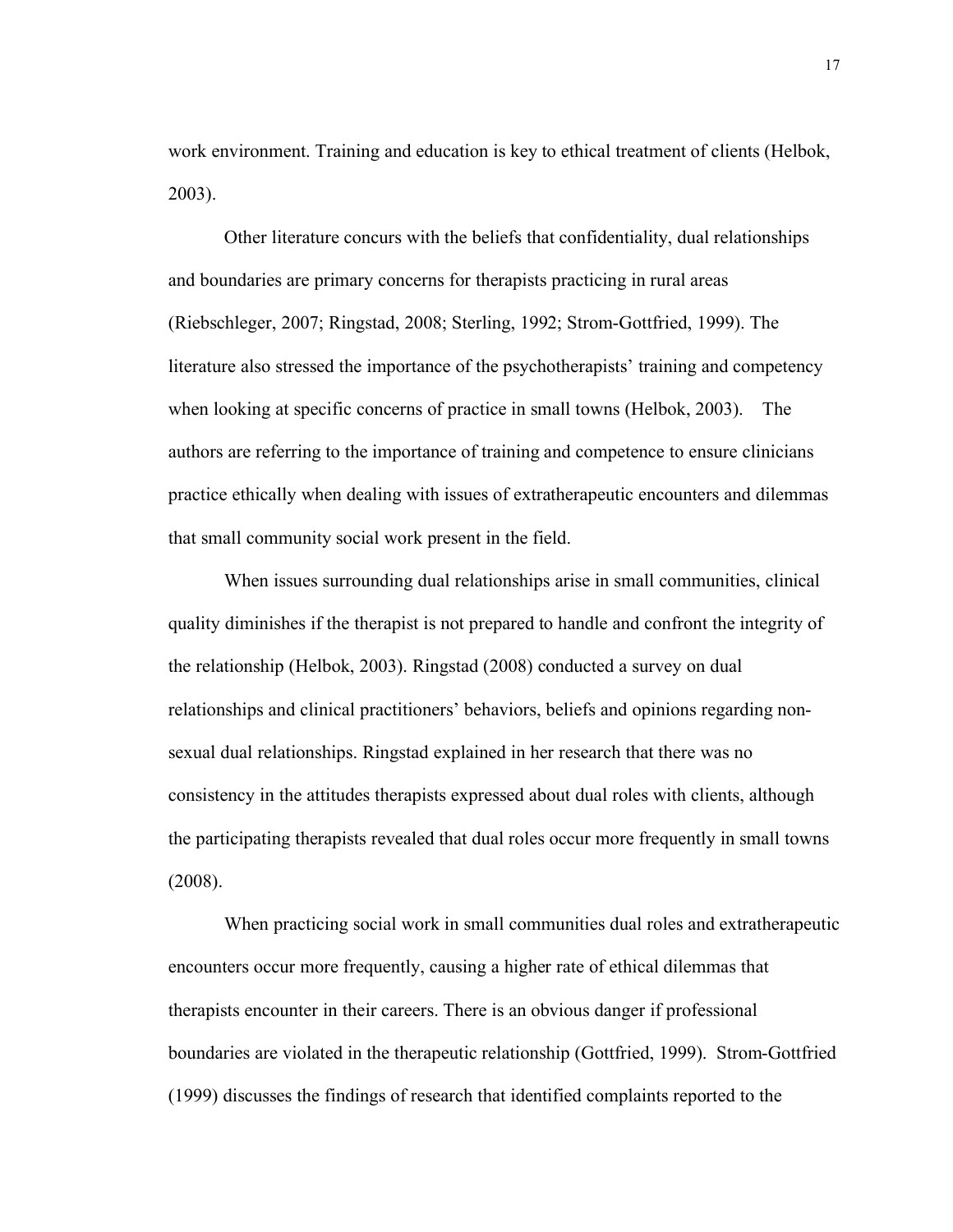work environment. Training and education is key to ethical treatment of clients (Helbok, 2003).

Other literature concurs with the beliefs that confidentiality, dual relationships and boundaries are primary concerns for therapists practicing in rural areas (Riebschleger, 2007; Ringstad, 2008; Sterling, 1992; Strom-Gottfried, 1999). The literature also stressed the importance of the psychotherapists' training and competency when looking at specific concerns of practice in small towns (Helbok, 2003). The authors are referring to the importance of training and competence to ensure clinicians practice ethically when dealing with issues of extratherapeutic encounters and dilemmas that small community social work present in the field.

When issues surrounding dual relationships arise in small communities, clinical quality diminishes if the therapist is not prepared to handle and confront the integrity of the relationship (Helbok, 2003). Ringstad (2008) conducted a survey on dual relationships and clinical practitioners' behaviors, beliefs and opinions regarding nonsexual dual relationships. Ringstad explained in her research that there was no consistency in the attitudes therapists expressed about dual roles with clients, although the participating therapists revealed that dual roles occur more frequently in small towns (2008).

When practicing social work in small communities dual roles and extratherapeutic encounters occur more frequently, causing a higher rate of ethical dilemmas that therapists encounter in their careers. There is an obvious danger if professional boundaries are violated in the therapeutic relationship (Gottfried, 1999). Strom-Gottfried (1999) discusses the findings of research that identified complaints reported to the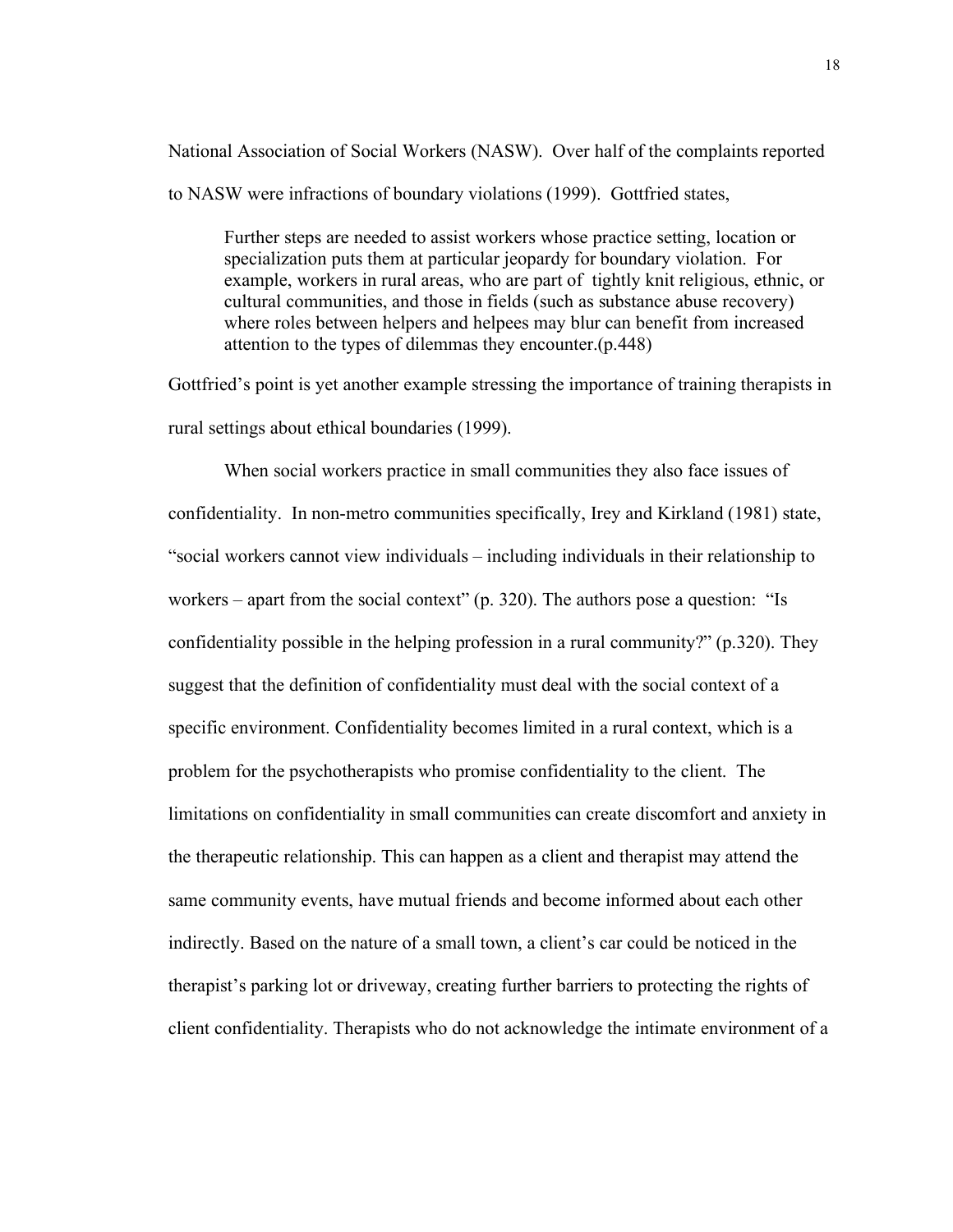National Association of Social Workers (NASW). Over half of the complaints reported to NASW were infractions of boundary violations (1999). Gottfried states,

Further steps are needed to assist workers whose practice setting, location or specialization puts them at particular jeopardy for boundary violation. For example, workers in rural areas, who are part of tightly knit religious, ethnic, or cultural communities, and those in fields (such as substance abuse recovery) where roles between helpers and helpees may blur can benefit from increased attention to the types of dilemmas they encounter.(p.448)

Gottfried's point is yet another example stressing the importance of training therapists in rural settings about ethical boundaries (1999).

When social workers practice in small communities they also face issues of confidentiality. In non-metro communities specifically, Irey and Kirkland (1981) state, "social workers cannot view individuals – including individuals in their relationship to workers – apart from the social context" (p. 320). The authors pose a question: "Is confidentiality possible in the helping profession in a rural community?" (p.320). They suggest that the definition of confidentiality must deal with the social context of a specific environment. Confidentiality becomes limited in a rural context, which is a problem for the psychotherapists who promise confidentiality to the client. The limitations on confidentiality in small communities can create discomfort and anxiety in the therapeutic relationship. This can happen as a client and therapist may attend the same community events, have mutual friends and become informed about each other indirectly. Based on the nature of a small town, a client's car could be noticed in the therapist's parking lot or driveway, creating further barriers to protecting the rights of client confidentiality. Therapists who do not acknowledge the intimate environment of a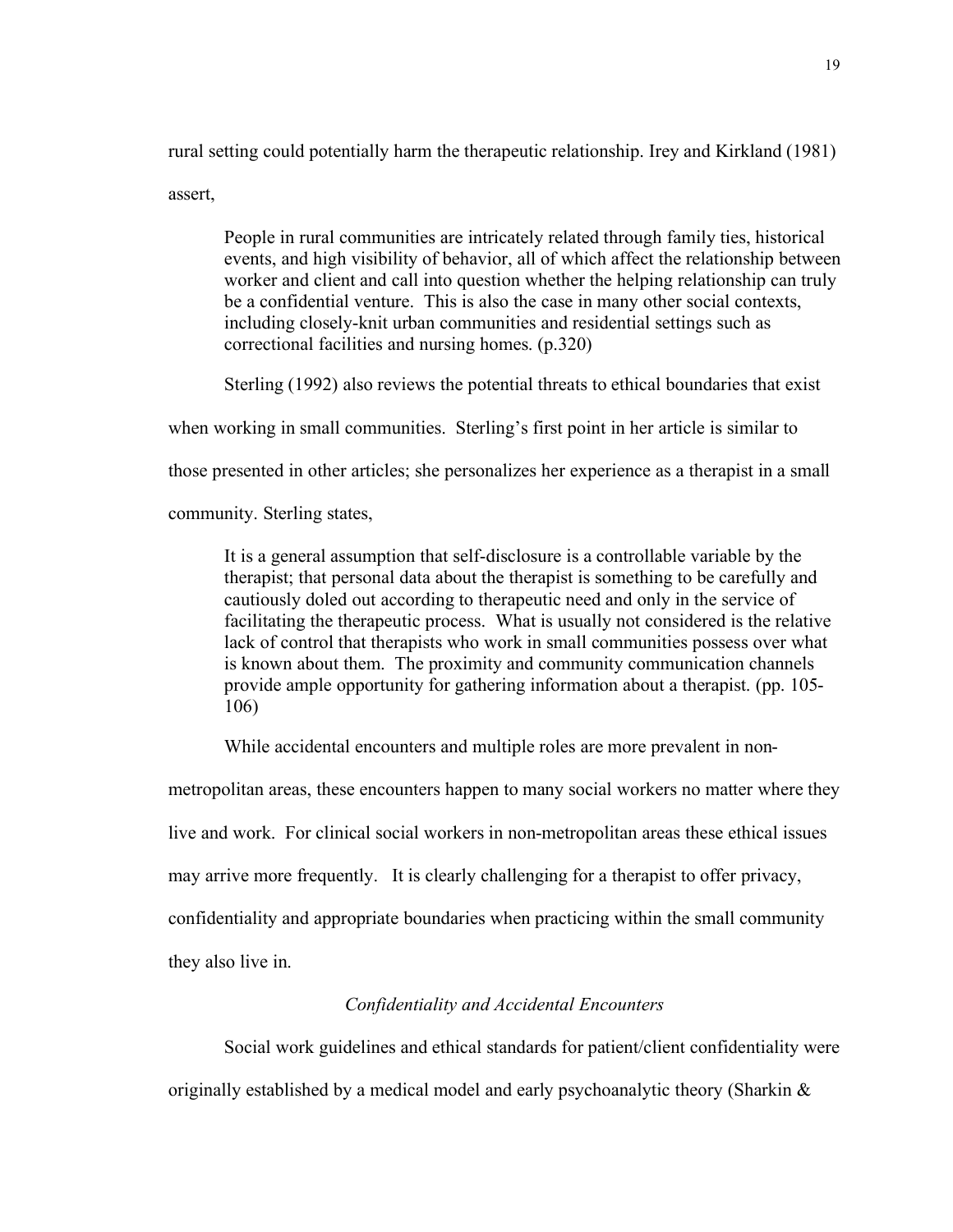rural setting could potentially harm the therapeutic relationship. Irey and Kirkland (1981) assert,

People in rural communities are intricately related through family ties, historical events, and high visibility of behavior, all of which affect the relationship between worker and client and call into question whether the helping relationship can truly be a confidential venture. This is also the case in many other social contexts, including closely-knit urban communities and residential settings such as correctional facilities and nursing homes. (p.320)

Sterling (1992) also reviews the potential threats to ethical boundaries that exist

when working in small communities. Sterling's first point in her article is similar to

those presented in other articles; she personalizes her experience as a therapist in a small

community. Sterling states,

It is a general assumption that self-disclosure is a controllable variable by the therapist; that personal data about the therapist is something to be carefully and cautiously doled out according to therapeutic need and only in the service of facilitating the therapeutic process. What is usually not considered is the relative lack of control that therapists who work in small communities possess over what is known about them. The proximity and community communication channels provide ample opportunity for gathering information about a therapist. (pp. 105- 106)

While accidental encounters and multiple roles are more prevalent in non-

metropolitan areas, these encounters happen to many social workers no matter where they

live and work. For clinical social workers in non-metropolitan areas these ethical issues

may arrive more frequently. It is clearly challenging for a therapist to offer privacy,

confidentiality and appropriate boundaries when practicing within the small community

they also live in.

# *Confidentiality and Accidental Encounters*

Social work guidelines and ethical standards for patient/client confidentiality were

originally established by a medical model and early psychoanalytic theory (Sharkin  $\&$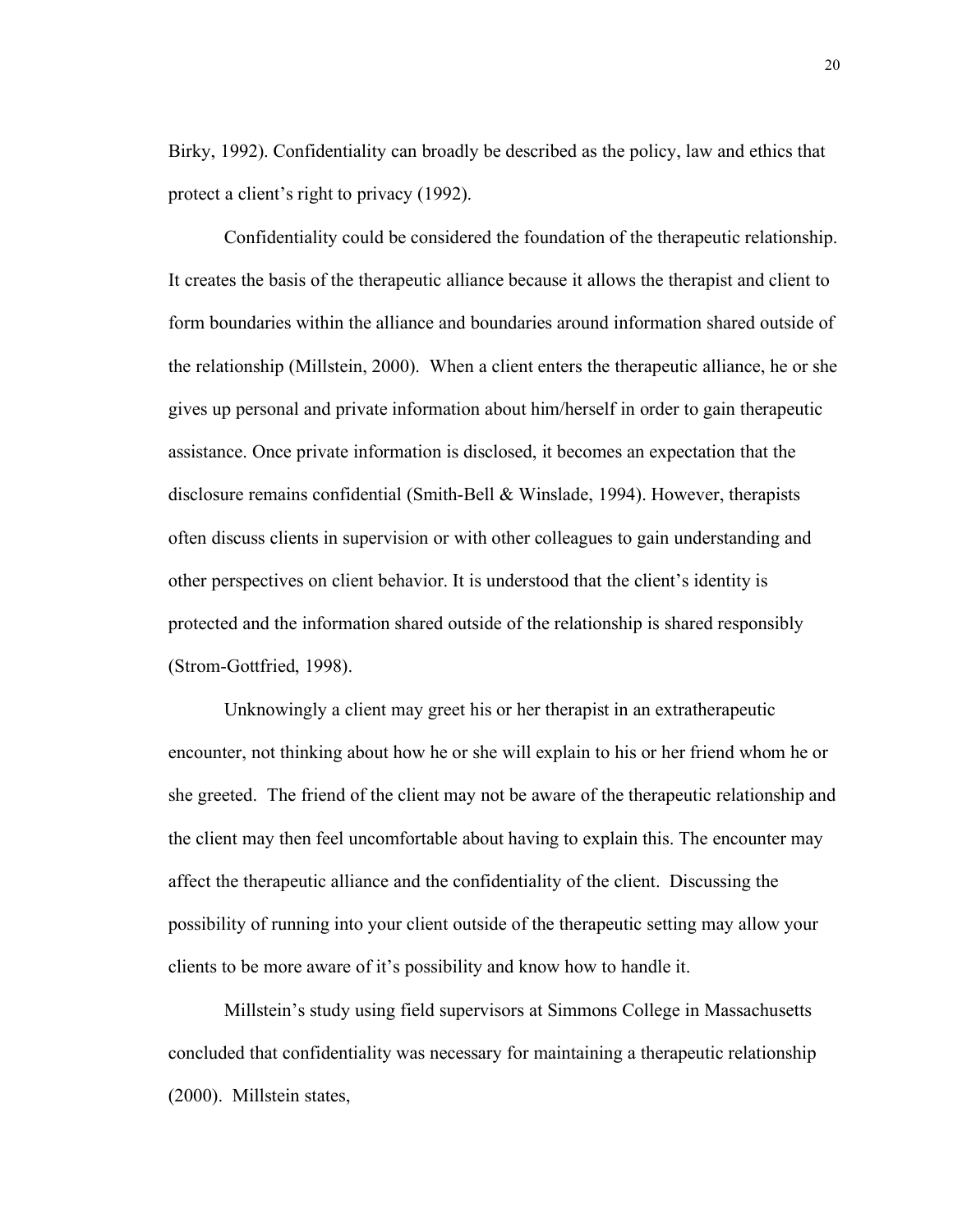Birky, 1992). Confidentiality can broadly be described as the policy, law and ethics that protect a client's right to privacy (1992).

Confidentiality could be considered the foundation of the therapeutic relationship. It creates the basis of the therapeutic alliance because it allows the therapist and client to form boundaries within the alliance and boundaries around information shared outside of the relationship (Millstein, 2000). When a client enters the therapeutic alliance, he or she gives up personal and private information about him/herself in order to gain therapeutic assistance. Once private information is disclosed, it becomes an expectation that the disclosure remains confidential (Smith-Bell & Winslade, 1994). However, therapists often discuss clients in supervision or with other colleagues to gain understanding and other perspectives on client behavior. It is understood that the client's identity is protected and the information shared outside of the relationship is shared responsibly (Strom-Gottfried, 1998).

Unknowingly a client may greet his or her therapist in an extratherapeutic encounter, not thinking about how he or she will explain to his or her friend whom he or she greeted. The friend of the client may not be aware of the therapeutic relationship and the client may then feel uncomfortable about having to explain this. The encounter may affect the therapeutic alliance and the confidentiality of the client. Discussing the possibility of running into your client outside of the therapeutic setting may allow your clients to be more aware of it's possibility and know how to handle it.

Millstein's study using field supervisors at Simmons College in Massachusetts concluded that confidentiality was necessary for maintaining a therapeutic relationship (2000). Millstein states,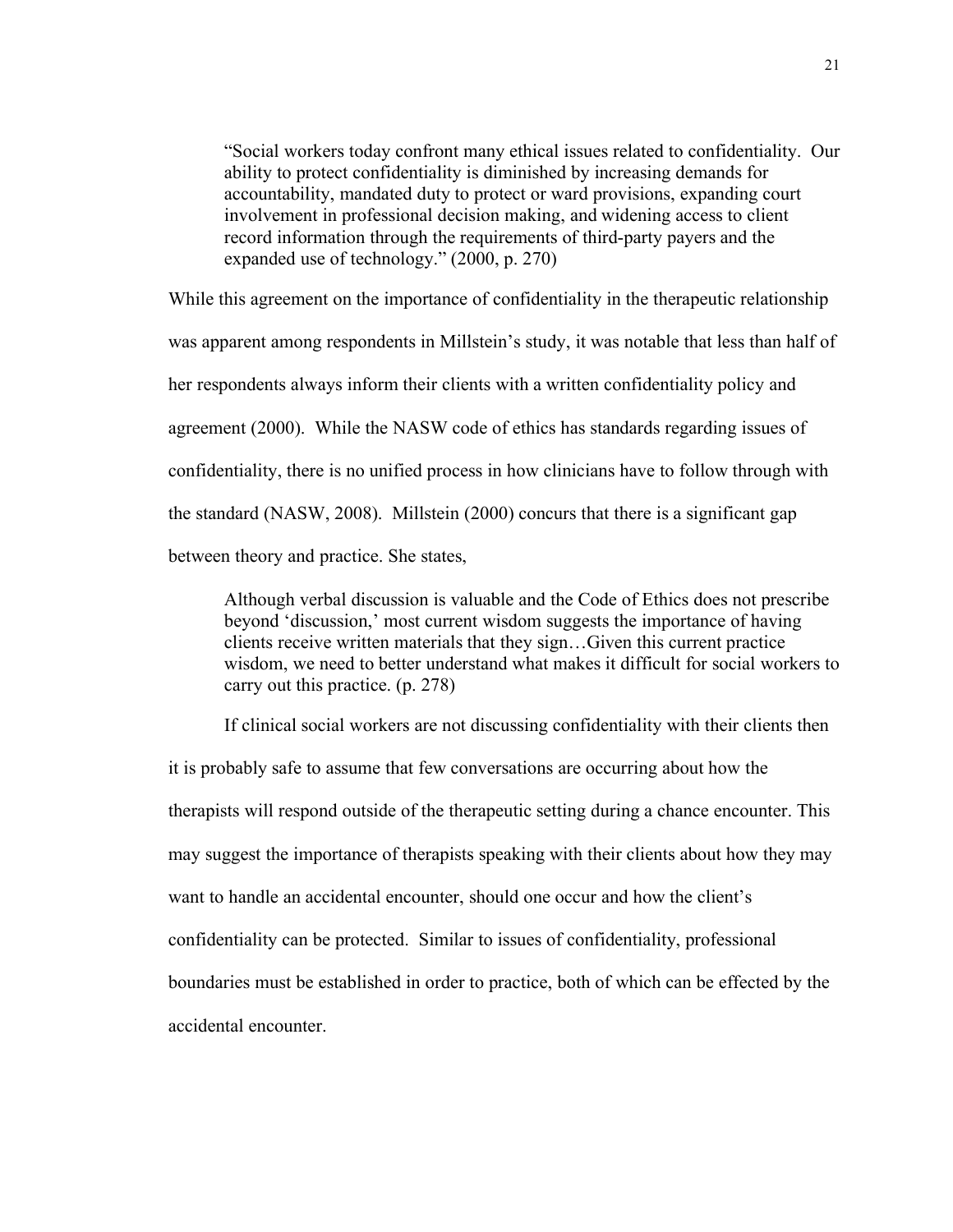"Social workers today confront many ethical issues related to confidentiality. Our ability to protect confidentiality is diminished by increasing demands for accountability, mandated duty to protect or ward provisions, expanding court involvement in professional decision making, and widening access to client record information through the requirements of third-party payers and the expanded use of technology." (2000, p. 270)

While this agreement on the importance of confidentiality in the therapeutic relationship was apparent among respondents in Millstein's study, it was notable that less than half of her respondents always inform their clients with a written confidentiality policy and agreement (2000). While the NASW code of ethics has standards regarding issues of confidentiality, there is no unified process in how clinicians have to follow through with the standard (NASW, 2008). Millstein (2000) concurs that there is a significant gap between theory and practice. She states,

Although verbal discussion is valuable and the Code of Ethics does not prescribe beyond 'discussion,' most current wisdom suggests the importance of having clients receive written materials that they sign…Given this current practice wisdom, we need to better understand what makes it difficult for social workers to carry out this practice. (p. 278)

If clinical social workers are not discussing confidentiality with their clients then

it is probably safe to assume that few conversations are occurring about how the therapists will respond outside of the therapeutic setting during a chance encounter. This may suggest the importance of therapists speaking with their clients about how they may want to handle an accidental encounter, should one occur and how the client's confidentiality can be protected. Similar to issues of confidentiality, professional boundaries must be established in order to practice, both of which can be effected by the accidental encounter.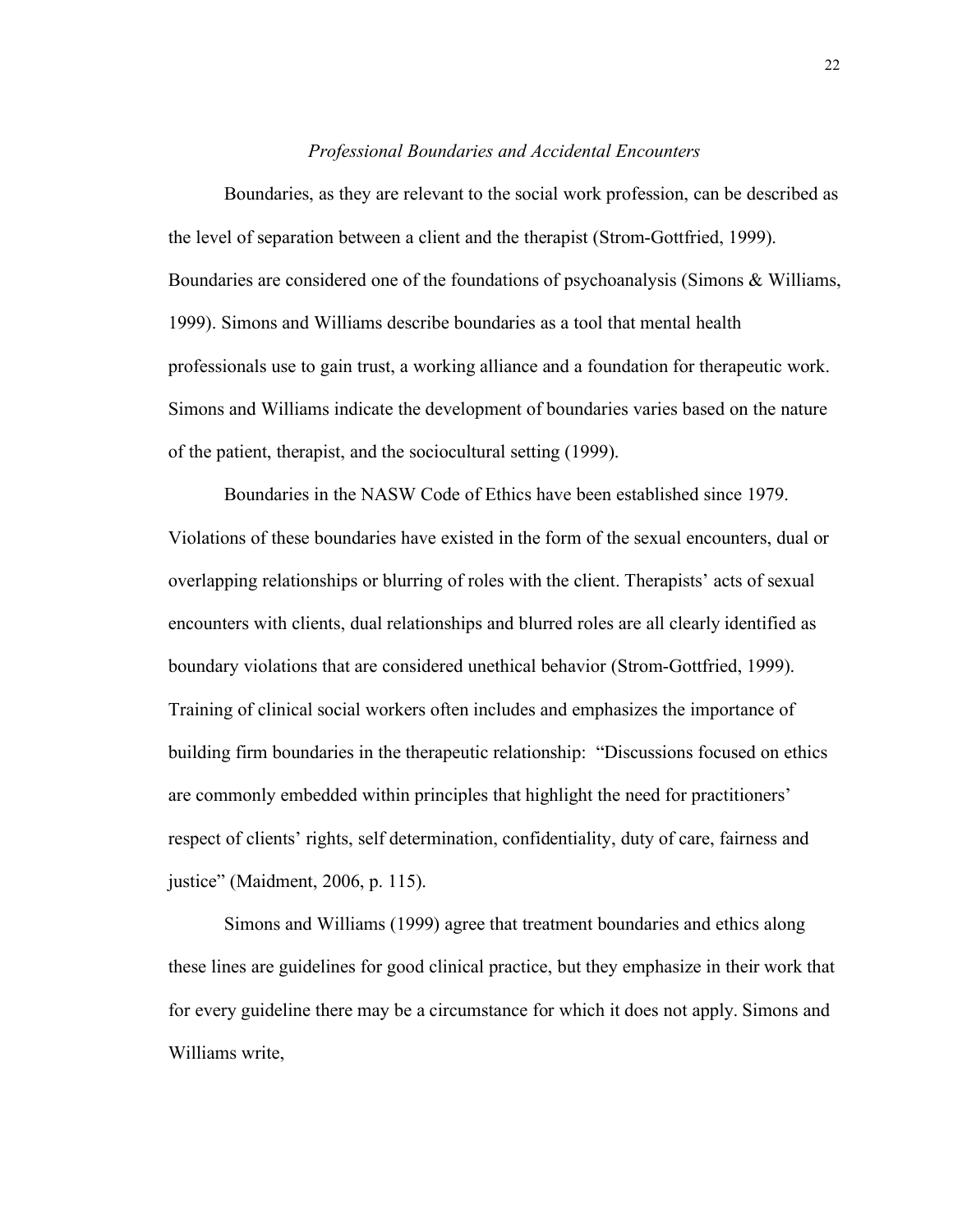#### *Professional Boundaries and Accidental Encounters*

Boundaries, as they are relevant to the social work profession, can be described as the level of separation between a client and the therapist (Strom-Gottfried, 1999). Boundaries are considered one of the foundations of psychoanalysis (Simons & Williams, 1999). Simons and Williams describe boundaries as a tool that mental health professionals use to gain trust, a working alliance and a foundation for therapeutic work. Simons and Williams indicate the development of boundaries varies based on the nature of the patient, therapist, and the sociocultural setting (1999).

Boundaries in the NASW Code of Ethics have been established since 1979. Violations of these boundaries have existed in the form of the sexual encounters, dual or overlapping relationships or blurring of roles with the client. Therapists' acts of sexual encounters with clients, dual relationships and blurred roles are all clearly identified as boundary violations that are considered unethical behavior (Strom-Gottfried, 1999). Training of clinical social workers often includes and emphasizes the importance of building firm boundaries in the therapeutic relationship: "Discussions focused on ethics are commonly embedded within principles that highlight the need for practitioners' respect of clients' rights, self determination, confidentiality, duty of care, fairness and justice" (Maidment, 2006, p. 115).

Simons and Williams (1999) agree that treatment boundaries and ethics along these lines are guidelines for good clinical practice, but they emphasize in their work that for every guideline there may be a circumstance for which it does not apply. Simons and Williams write,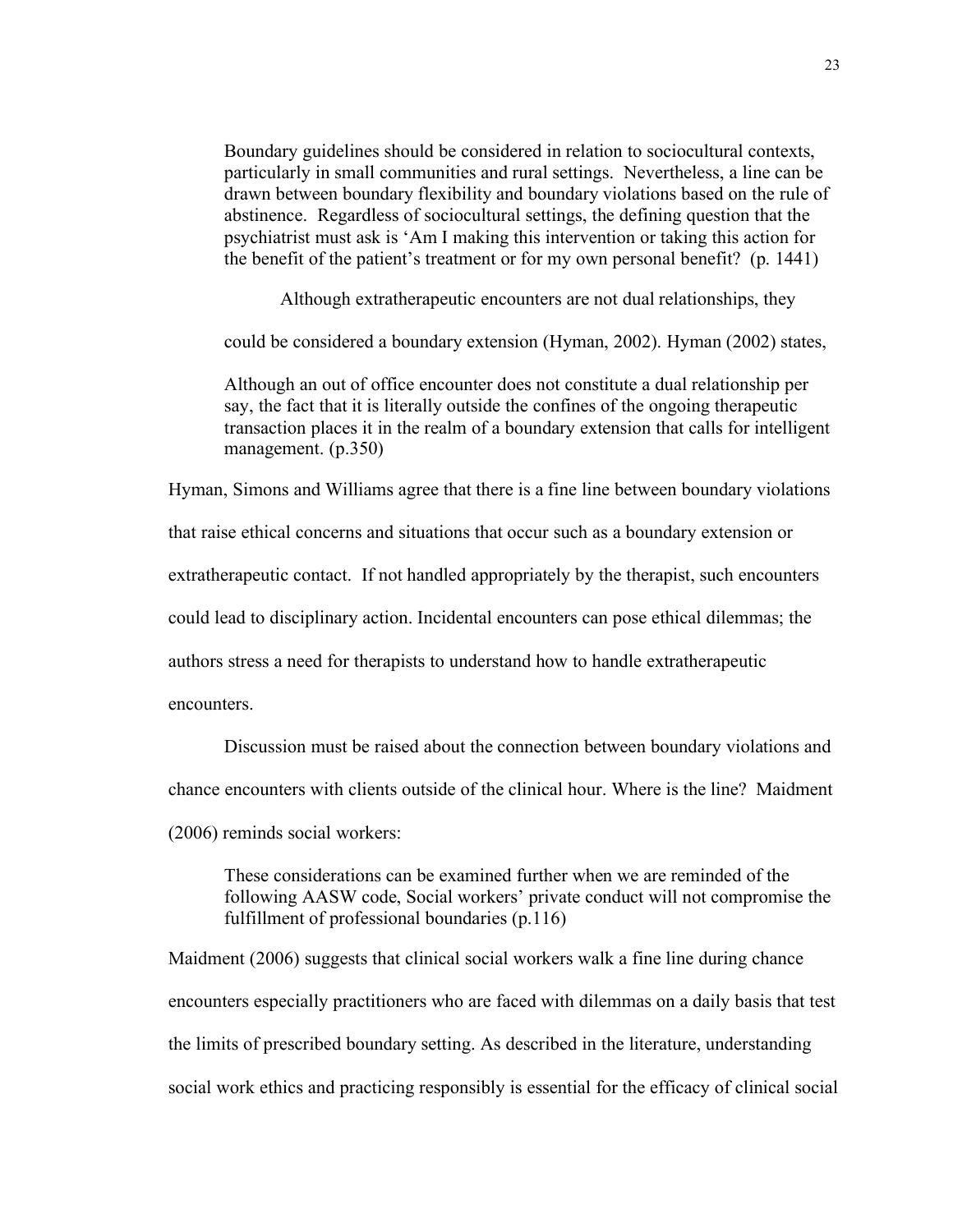Boundary guidelines should be considered in relation to sociocultural contexts, particularly in small communities and rural settings. Nevertheless, a line can be drawn between boundary flexibility and boundary violations based on the rule of abstinence. Regardless of sociocultural settings, the defining question that the psychiatrist must ask is 'Am I making this intervention or taking this action for the benefit of the patient's treatment or for my own personal benefit? (p. 1441)

Although extratherapeutic encounters are not dual relationships, they

could be considered a boundary extension (Hyman, 2002). Hyman (2002) states,

Although an out of office encounter does not constitute a dual relationship per say, the fact that it is literally outside the confines of the ongoing therapeutic transaction places it in the realm of a boundary extension that calls for intelligent management. (p.350)

Hyman, Simons and Williams agree that there is a fine line between boundary violations

that raise ethical concerns and situations that occur such as a boundary extension or

extratherapeutic contact. If not handled appropriately by the therapist, such encounters

could lead to disciplinary action. Incidental encounters can pose ethical dilemmas; the

authors stress a need for therapists to understand how to handle extratherapeutic

encounters.

Discussion must be raised about the connection between boundary violations and

chance encounters with clients outside of the clinical hour. Where is the line? Maidment

(2006) reminds social workers:

These considerations can be examined further when we are reminded of the following AASW code, Social workers' private conduct will not compromise the fulfillment of professional boundaries (p.116)

Maidment (2006) suggests that clinical social workers walk a fine line during chance encounters especially practitioners who are faced with dilemmas on a daily basis that test the limits of prescribed boundary setting. As described in the literature, understanding social work ethics and practicing responsibly is essential for the efficacy of clinical social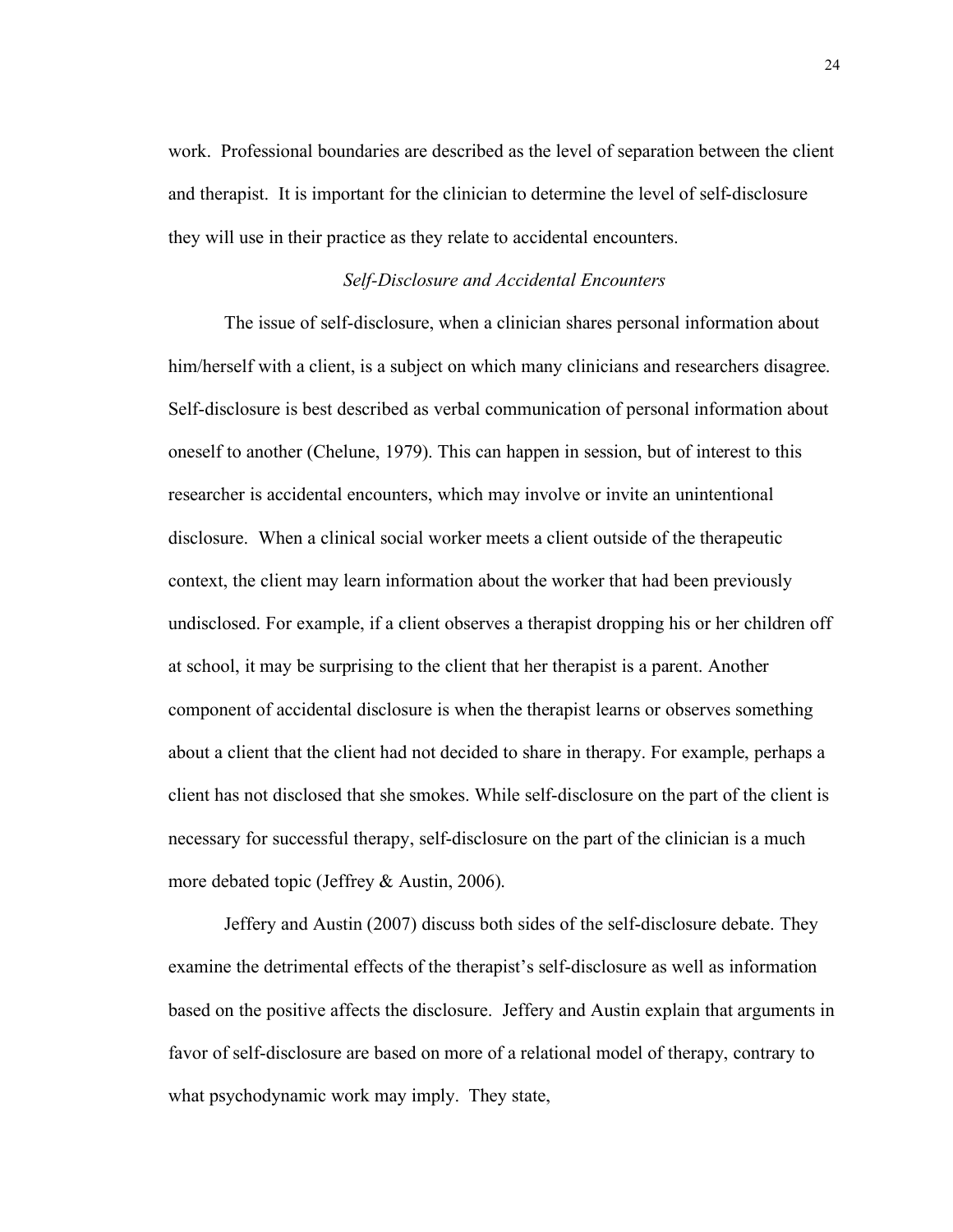work. Professional boundaries are described as the level of separation between the client and therapist. It is important for the clinician to determine the level of self-disclosure they will use in their practice as they relate to accidental encounters.

#### *Self-Disclosure and Accidental Encounters*

The issue of self-disclosure, when a clinician shares personal information about him/herself with a client, is a subject on which many clinicians and researchers disagree. Self-disclosure is best described as verbal communication of personal information about oneself to another (Chelune, 1979). This can happen in session, but of interest to this researcher is accidental encounters, which may involve or invite an unintentional disclosure. When a clinical social worker meets a client outside of the therapeutic context, the client may learn information about the worker that had been previously undisclosed. For example, if a client observes a therapist dropping his or her children off at school, it may be surprising to the client that her therapist is a parent. Another component of accidental disclosure is when the therapist learns or observes something about a client that the client had not decided to share in therapy. For example, perhaps a client has not disclosed that she smokes. While self-disclosure on the part of the client is necessary for successful therapy, self-disclosure on the part of the clinician is a much more debated topic (Jeffrey & Austin, 2006).

Jeffery and Austin (2007) discuss both sides of the self-disclosure debate. They examine the detrimental effects of the therapist's self-disclosure as well as information based on the positive affects the disclosure. Jeffery and Austin explain that arguments in favor of self-disclosure are based on more of a relational model of therapy, contrary to what psychodynamic work may imply. They state,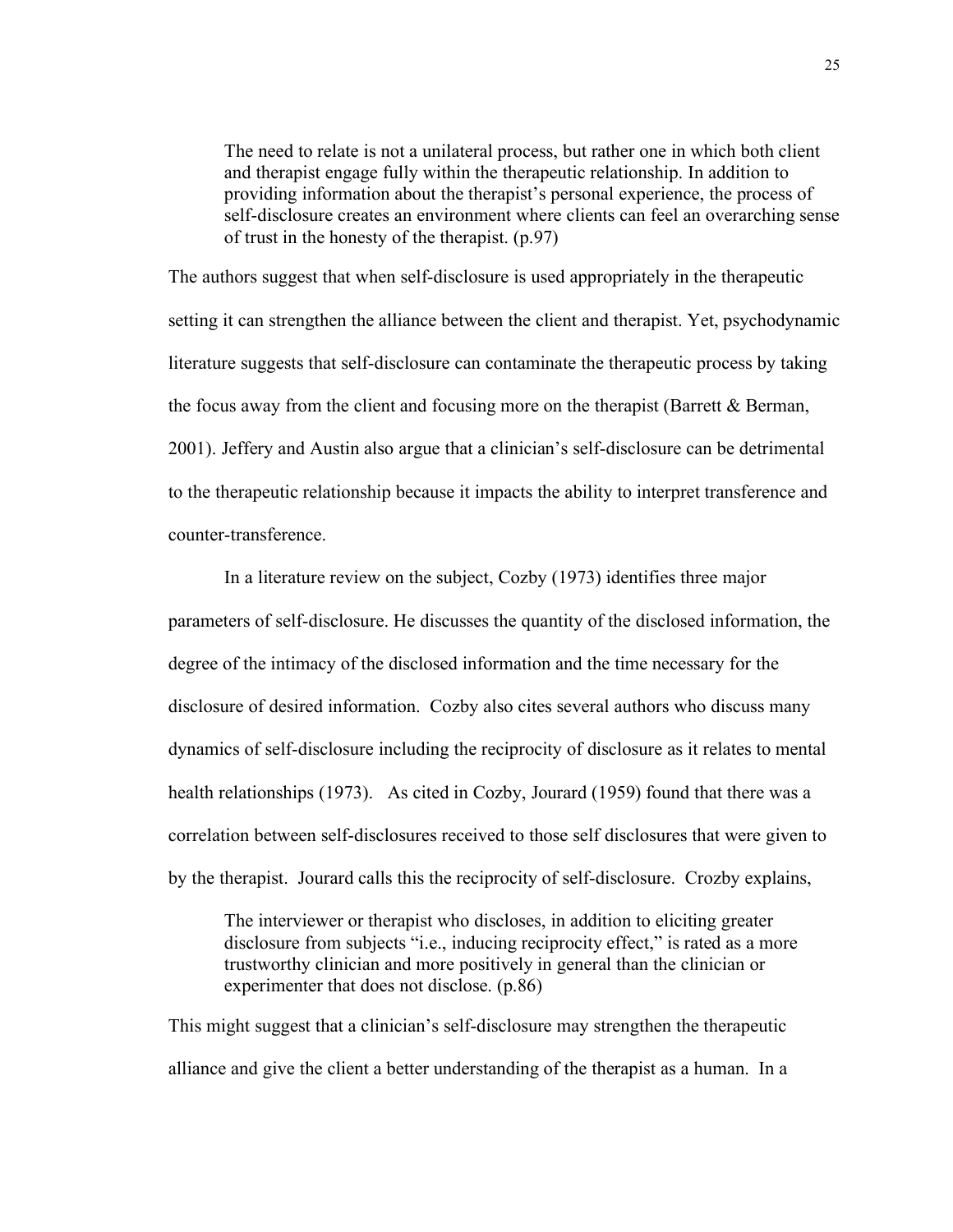The need to relate is not a unilateral process, but rather one in which both client and therapist engage fully within the therapeutic relationship. In addition to providing information about the therapist's personal experience, the process of self-disclosure creates an environment where clients can feel an overarching sense of trust in the honesty of the therapist. (p.97)

The authors suggest that when self-disclosure is used appropriately in the therapeutic setting it can strengthen the alliance between the client and therapist. Yet, psychodynamic literature suggests that self-disclosure can contaminate the therapeutic process by taking the focus away from the client and focusing more on the therapist (Barrett & Berman, 2001). Jeffery and Austin also argue that a clinician's self-disclosure can be detrimental to the therapeutic relationship because it impacts the ability to interpret transference and counter-transference.

In a literature review on the subject, Cozby (1973) identifies three major parameters of self-disclosure. He discusses the quantity of the disclosed information, the degree of the intimacy of the disclosed information and the time necessary for the disclosure of desired information. Cozby also cites several authors who discuss many dynamics of self-disclosure including the reciprocity of disclosure as it relates to mental health relationships (1973). As cited in Cozby, Jourard (1959) found that there was a correlation between self-disclosures received to those self disclosures that were given to by the therapist. Jourard calls this the reciprocity of self-disclosure. Crozby explains,

The interviewer or therapist who discloses, in addition to eliciting greater disclosure from subjects "i.e., inducing reciprocity effect," is rated as a more trustworthy clinician and more positively in general than the clinician or experimenter that does not disclose. (p.86)

This might suggest that a clinician's self-disclosure may strengthen the therapeutic alliance and give the client a better understanding of the therapist as a human. In a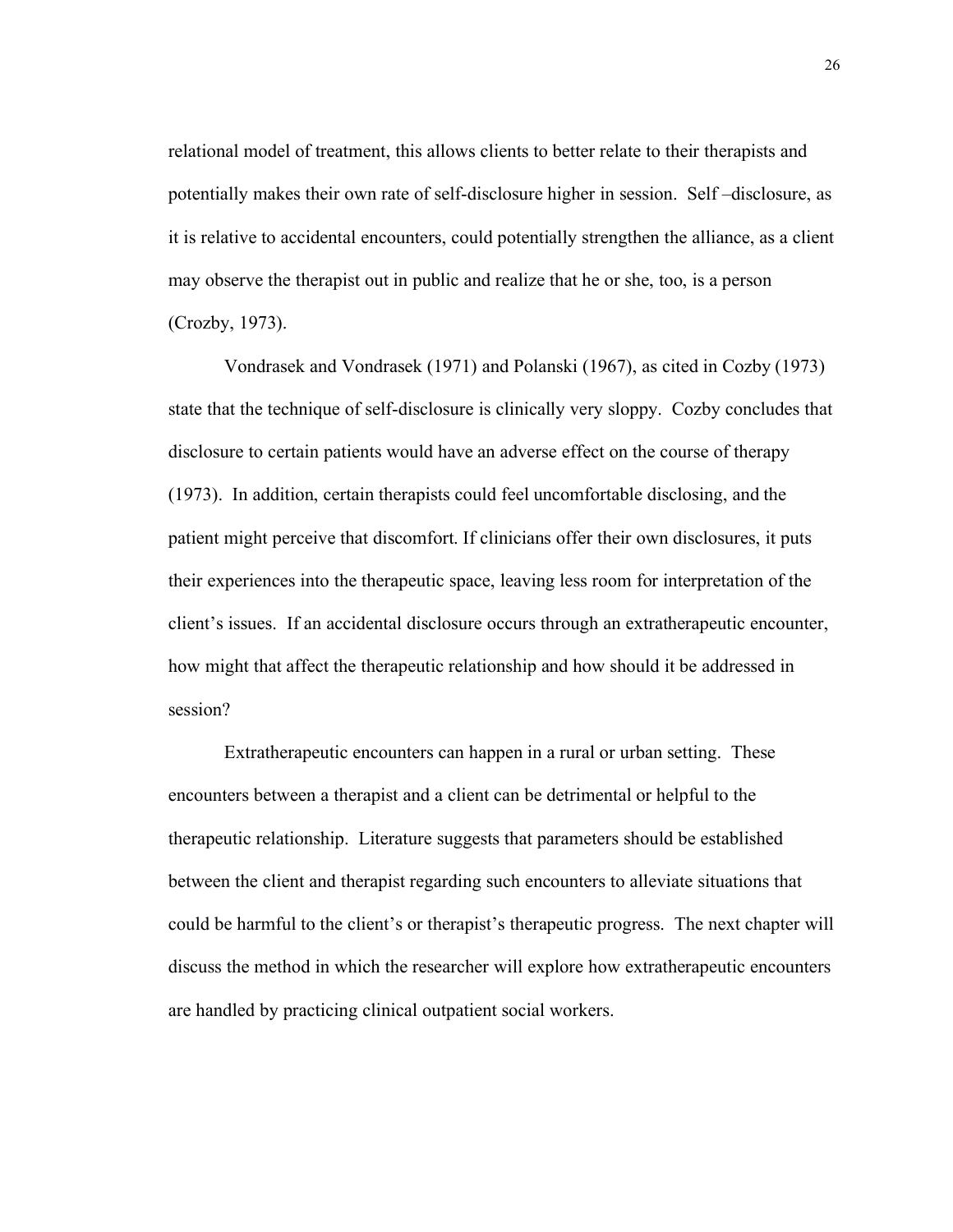relational model of treatment, this allows clients to better relate to their therapists and potentially makes their own rate of self-disclosure higher in session. Self –disclosure, as it is relative to accidental encounters, could potentially strengthen the alliance, as a client may observe the therapist out in public and realize that he or she, too, is a person (Crozby, 1973).

Vondrasek and Vondrasek (1971) and Polanski (1967), as cited in Cozby (1973) state that the technique of self-disclosure is clinically very sloppy. Cozby concludes that disclosure to certain patients would have an adverse effect on the course of therapy (1973). In addition, certain therapists could feel uncomfortable disclosing, and the patient might perceive that discomfort. If clinicians offer their own disclosures, it puts their experiences into the therapeutic space, leaving less room for interpretation of the client's issues. If an accidental disclosure occurs through an extratherapeutic encounter, how might that affect the therapeutic relationship and how should it be addressed in session?

Extratherapeutic encounters can happen in a rural or urban setting. These encounters between a therapist and a client can be detrimental or helpful to the therapeutic relationship. Literature suggests that parameters should be established between the client and therapist regarding such encounters to alleviate situations that could be harmful to the client's or therapist's therapeutic progress. The next chapter will discuss the method in which the researcher will explore how extratherapeutic encounters are handled by practicing clinical outpatient social workers.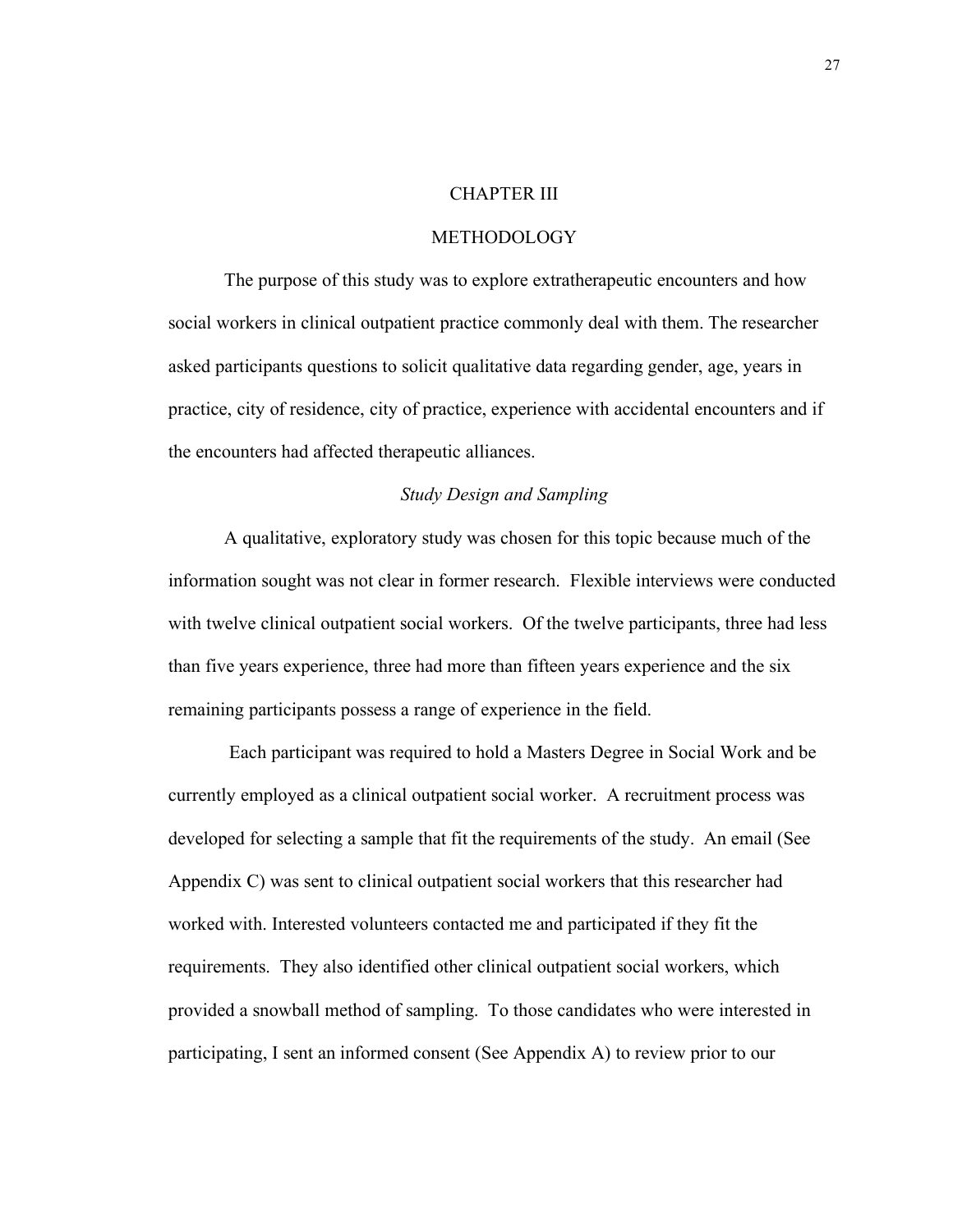#### CHAPTER III

#### METHODOLOGY

The purpose of this study was to explore extratherapeutic encounters and how social workers in clinical outpatient practice commonly deal with them. The researcher asked participants questions to solicit qualitative data regarding gender, age, years in practice, city of residence, city of practice, experience with accidental encounters and if the encounters had affected therapeutic alliances.

### *Study Design and Sampling*

A qualitative, exploratory study was chosen for this topic because much of the information sought was not clear in former research. Flexible interviews were conducted with twelve clinical outpatient social workers. Of the twelve participants, three had less than five years experience, three had more than fifteen years experience and the six remaining participants possess a range of experience in the field.

 Each participant was required to hold a Masters Degree in Social Work and be currently employed as a clinical outpatient social worker. A recruitment process was developed for selecting a sample that fit the requirements of the study. An email (See Appendix C) was sent to clinical outpatient social workers that this researcher had worked with. Interested volunteers contacted me and participated if they fit the requirements. They also identified other clinical outpatient social workers, which provided a snowball method of sampling. To those candidates who were interested in participating, I sent an informed consent (See Appendix A) to review prior to our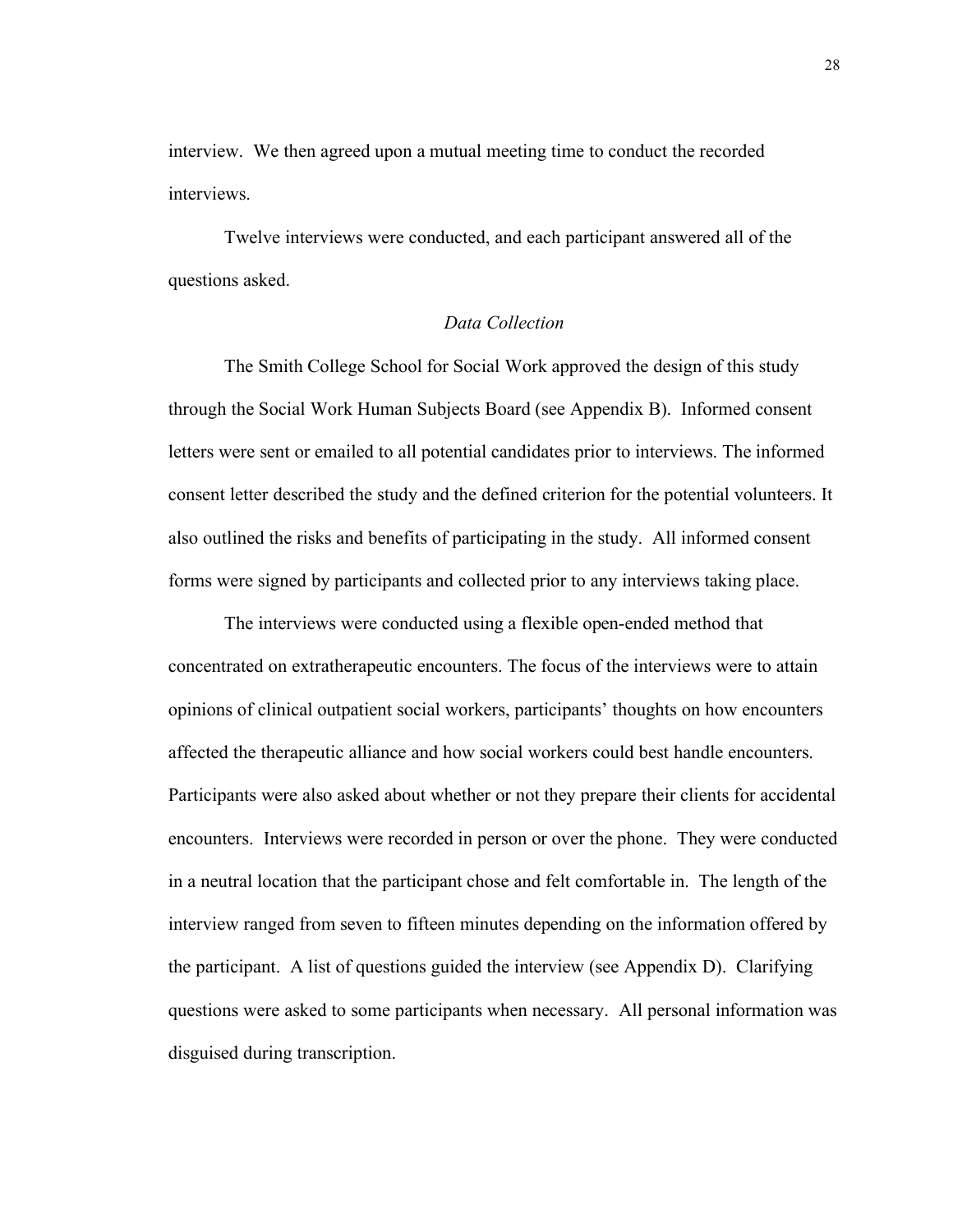interview. We then agreed upon a mutual meeting time to conduct the recorded interviews.

Twelve interviews were conducted, and each participant answered all of the questions asked.

# *Data Collection*

The Smith College School for Social Work approved the design of this study through the Social Work Human Subjects Board (see Appendix B). Informed consent letters were sent or emailed to all potential candidates prior to interviews. The informed consent letter described the study and the defined criterion for the potential volunteers. It also outlined the risks and benefits of participating in the study. All informed consent forms were signed by participants and collected prior to any interviews taking place.

The interviews were conducted using a flexible open-ended method that concentrated on extratherapeutic encounters. The focus of the interviews were to attain opinions of clinical outpatient social workers, participants' thoughts on how encounters affected the therapeutic alliance and how social workers could best handle encounters. Participants were also asked about whether or not they prepare their clients for accidental encounters. Interviews were recorded in person or over the phone. They were conducted in a neutral location that the participant chose and felt comfortable in. The length of the interview ranged from seven to fifteen minutes depending on the information offered by the participant. A list of questions guided the interview (see Appendix D). Clarifying questions were asked to some participants when necessary. All personal information was disguised during transcription.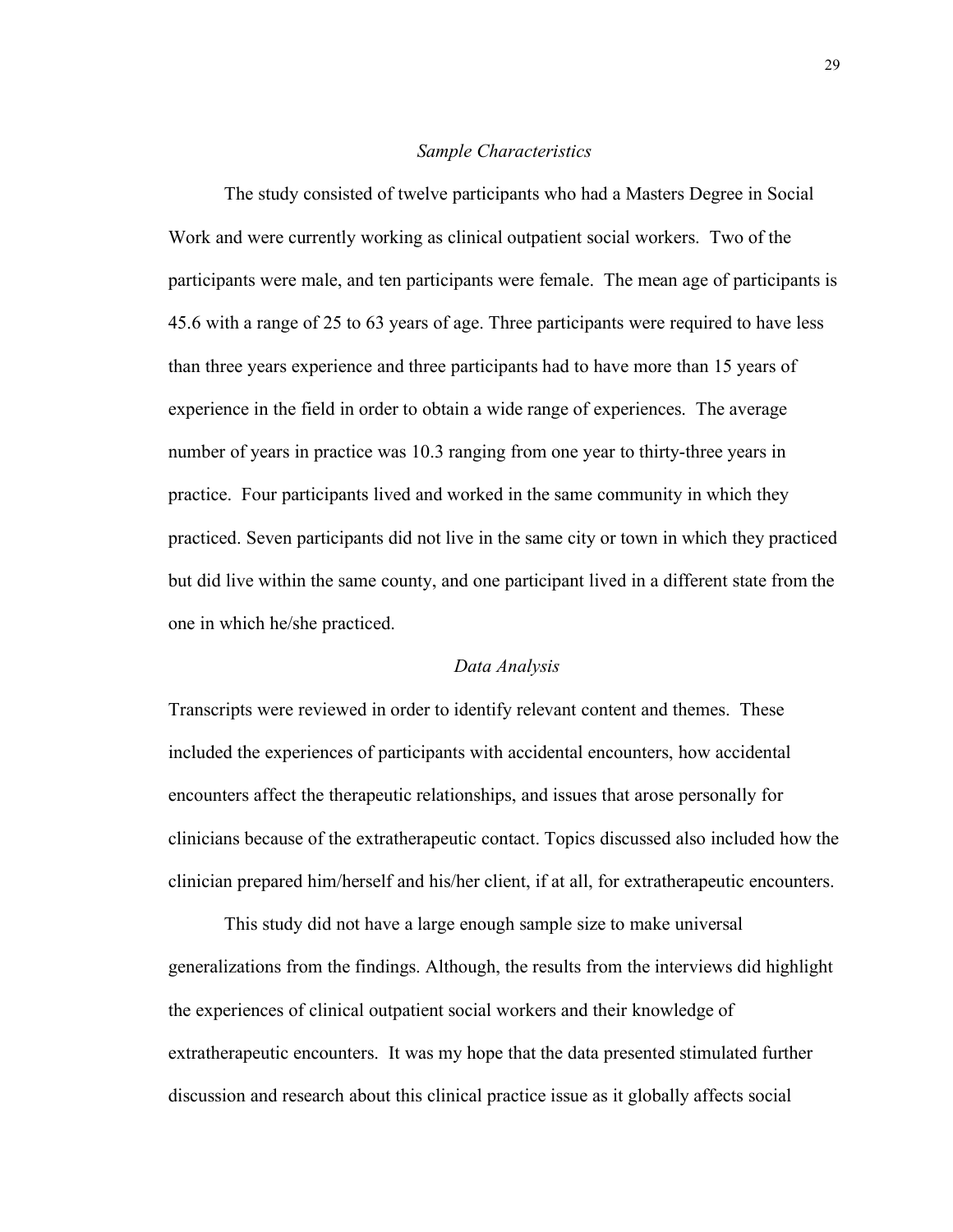#### *Sample Characteristics*

The study consisted of twelve participants who had a Masters Degree in Social Work and were currently working as clinical outpatient social workers. Two of the participants were male, and ten participants were female. The mean age of participants is 45.6 with a range of 25 to 63 years of age. Three participants were required to have less than three years experience and three participants had to have more than 15 years of experience in the field in order to obtain a wide range of experiences. The average number of years in practice was 10.3 ranging from one year to thirty-three years in practice. Four participants lived and worked in the same community in which they practiced. Seven participants did not live in the same city or town in which they practiced but did live within the same county, and one participant lived in a different state from the one in which he/she practiced.

### *Data Analysis*

Transcripts were reviewed in order to identify relevant content and themes. These included the experiences of participants with accidental encounters, how accidental encounters affect the therapeutic relationships, and issues that arose personally for clinicians because of the extratherapeutic contact. Topics discussed also included how the clinician prepared him/herself and his/her client, if at all, for extratherapeutic encounters.

This study did not have a large enough sample size to make universal generalizations from the findings. Although, the results from the interviews did highlight the experiences of clinical outpatient social workers and their knowledge of extratherapeutic encounters. It was my hope that the data presented stimulated further discussion and research about this clinical practice issue as it globally affects social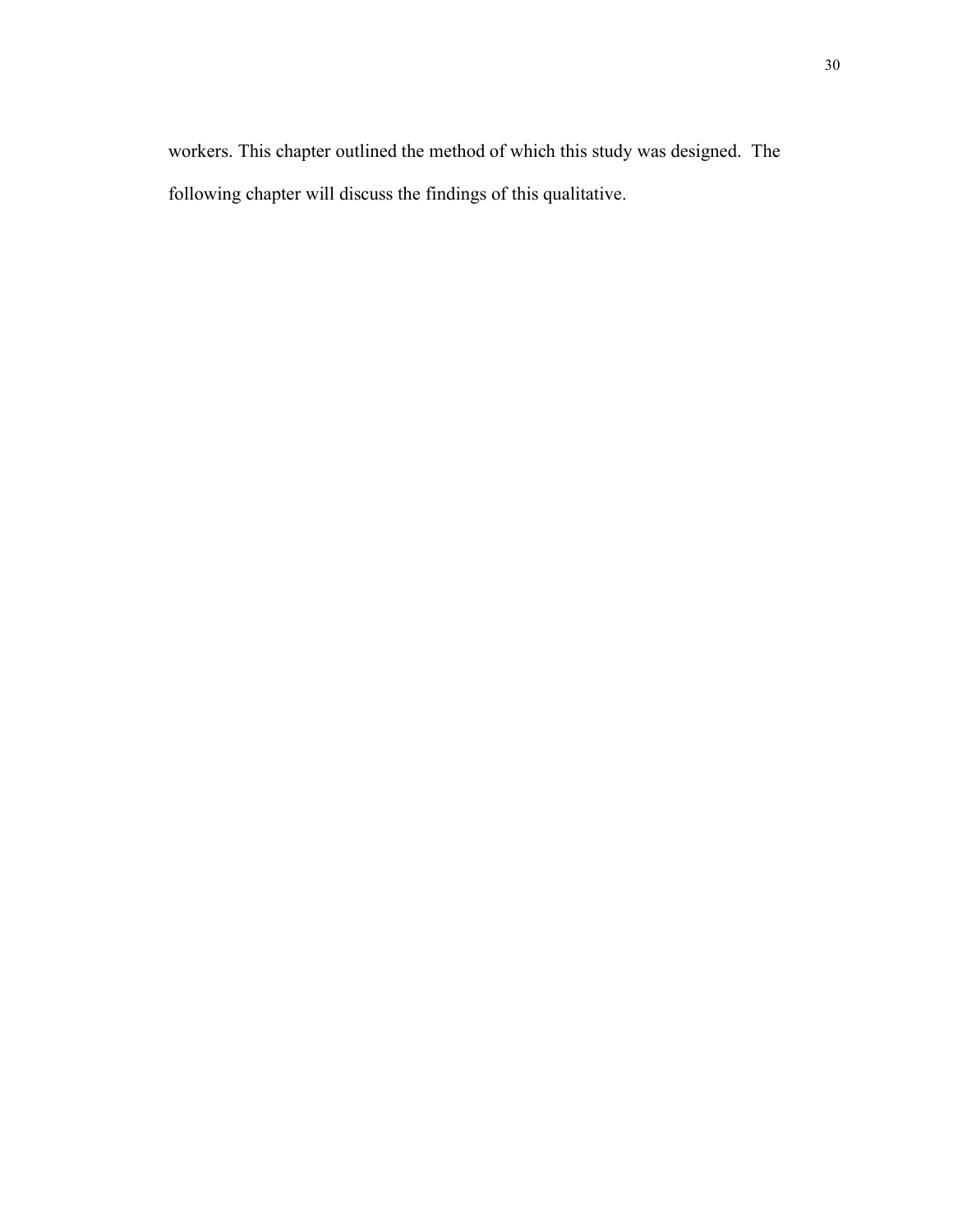workers. This chapter outlined the method of which this study was designed. The following chapter will discuss the findings of this qualitative.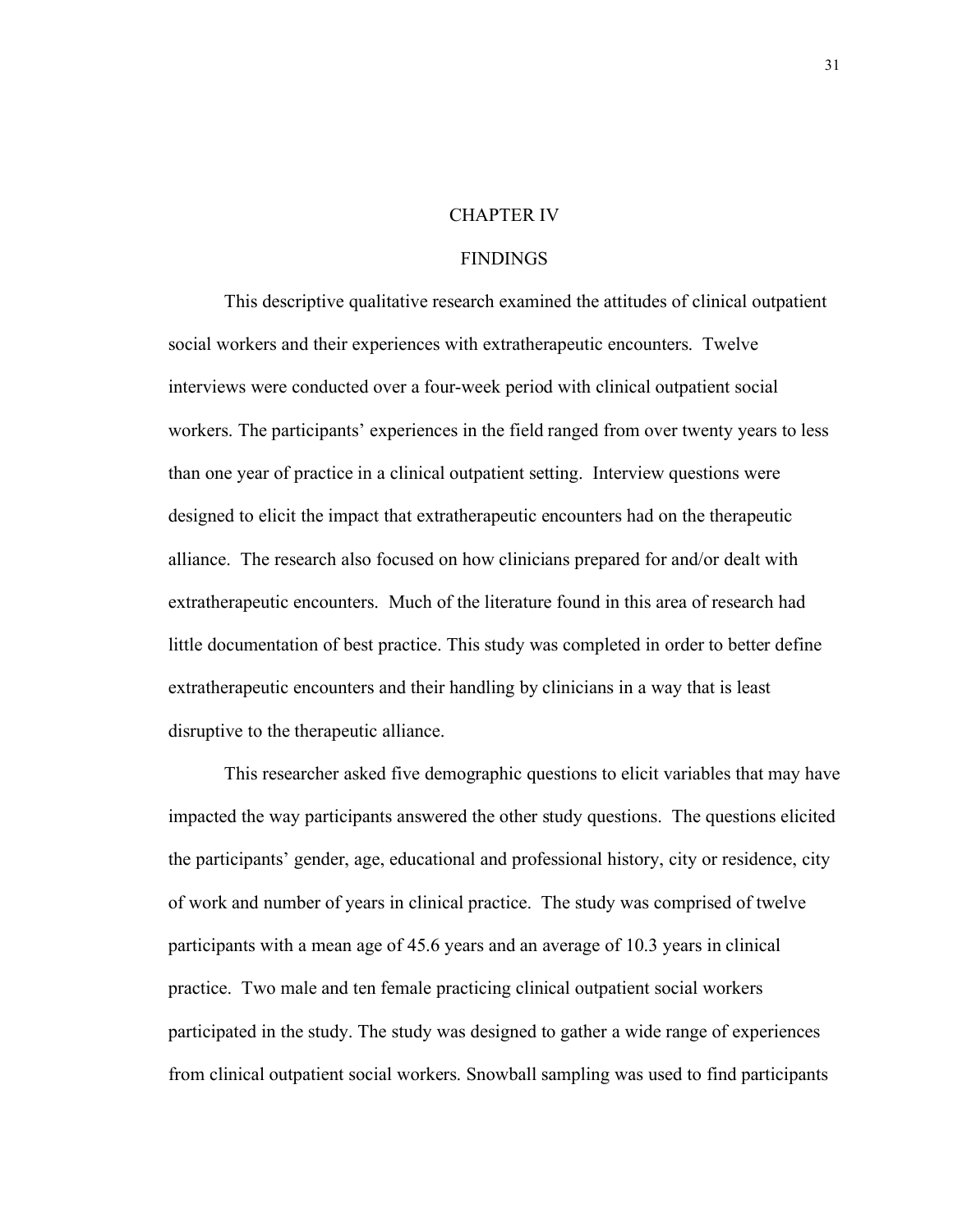# CHAPTER IV

# **FINDINGS**

This descriptive qualitative research examined the attitudes of clinical outpatient social workers and their experiences with extratherapeutic encounters. Twelve interviews were conducted over a four-week period with clinical outpatient social workers. The participants' experiences in the field ranged from over twenty years to less than one year of practice in a clinical outpatient setting. Interview questions were designed to elicit the impact that extratherapeutic encounters had on the therapeutic alliance. The research also focused on how clinicians prepared for and/or dealt with extratherapeutic encounters. Much of the literature found in this area of research had little documentation of best practice. This study was completed in order to better define extratherapeutic encounters and their handling by clinicians in a way that is least disruptive to the therapeutic alliance.

This researcher asked five demographic questions to elicit variables that may have impacted the way participants answered the other study questions. The questions elicited the participants' gender, age, educational and professional history, city or residence, city of work and number of years in clinical practice. The study was comprised of twelve participants with a mean age of 45.6 years and an average of 10.3 years in clinical practice. Two male and ten female practicing clinical outpatient social workers participated in the study. The study was designed to gather a wide range of experiences from clinical outpatient social workers. Snowball sampling was used to find participants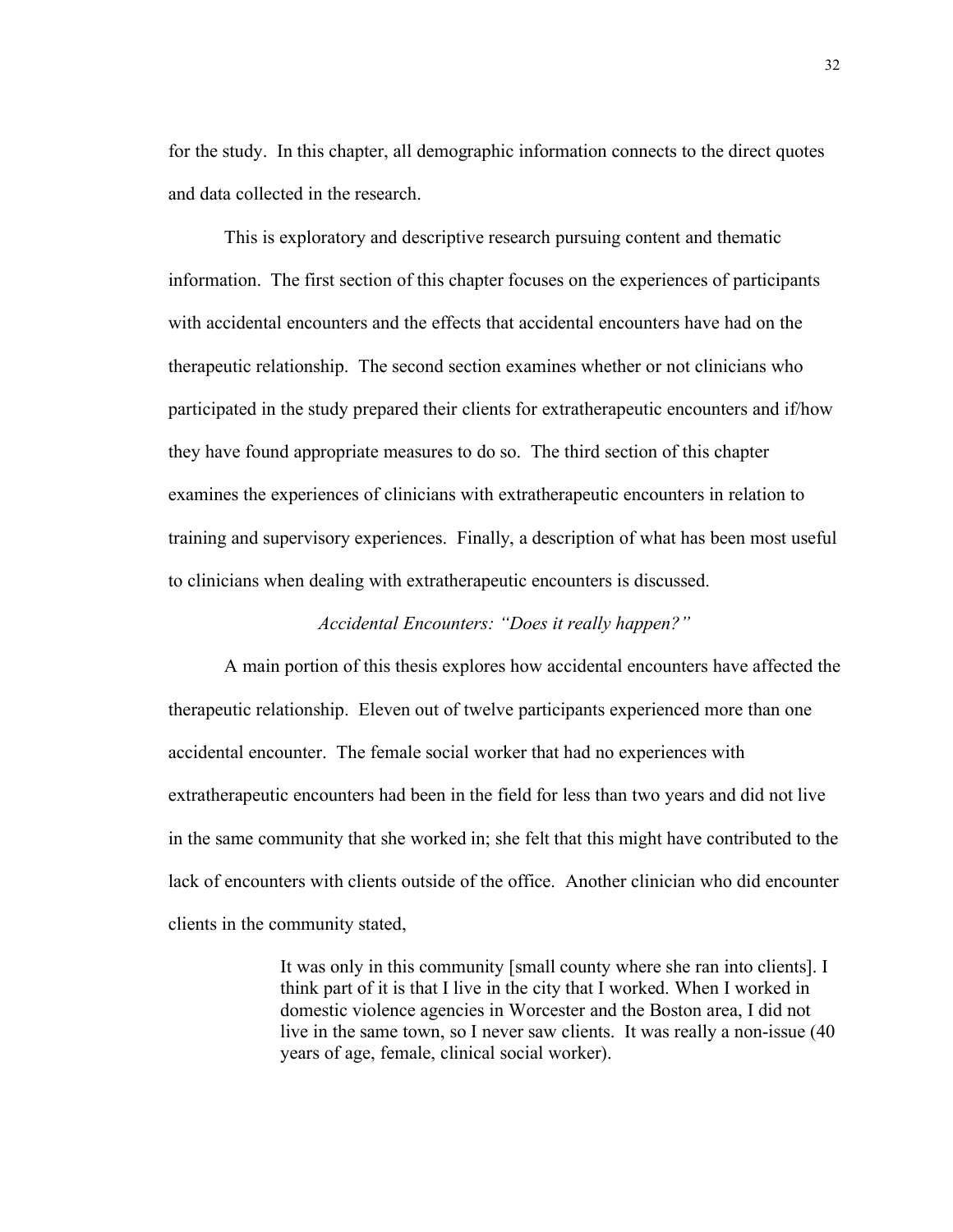for the study. In this chapter, all demographic information connects to the direct quotes and data collected in the research.

This is exploratory and descriptive research pursuing content and thematic information. The first section of this chapter focuses on the experiences of participants with accidental encounters and the effects that accidental encounters have had on the therapeutic relationship. The second section examines whether or not clinicians who participated in the study prepared their clients for extratherapeutic encounters and if/how they have found appropriate measures to do so. The third section of this chapter examines the experiences of clinicians with extratherapeutic encounters in relation to training and supervisory experiences. Finally, a description of what has been most useful to clinicians when dealing with extratherapeutic encounters is discussed.

## *Accidental Encounters: "Does it really happen?"*

A main portion of this thesis explores how accidental encounters have affected the therapeutic relationship. Eleven out of twelve participants experienced more than one accidental encounter. The female social worker that had no experiences with extratherapeutic encounters had been in the field for less than two years and did not live in the same community that she worked in; she felt that this might have contributed to the lack of encounters with clients outside of the office. Another clinician who did encounter clients in the community stated,

> It was only in this community [small county where she ran into clients]. I think part of it is that I live in the city that I worked. When I worked in domestic violence agencies in Worcester and the Boston area, I did not live in the same town, so I never saw clients. It was really a non-issue (40 years of age, female, clinical social worker).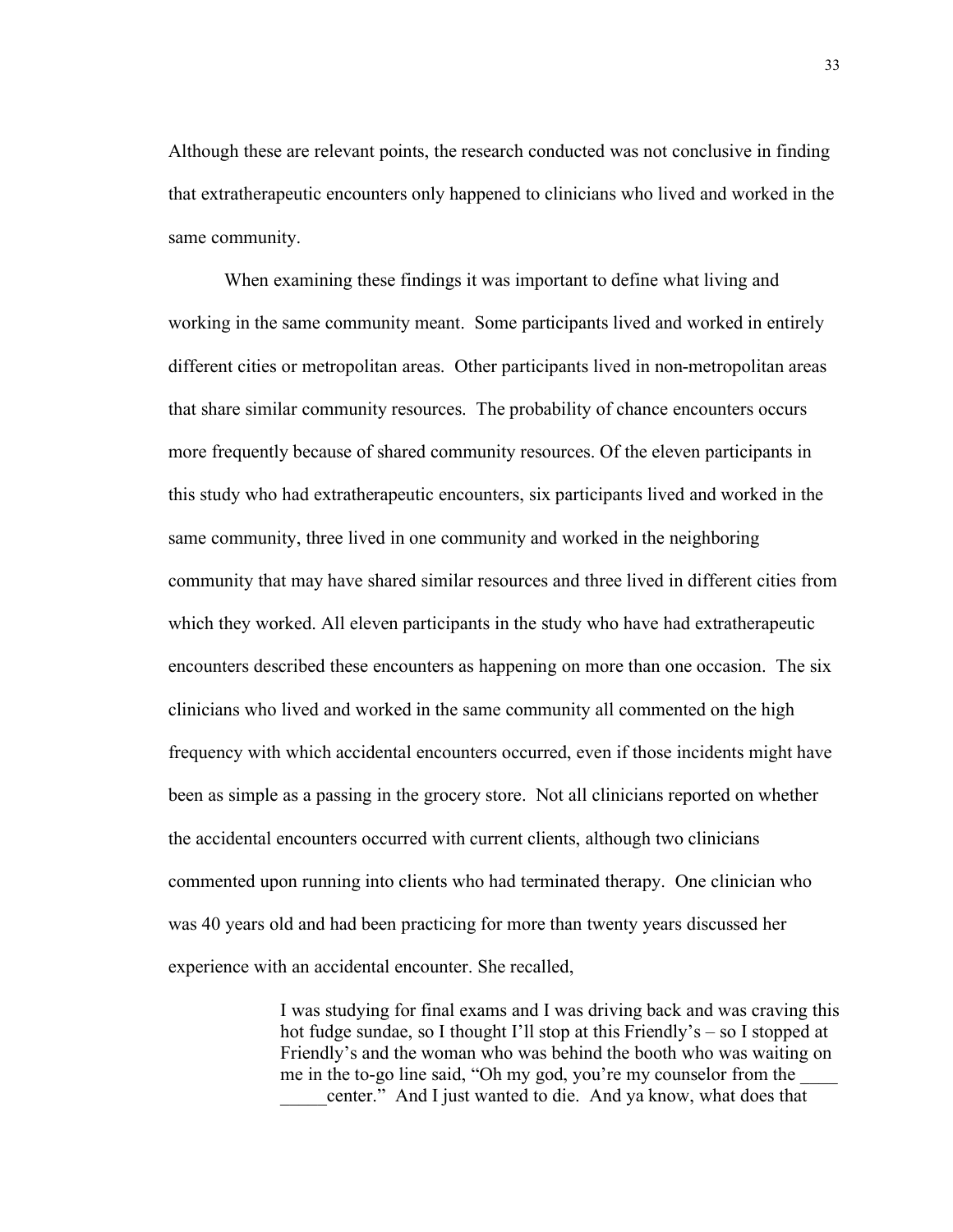Although these are relevant points, the research conducted was not conclusive in finding that extratherapeutic encounters only happened to clinicians who lived and worked in the same community.

When examining these findings it was important to define what living and working in the same community meant. Some participants lived and worked in entirely different cities or metropolitan areas. Other participants lived in non-metropolitan areas that share similar community resources. The probability of chance encounters occurs more frequently because of shared community resources. Of the eleven participants in this study who had extratherapeutic encounters, six participants lived and worked in the same community, three lived in one community and worked in the neighboring community that may have shared similar resources and three lived in different cities from which they worked. All eleven participants in the study who have had extratherapeutic encounters described these encounters as happening on more than one occasion. The six clinicians who lived and worked in the same community all commented on the high frequency with which accidental encounters occurred, even if those incidents might have been as simple as a passing in the grocery store. Not all clinicians reported on whether the accidental encounters occurred with current clients, although two clinicians commented upon running into clients who had terminated therapy. One clinician who was 40 years old and had been practicing for more than twenty years discussed her experience with an accidental encounter. She recalled,

> I was studying for final exams and I was driving back and was craving this hot fudge sundae, so I thought I'll stop at this Friendly's – so I stopped at Friendly's and the woman who was behind the booth who was waiting on me in the to-go line said, "Oh my god, you're my counselor from the center." And I just wanted to die. And ya know, what does that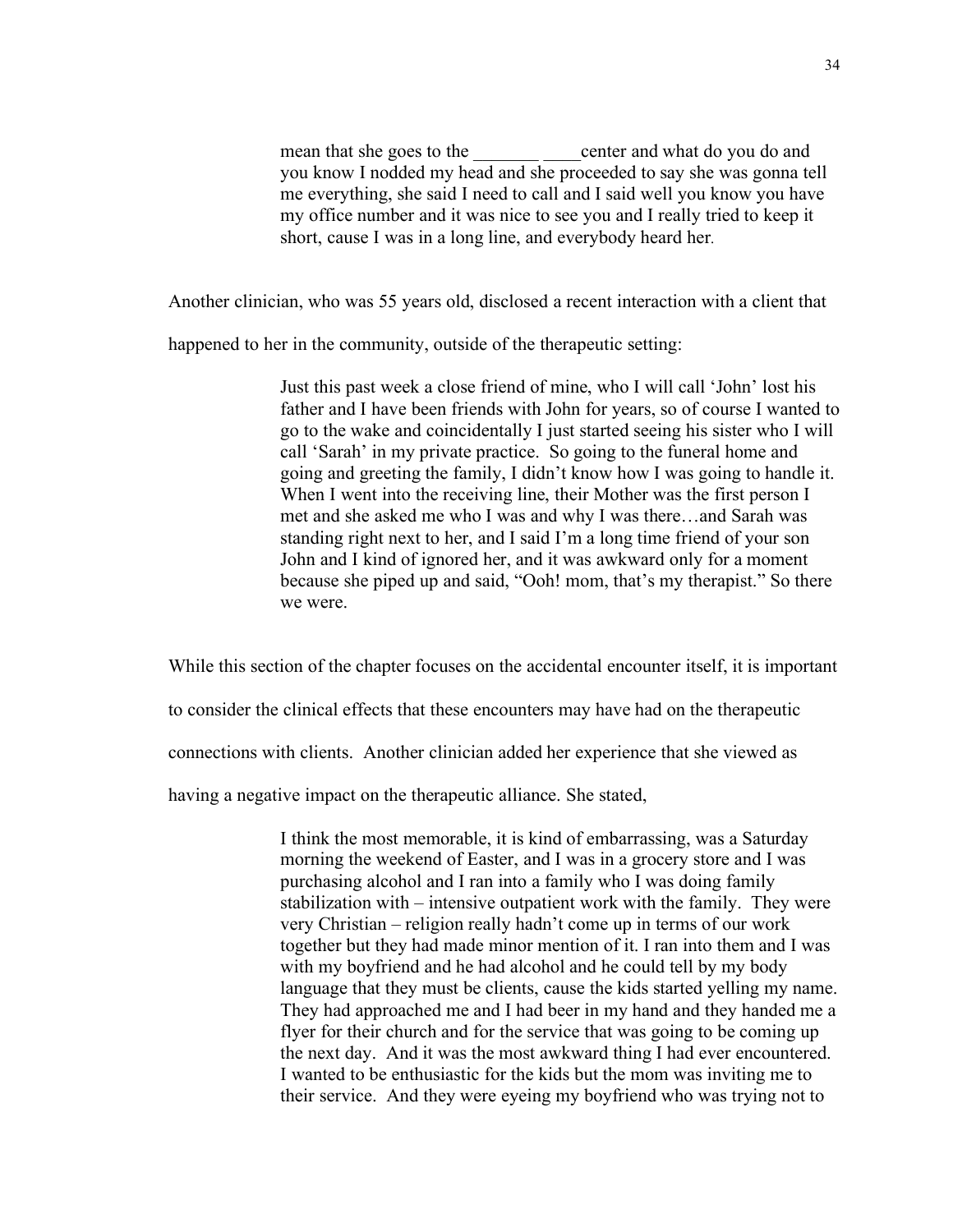mean that she goes to the center and what do you do and you know I nodded my head and she proceeded to say she was gonna tell me everything, she said I need to call and I said well you know you have my office number and it was nice to see you and I really tried to keep it short, cause I was in a long line, and everybody heard her.

Another clinician, who was 55 years old, disclosed a recent interaction with a client that

happened to her in the community, outside of the therapeutic setting:

Just this past week a close friend of mine, who I will call 'John' lost his father and I have been friends with John for years, so of course I wanted to go to the wake and coincidentally I just started seeing his sister who I will call 'Sarah' in my private practice. So going to the funeral home and going and greeting the family, I didn't know how I was going to handle it. When I went into the receiving line, their Mother was the first person I met and she asked me who I was and why I was there…and Sarah was standing right next to her, and I said I'm a long time friend of your son John and I kind of ignored her, and it was awkward only for a moment because she piped up and said, "Ooh! mom, that's my therapist." So there we were.

While this section of the chapter focuses on the accidental encounter itself, it is important

to consider the clinical effects that these encounters may have had on the therapeutic

connections with clients. Another clinician added her experience that she viewed as

having a negative impact on the therapeutic alliance. She stated,

I think the most memorable, it is kind of embarrassing, was a Saturday morning the weekend of Easter, and I was in a grocery store and I was purchasing alcohol and I ran into a family who I was doing family stabilization with – intensive outpatient work with the family. They were very Christian – religion really hadn't come up in terms of our work together but they had made minor mention of it. I ran into them and I was with my boyfriend and he had alcohol and he could tell by my body language that they must be clients, cause the kids started yelling my name. They had approached me and I had beer in my hand and they handed me a flyer for their church and for the service that was going to be coming up the next day. And it was the most awkward thing I had ever encountered. I wanted to be enthusiastic for the kids but the mom was inviting me to their service. And they were eyeing my boyfriend who was trying not to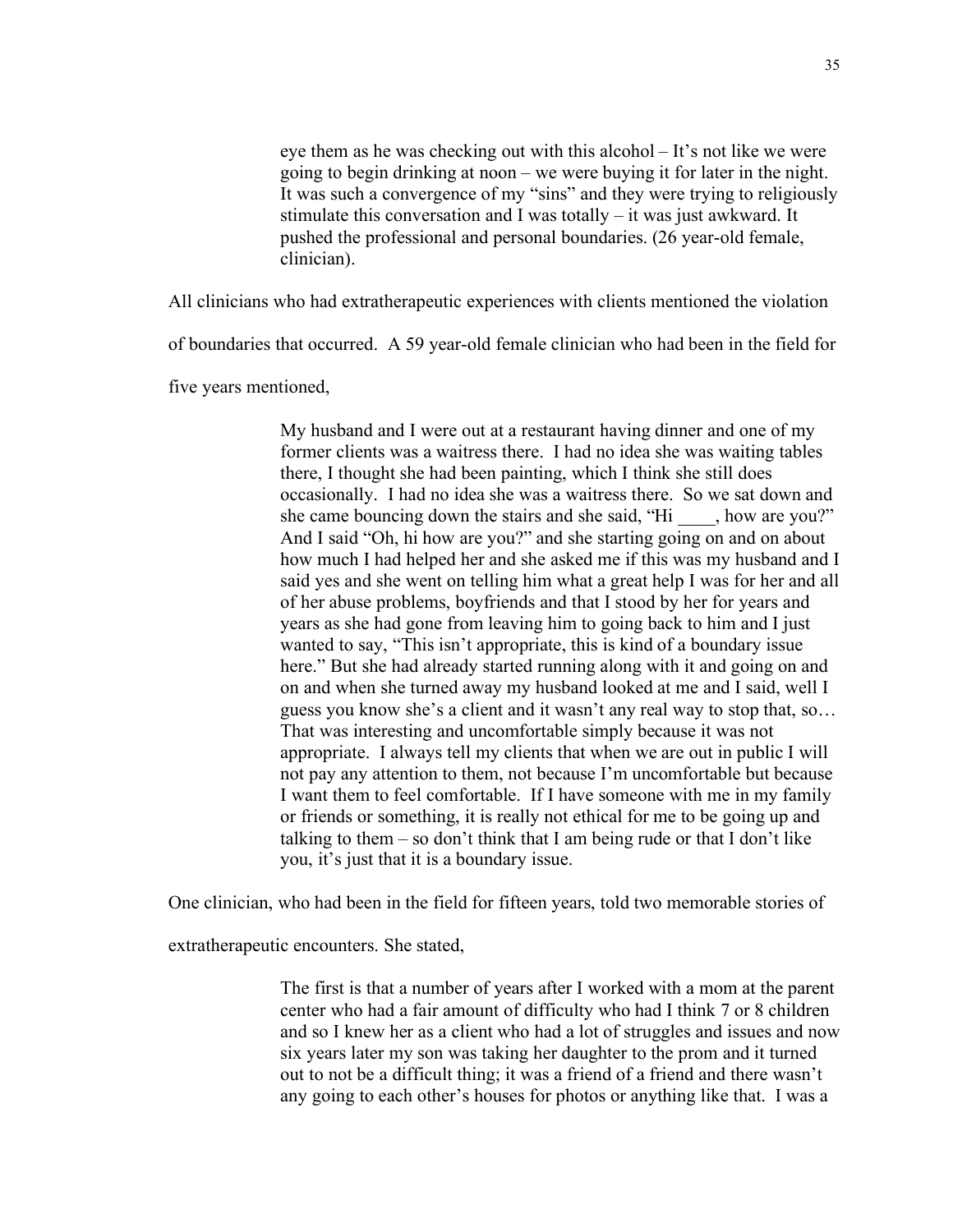eye them as he was checking out with this alcohol – It's not like we were going to begin drinking at noon – we were buying it for later in the night. It was such a convergence of my "sins" and they were trying to religiously stimulate this conversation and I was totally – it was just awkward. It pushed the professional and personal boundaries. (26 year-old female, clinician).

All clinicians who had extratherapeutic experiences with clients mentioned the violation

of boundaries that occurred. A 59 year-old female clinician who had been in the field for

five years mentioned,

My husband and I were out at a restaurant having dinner and one of my former clients was a waitress there. I had no idea she was waiting tables there, I thought she had been painting, which I think she still does occasionally. I had no idea she was a waitress there. So we sat down and she came bouncing down the stairs and she said, "Hi \_\_\_\_, how are you?" And I said "Oh, hi how are you?" and she starting going on and on about how much I had helped her and she asked me if this was my husband and I said yes and she went on telling him what a great help I was for her and all of her abuse problems, boyfriends and that I stood by her for years and years as she had gone from leaving him to going back to him and I just wanted to say, "This isn't appropriate, this is kind of a boundary issue here." But she had already started running along with it and going on and on and when she turned away my husband looked at me and I said, well I guess you know she's a client and it wasn't any real way to stop that, so… That was interesting and uncomfortable simply because it was not appropriate. I always tell my clients that when we are out in public I will not pay any attention to them, not because I'm uncomfortable but because I want them to feel comfortable. If I have someone with me in my family or friends or something, it is really not ethical for me to be going up and talking to them – so don't think that I am being rude or that I don't like you, it's just that it is a boundary issue.

One clinician, who had been in the field for fifteen years, told two memorable stories of

extratherapeutic encounters. She stated,

The first is that a number of years after I worked with a mom at the parent center who had a fair amount of difficulty who had I think 7 or 8 children and so I knew her as a client who had a lot of struggles and issues and now six years later my son was taking her daughter to the prom and it turned out to not be a difficult thing; it was a friend of a friend and there wasn't any going to each other's houses for photos or anything like that. I was a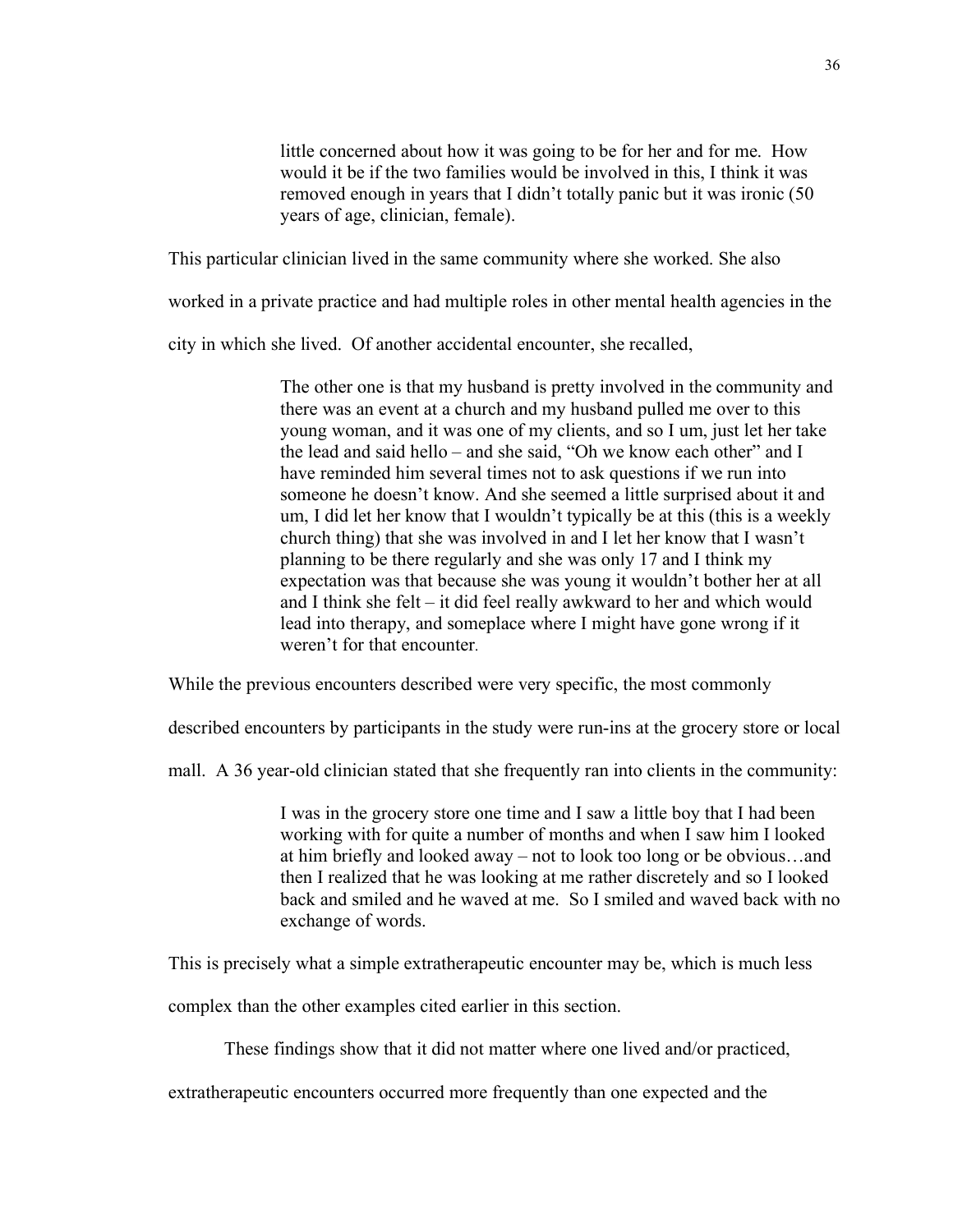little concerned about how it was going to be for her and for me. How would it be if the two families would be involved in this, I think it was removed enough in years that I didn't totally panic but it was ironic (50 years of age, clinician, female).

This particular clinician lived in the same community where she worked. She also

worked in a private practice and had multiple roles in other mental health agencies in the

city in which she lived. Of another accidental encounter, she recalled,

The other one is that my husband is pretty involved in the community and there was an event at a church and my husband pulled me over to this young woman, and it was one of my clients, and so I um, just let her take the lead and said hello – and she said, "Oh we know each other" and I have reminded him several times not to ask questions if we run into someone he doesn't know. And she seemed a little surprised about it and um, I did let her know that I wouldn't typically be at this (this is a weekly church thing) that she was involved in and I let her know that I wasn't planning to be there regularly and she was only 17 and I think my expectation was that because she was young it wouldn't bother her at all and I think she felt – it did feel really awkward to her and which would lead into therapy, and someplace where I might have gone wrong if it weren't for that encounter.

While the previous encounters described were very specific, the most commonly

described encounters by participants in the study were run-ins at the grocery store or local

mall. A 36 year-old clinician stated that she frequently ran into clients in the community:

I was in the grocery store one time and I saw a little boy that I had been working with for quite a number of months and when I saw him I looked at him briefly and looked away – not to look too long or be obvious…and then I realized that he was looking at me rather discretely and so I looked back and smiled and he waved at me. So I smiled and waved back with no exchange of words.

This is precisely what a simple extratherapeutic encounter may be, which is much less

complex than the other examples cited earlier in this section.

These findings show that it did not matter where one lived and/or practiced,

extratherapeutic encounters occurred more frequently than one expected and the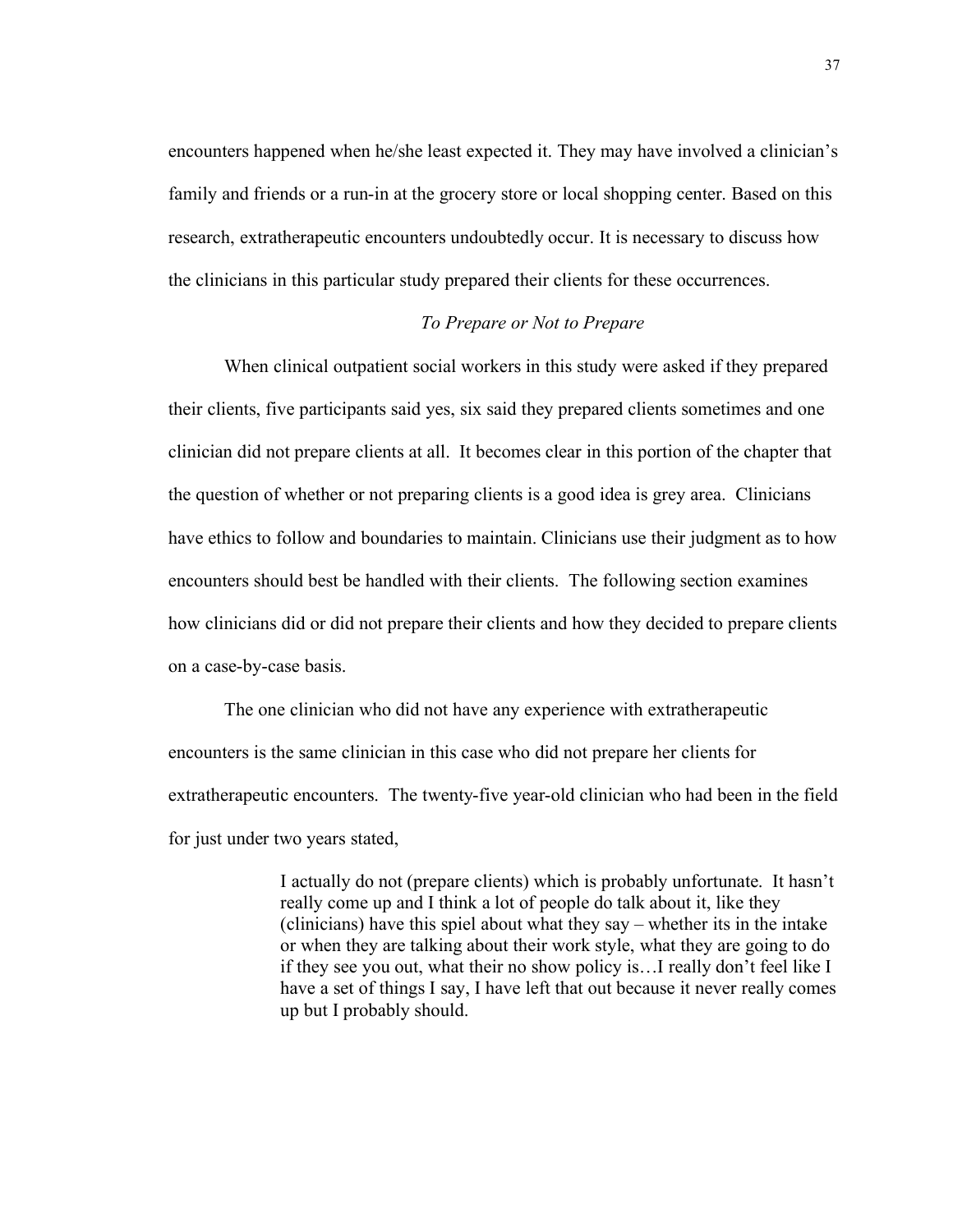encounters happened when he/she least expected it. They may have involved a clinician's family and friends or a run-in at the grocery store or local shopping center. Based on this research, extratherapeutic encounters undoubtedly occur. It is necessary to discuss how the clinicians in this particular study prepared their clients for these occurrences.

## *To Prepare or Not to Prepare*

When clinical outpatient social workers in this study were asked if they prepared their clients, five participants said yes, six said they prepared clients sometimes and one clinician did not prepare clients at all. It becomes clear in this portion of the chapter that the question of whether or not preparing clients is a good idea is grey area. Clinicians have ethics to follow and boundaries to maintain. Clinicians use their judgment as to how encounters should best be handled with their clients. The following section examines how clinicians did or did not prepare their clients and how they decided to prepare clients on a case-by-case basis.

The one clinician who did not have any experience with extratherapeutic encounters is the same clinician in this case who did not prepare her clients for extratherapeutic encounters. The twenty-five year-old clinician who had been in the field for just under two years stated,

> I actually do not (prepare clients) which is probably unfortunate. It hasn't really come up and I think a lot of people do talk about it, like they (clinicians) have this spiel about what they say – whether its in the intake or when they are talking about their work style, what they are going to do if they see you out, what their no show policy is…I really don't feel like I have a set of things I say, I have left that out because it never really comes up but I probably should.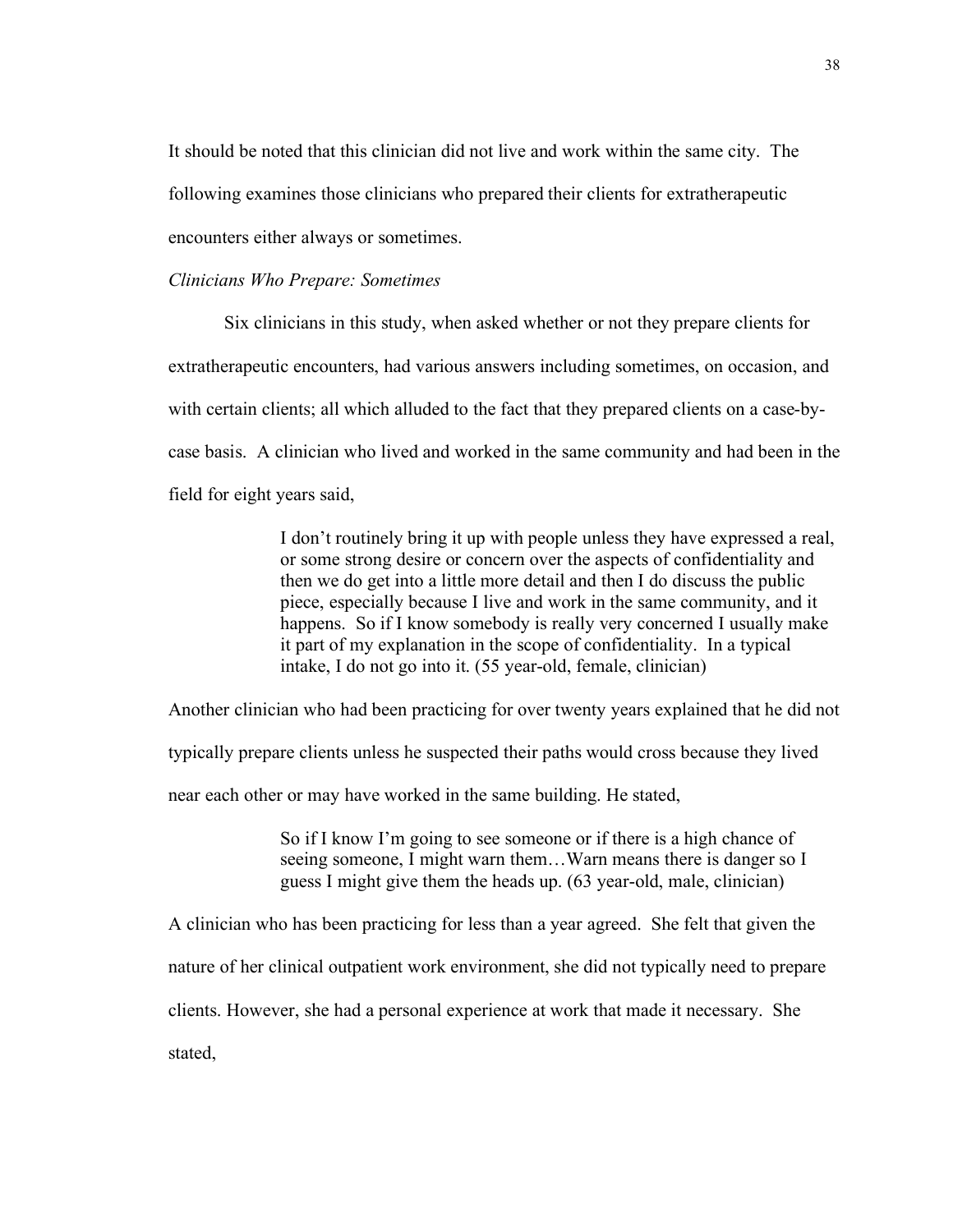It should be noted that this clinician did not live and work within the same city. The following examines those clinicians who prepared their clients for extratherapeutic encounters either always or sometimes.

### *Clinicians Who Prepare: Sometimes*

Six clinicians in this study, when asked whether or not they prepare clients for extratherapeutic encounters, had various answers including sometimes, on occasion, and with certain clients; all which alluded to the fact that they prepared clients on a case-bycase basis. A clinician who lived and worked in the same community and had been in the field for eight years said,

> I don't routinely bring it up with people unless they have expressed a real, or some strong desire or concern over the aspects of confidentiality and then we do get into a little more detail and then I do discuss the public piece, especially because I live and work in the same community, and it happens. So if I know somebody is really very concerned I usually make it part of my explanation in the scope of confidentiality. In a typical intake, I do not go into it. (55 year-old, female, clinician)

Another clinician who had been practicing for over twenty years explained that he did not

typically prepare clients unless he suspected their paths would cross because they lived

near each other or may have worked in the same building. He stated,

So if I know I'm going to see someone or if there is a high chance of seeing someone, I might warn them…Warn means there is danger so I guess I might give them the heads up. (63 year-old, male, clinician)

A clinician who has been practicing for less than a year agreed. She felt that given the

nature of her clinical outpatient work environment, she did not typically need to prepare

clients. However, she had a personal experience at work that made it necessary. She

stated,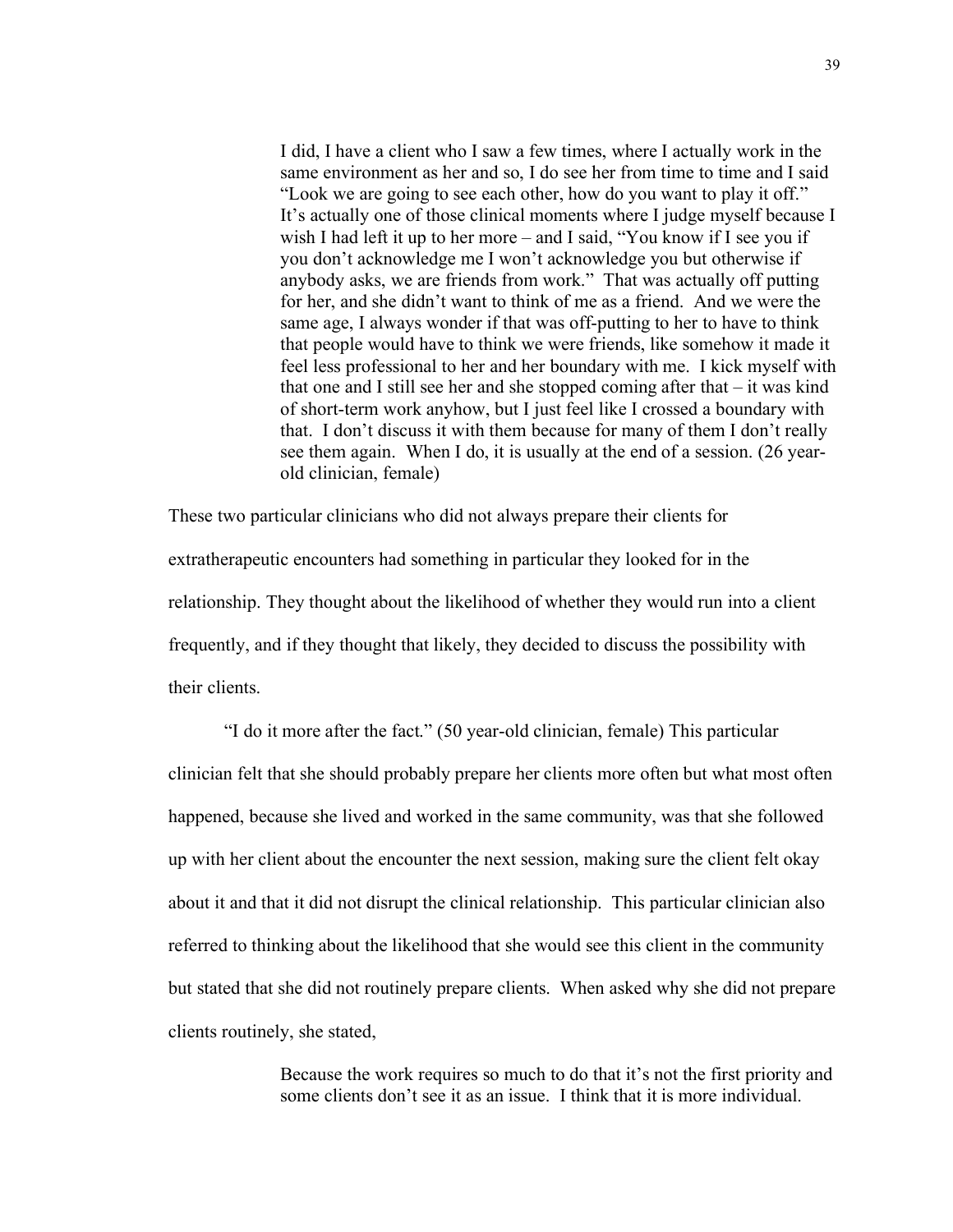I did, I have a client who I saw a few times, where I actually work in the same environment as her and so, I do see her from time to time and I said "Look we are going to see each other, how do you want to play it off." It's actually one of those clinical moments where I judge myself because I wish I had left it up to her more – and I said, "You know if I see you if you don't acknowledge me I won't acknowledge you but otherwise if anybody asks, we are friends from work." That was actually off putting for her, and she didn't want to think of me as a friend. And we were the same age, I always wonder if that was off-putting to her to have to think that people would have to think we were friends, like somehow it made it feel less professional to her and her boundary with me. I kick myself with that one and I still see her and she stopped coming after that – it was kind of short-term work anyhow, but I just feel like I crossed a boundary with that. I don't discuss it with them because for many of them I don't really see them again. When I do, it is usually at the end of a session. (26 yearold clinician, female)

These two particular clinicians who did not always prepare their clients for extratherapeutic encounters had something in particular they looked for in the relationship. They thought about the likelihood of whether they would run into a client frequently, and if they thought that likely, they decided to discuss the possibility with their clients.

"I do it more after the fact." (50 year-old clinician, female) This particular clinician felt that she should probably prepare her clients more often but what most often happened, because she lived and worked in the same community, was that she followed up with her client about the encounter the next session, making sure the client felt okay about it and that it did not disrupt the clinical relationship. This particular clinician also referred to thinking about the likelihood that she would see this client in the community but stated that she did not routinely prepare clients. When asked why she did not prepare clients routinely, she stated,

> Because the work requires so much to do that it's not the first priority and some clients don't see it as an issue. I think that it is more individual.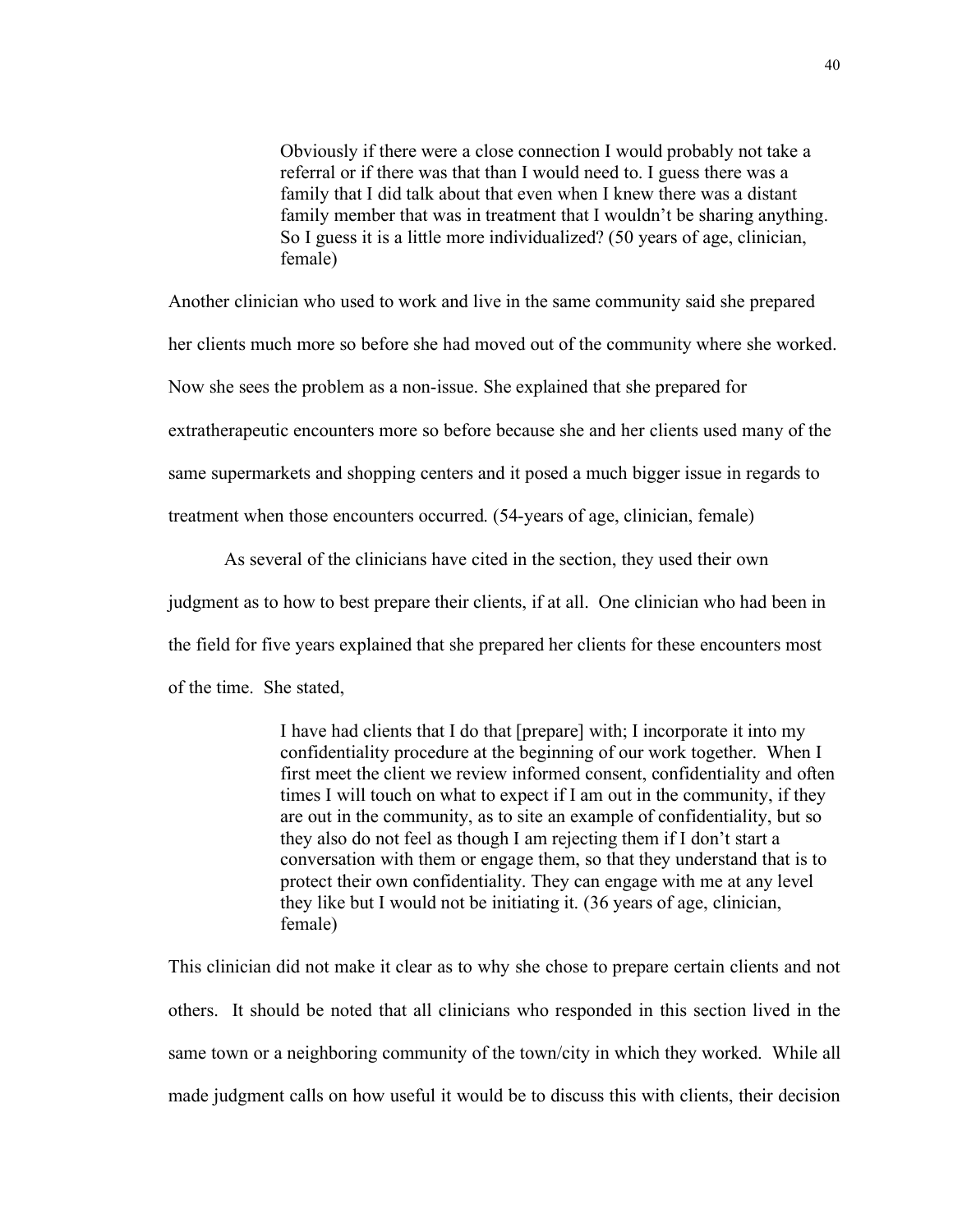Obviously if there were a close connection I would probably not take a referral or if there was that than I would need to. I guess there was a family that I did talk about that even when I knew there was a distant family member that was in treatment that I wouldn't be sharing anything. So I guess it is a little more individualized? (50 years of age, clinician, female)

Another clinician who used to work and live in the same community said she prepared

her clients much more so before she had moved out of the community where she worked.

Now she sees the problem as a non-issue. She explained that she prepared for

extratherapeutic encounters more so before because she and her clients used many of the

same supermarkets and shopping centers and it posed a much bigger issue in regards to

treatment when those encounters occurred. (54-years of age, clinician, female)

As several of the clinicians have cited in the section, they used their own judgment as to how to best prepare their clients, if at all. One clinician who had been in the field for five years explained that she prepared her clients for these encounters most of the time. She stated,

> I have had clients that I do that [prepare] with; I incorporate it into my confidentiality procedure at the beginning of our work together. When I first meet the client we review informed consent, confidentiality and often times I will touch on what to expect if I am out in the community, if they are out in the community, as to site an example of confidentiality, but so they also do not feel as though I am rejecting them if I don't start a conversation with them or engage them, so that they understand that is to protect their own confidentiality. They can engage with me at any level they like but I would not be initiating it. (36 years of age, clinician, female)

This clinician did not make it clear as to why she chose to prepare certain clients and not others. It should be noted that all clinicians who responded in this section lived in the same town or a neighboring community of the town/city in which they worked. While all made judgment calls on how useful it would be to discuss this with clients, their decision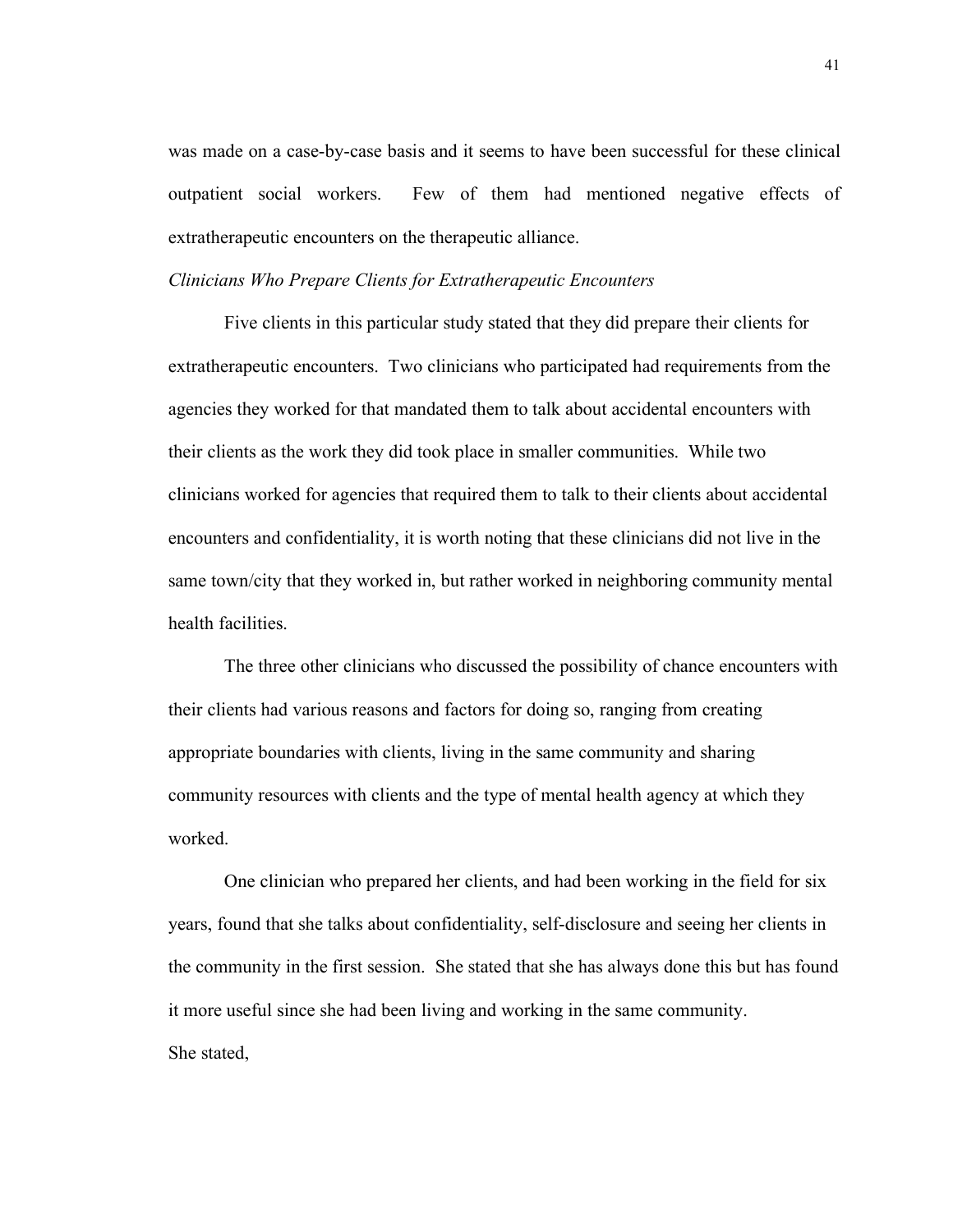was made on a case-by-case basis and it seems to have been successful for these clinical outpatient social workers. Few of them had mentioned negative effects of extratherapeutic encounters on the therapeutic alliance.

#### *Clinicians Who Prepare Clients for Extratherapeutic Encounters*

Five clients in this particular study stated that they did prepare their clients for extratherapeutic encounters. Two clinicians who participated had requirements from the agencies they worked for that mandated them to talk about accidental encounters with their clients as the work they did took place in smaller communities. While two clinicians worked for agencies that required them to talk to their clients about accidental encounters and confidentiality, it is worth noting that these clinicians did not live in the same town/city that they worked in, but rather worked in neighboring community mental health facilities.

The three other clinicians who discussed the possibility of chance encounters with their clients had various reasons and factors for doing so, ranging from creating appropriate boundaries with clients, living in the same community and sharing community resources with clients and the type of mental health agency at which they worked.

One clinician who prepared her clients, and had been working in the field for six years, found that she talks about confidentiality, self-disclosure and seeing her clients in the community in the first session. She stated that she has always done this but has found it more useful since she had been living and working in the same community. She stated,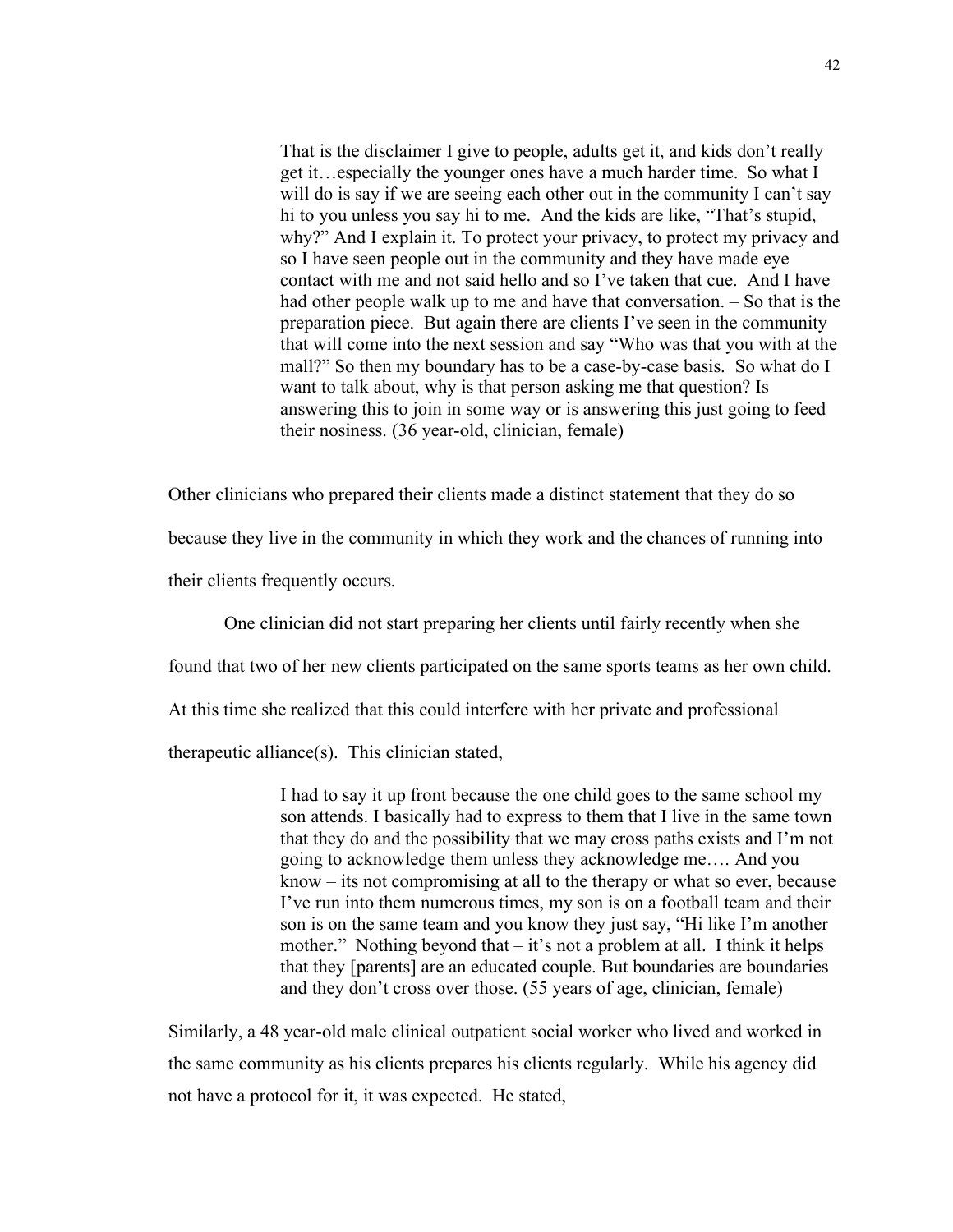That is the disclaimer I give to people, adults get it, and kids don't really get it…especially the younger ones have a much harder time. So what I will do is say if we are seeing each other out in the community I can't say hi to you unless you say hi to me. And the kids are like, "That's stupid, why?" And I explain it. To protect your privacy, to protect my privacy and so I have seen people out in the community and they have made eye contact with me and not said hello and so I've taken that cue. And I have had other people walk up to me and have that conversation. – So that is the preparation piece. But again there are clients I've seen in the community that will come into the next session and say "Who was that you with at the mall?" So then my boundary has to be a case-by-case basis. So what do I want to talk about, why is that person asking me that question? Is answering this to join in some way or is answering this just going to feed their nosiness. (36 year-old, clinician, female)

Other clinicians who prepared their clients made a distinct statement that they do so

because they live in the community in which they work and the chances of running into

their clients frequently occurs.

One clinician did not start preparing her clients until fairly recently when she found that two of her new clients participated on the same sports teams as her own child. At this time she realized that this could interfere with her private and professional therapeutic alliance(s). This clinician stated,

> I had to say it up front because the one child goes to the same school my son attends. I basically had to express to them that I live in the same town that they do and the possibility that we may cross paths exists and I'm not going to acknowledge them unless they acknowledge me…. And you know – its not compromising at all to the therapy or what so ever, because I've run into them numerous times, my son is on a football team and their son is on the same team and you know they just say, "Hi like I'm another mother." Nothing beyond that – it's not a problem at all. I think it helps that they [parents] are an educated couple. But boundaries are boundaries and they don't cross over those. (55 years of age, clinician, female)

Similarly, a 48 year-old male clinical outpatient social worker who lived and worked in the same community as his clients prepares his clients regularly. While his agency did not have a protocol for it, it was expected. He stated,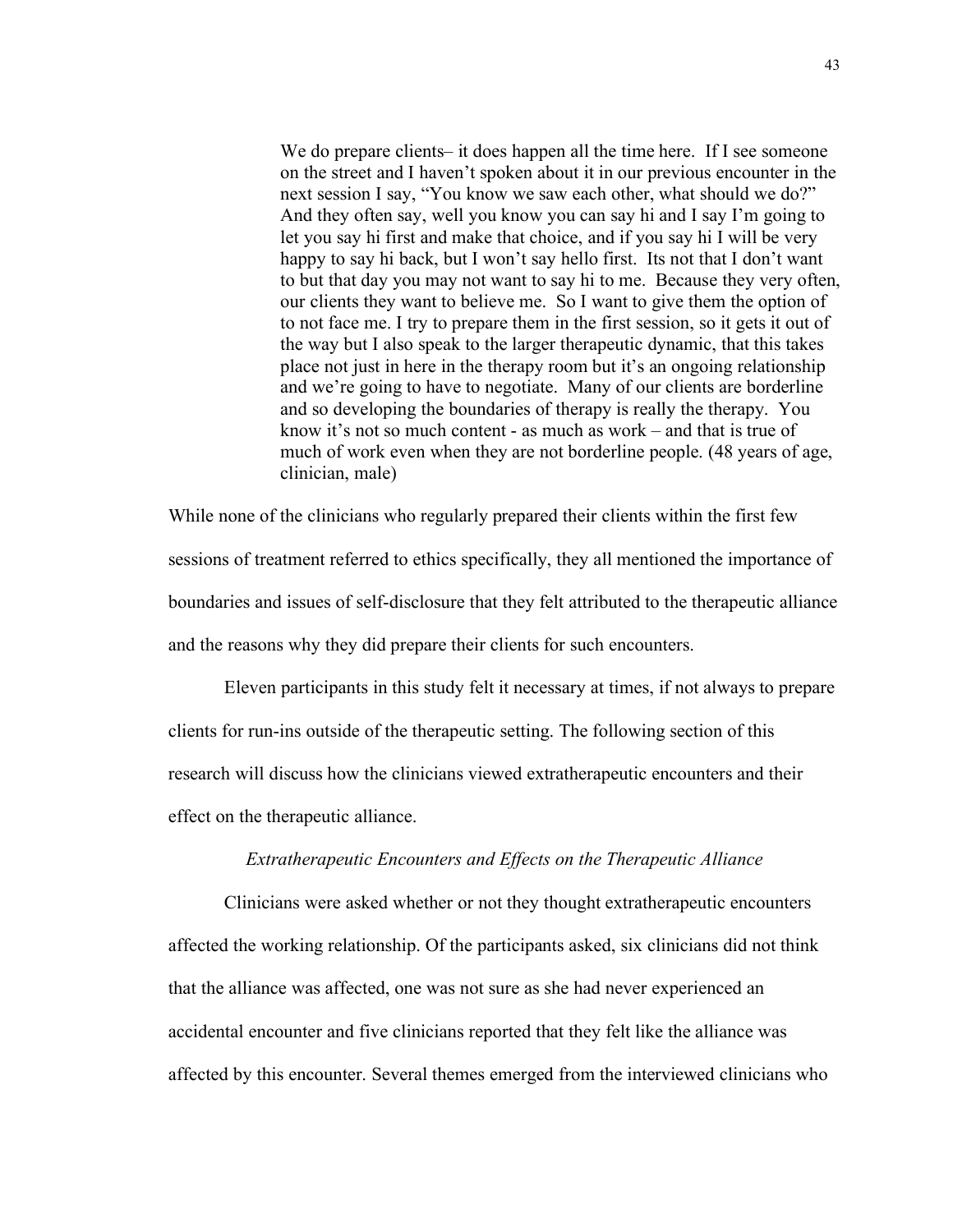We do prepare clients– it does happen all the time here. If I see someone on the street and I haven't spoken about it in our previous encounter in the next session I say, "You know we saw each other, what should we do?" And they often say, well you know you can say hi and I say I'm going to let you say hi first and make that choice, and if you say hi I will be very happy to say hi back, but I won't say hello first. Its not that I don't want to but that day you may not want to say hi to me. Because they very often, our clients they want to believe me. So I want to give them the option of to not face me. I try to prepare them in the first session, so it gets it out of the way but I also speak to the larger therapeutic dynamic, that this takes place not just in here in the therapy room but it's an ongoing relationship and we're going to have to negotiate. Many of our clients are borderline and so developing the boundaries of therapy is really the therapy. You know it's not so much content - as much as work – and that is true of much of work even when they are not borderline people. (48 years of age, clinician, male)

While none of the clinicians who regularly prepared their clients within the first few sessions of treatment referred to ethics specifically, they all mentioned the importance of boundaries and issues of self-disclosure that they felt attributed to the therapeutic alliance and the reasons why they did prepare their clients for such encounters.

Eleven participants in this study felt it necessary at times, if not always to prepare clients for run-ins outside of the therapeutic setting. The following section of this research will discuss how the clinicians viewed extratherapeutic encounters and their effect on the therapeutic alliance.

## *Extratherapeutic Encounters and Effects on the Therapeutic Alliance*

Clinicians were asked whether or not they thought extratherapeutic encounters affected the working relationship. Of the participants asked, six clinicians did not think that the alliance was affected, one was not sure as she had never experienced an accidental encounter and five clinicians reported that they felt like the alliance was affected by this encounter. Several themes emerged from the interviewed clinicians who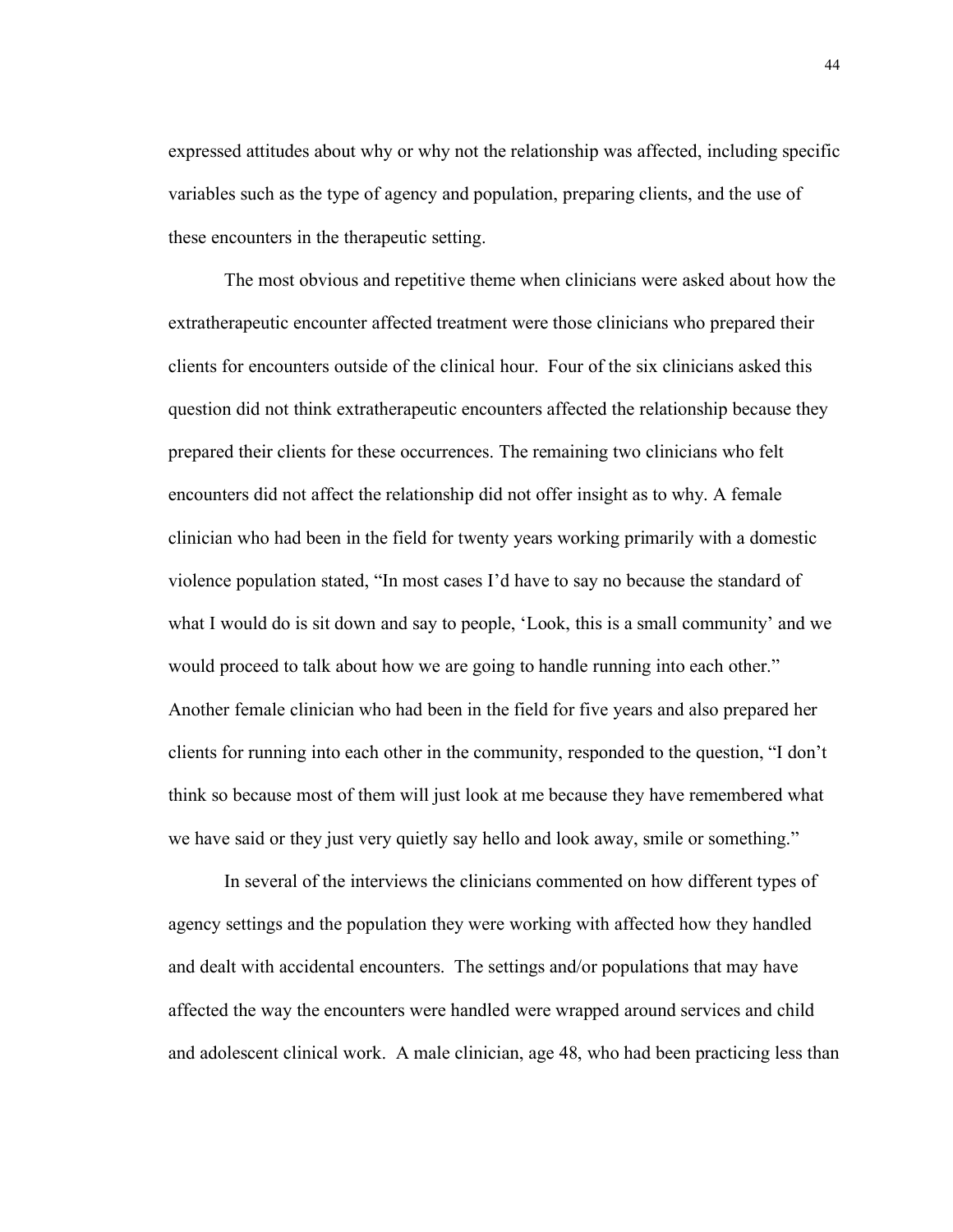expressed attitudes about why or why not the relationship was affected, including specific variables such as the type of agency and population, preparing clients, and the use of these encounters in the therapeutic setting.

The most obvious and repetitive theme when clinicians were asked about how the extratherapeutic encounter affected treatment were those clinicians who prepared their clients for encounters outside of the clinical hour. Four of the six clinicians asked this question did not think extratherapeutic encounters affected the relationship because they prepared their clients for these occurrences. The remaining two clinicians who felt encounters did not affect the relationship did not offer insight as to why. A female clinician who had been in the field for twenty years working primarily with a domestic violence population stated, "In most cases I'd have to say no because the standard of what I would do is sit down and say to people, 'Look, this is a small community' and we would proceed to talk about how we are going to handle running into each other." Another female clinician who had been in the field for five years and also prepared her clients for running into each other in the community, responded to the question, "I don't think so because most of them will just look at me because they have remembered what we have said or they just very quietly say hello and look away, smile or something."

In several of the interviews the clinicians commented on how different types of agency settings and the population they were working with affected how they handled and dealt with accidental encounters. The settings and/or populations that may have affected the way the encounters were handled were wrapped around services and child and adolescent clinical work. A male clinician, age 48, who had been practicing less than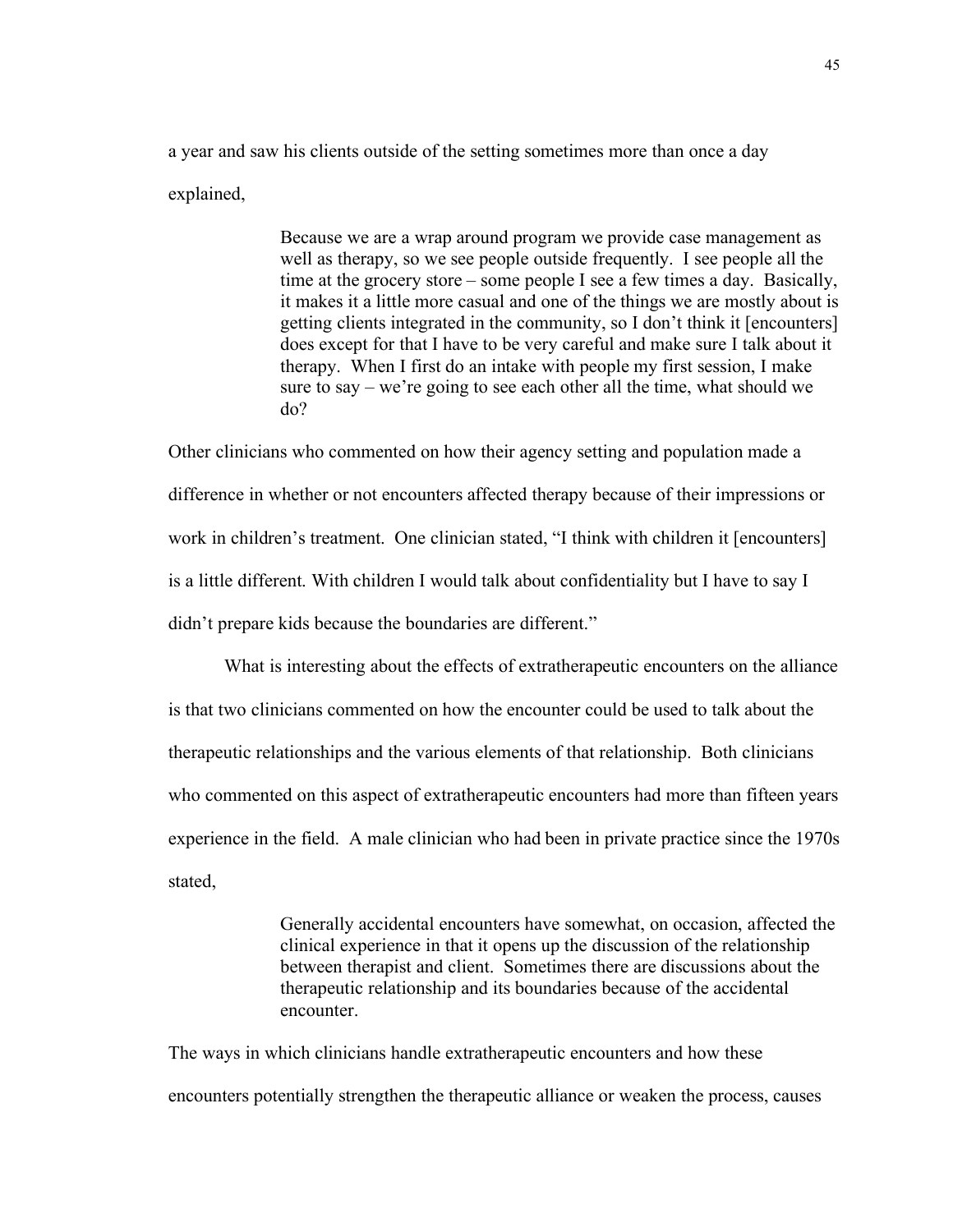a year and saw his clients outside of the setting sometimes more than once a day explained,

> Because we are a wrap around program we provide case management as well as therapy, so we see people outside frequently. I see people all the time at the grocery store – some people I see a few times a day. Basically, it makes it a little more casual and one of the things we are mostly about is getting clients integrated in the community, so I don't think it [encounters] does except for that I have to be very careful and make sure I talk about it therapy. When I first do an intake with people my first session, I make sure to say – we're going to see each other all the time, what should we do?

Other clinicians who commented on how their agency setting and population made a difference in whether or not encounters affected therapy because of their impressions or work in children's treatment. One clinician stated, "I think with children it [encounters] is a little different. With children I would talk about confidentiality but I have to say I didn't prepare kids because the boundaries are different."

What is interesting about the effects of extratherapeutic encounters on the alliance is that two clinicians commented on how the encounter could be used to talk about the therapeutic relationships and the various elements of that relationship. Both clinicians who commented on this aspect of extratherapeutic encounters had more than fifteen years experience in the field. A male clinician who had been in private practice since the 1970s stated,

> Generally accidental encounters have somewhat, on occasion, affected the clinical experience in that it opens up the discussion of the relationship between therapist and client. Sometimes there are discussions about the therapeutic relationship and its boundaries because of the accidental encounter.

The ways in which clinicians handle extratherapeutic encounters and how these encounters potentially strengthen the therapeutic alliance or weaken the process, causes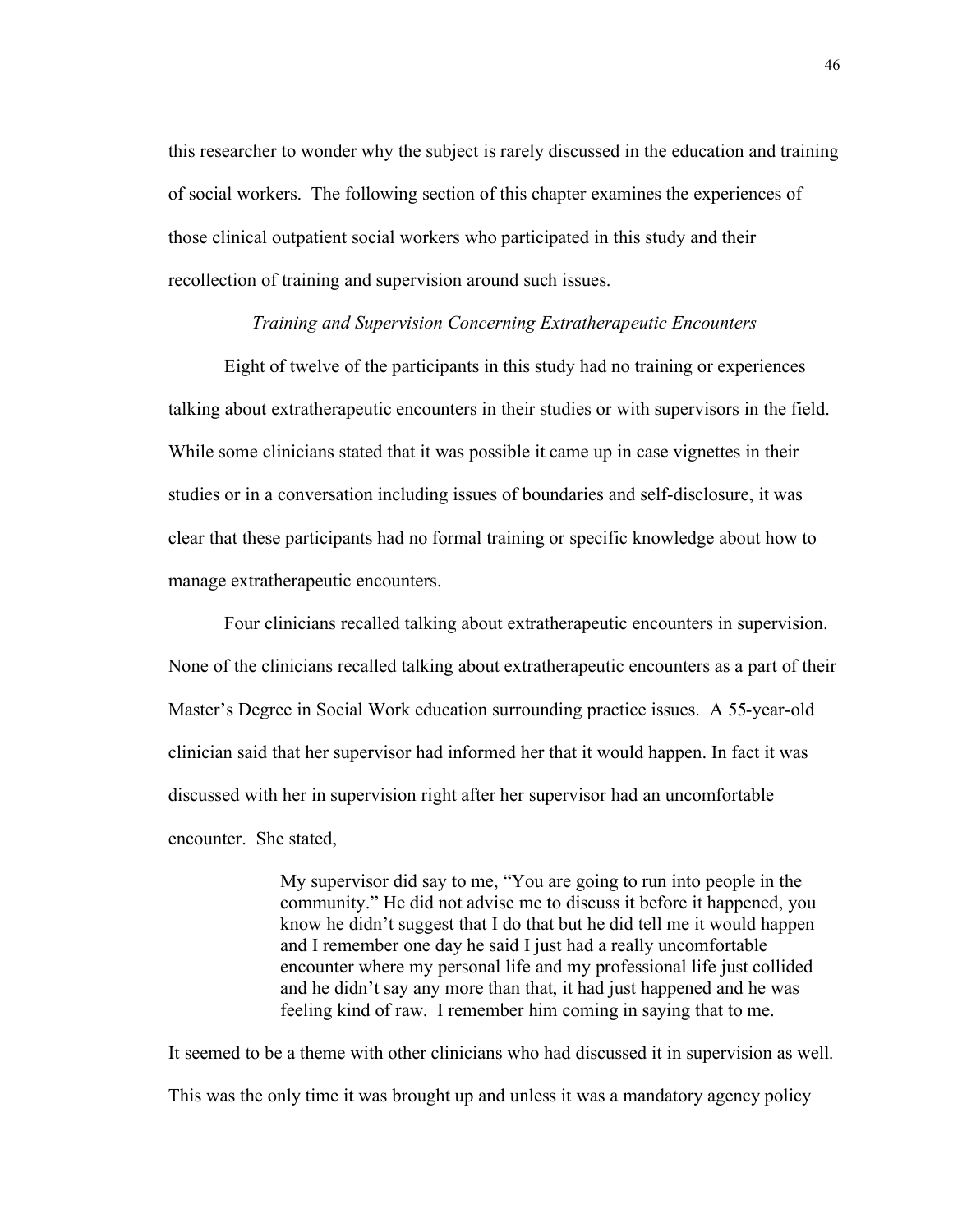this researcher to wonder why the subject is rarely discussed in the education and training of social workers. The following section of this chapter examines the experiences of those clinical outpatient social workers who participated in this study and their recollection of training and supervision around such issues.

#### *Training and Supervision Concerning Extratherapeutic Encounters*

Eight of twelve of the participants in this study had no training or experiences talking about extratherapeutic encounters in their studies or with supervisors in the field. While some clinicians stated that it was possible it came up in case vignettes in their studies or in a conversation including issues of boundaries and self-disclosure, it was clear that these participants had no formal training or specific knowledge about how to manage extratherapeutic encounters.

Four clinicians recalled talking about extratherapeutic encounters in supervision. None of the clinicians recalled talking about extratherapeutic encounters as a part of their Master's Degree in Social Work education surrounding practice issues. A 55-year-old clinician said that her supervisor had informed her that it would happen. In fact it was discussed with her in supervision right after her supervisor had an uncomfortable encounter. She stated,

> My supervisor did say to me, "You are going to run into people in the community." He did not advise me to discuss it before it happened, you know he didn't suggest that I do that but he did tell me it would happen and I remember one day he said I just had a really uncomfortable encounter where my personal life and my professional life just collided and he didn't say any more than that, it had just happened and he was feeling kind of raw. I remember him coming in saying that to me.

It seemed to be a theme with other clinicians who had discussed it in supervision as well. This was the only time it was brought up and unless it was a mandatory agency policy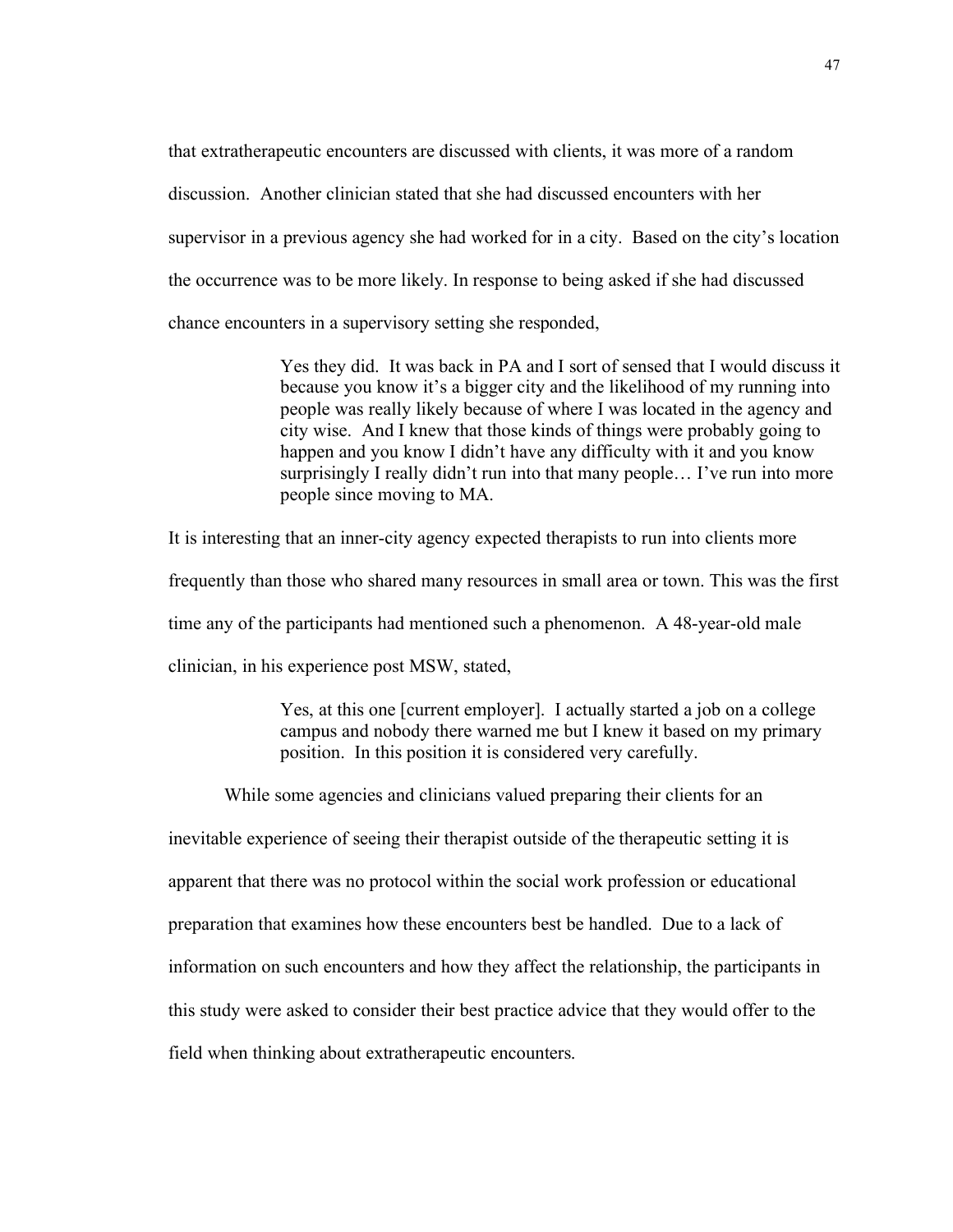that extratherapeutic encounters are discussed with clients, it was more of a random discussion. Another clinician stated that she had discussed encounters with her supervisor in a previous agency she had worked for in a city. Based on the city's location the occurrence was to be more likely. In response to being asked if she had discussed chance encounters in a supervisory setting she responded,

> Yes they did. It was back in PA and I sort of sensed that I would discuss it because you know it's a bigger city and the likelihood of my running into people was really likely because of where I was located in the agency and city wise. And I knew that those kinds of things were probably going to happen and you know I didn't have any difficulty with it and you know surprisingly I really didn't run into that many people… I've run into more people since moving to MA.

It is interesting that an inner-city agency expected therapists to run into clients more frequently than those who shared many resources in small area or town. This was the first time any of the participants had mentioned such a phenomenon. A 48-year-old male clinician, in his experience post MSW, stated,

> Yes, at this one [current employer]. I actually started a job on a college campus and nobody there warned me but I knew it based on my primary position. In this position it is considered very carefully.

While some agencies and clinicians valued preparing their clients for an

inevitable experience of seeing their therapist outside of the therapeutic setting it is apparent that there was no protocol within the social work profession or educational preparation that examines how these encounters best be handled. Due to a lack of information on such encounters and how they affect the relationship, the participants in this study were asked to consider their best practice advice that they would offer to the field when thinking about extratherapeutic encounters.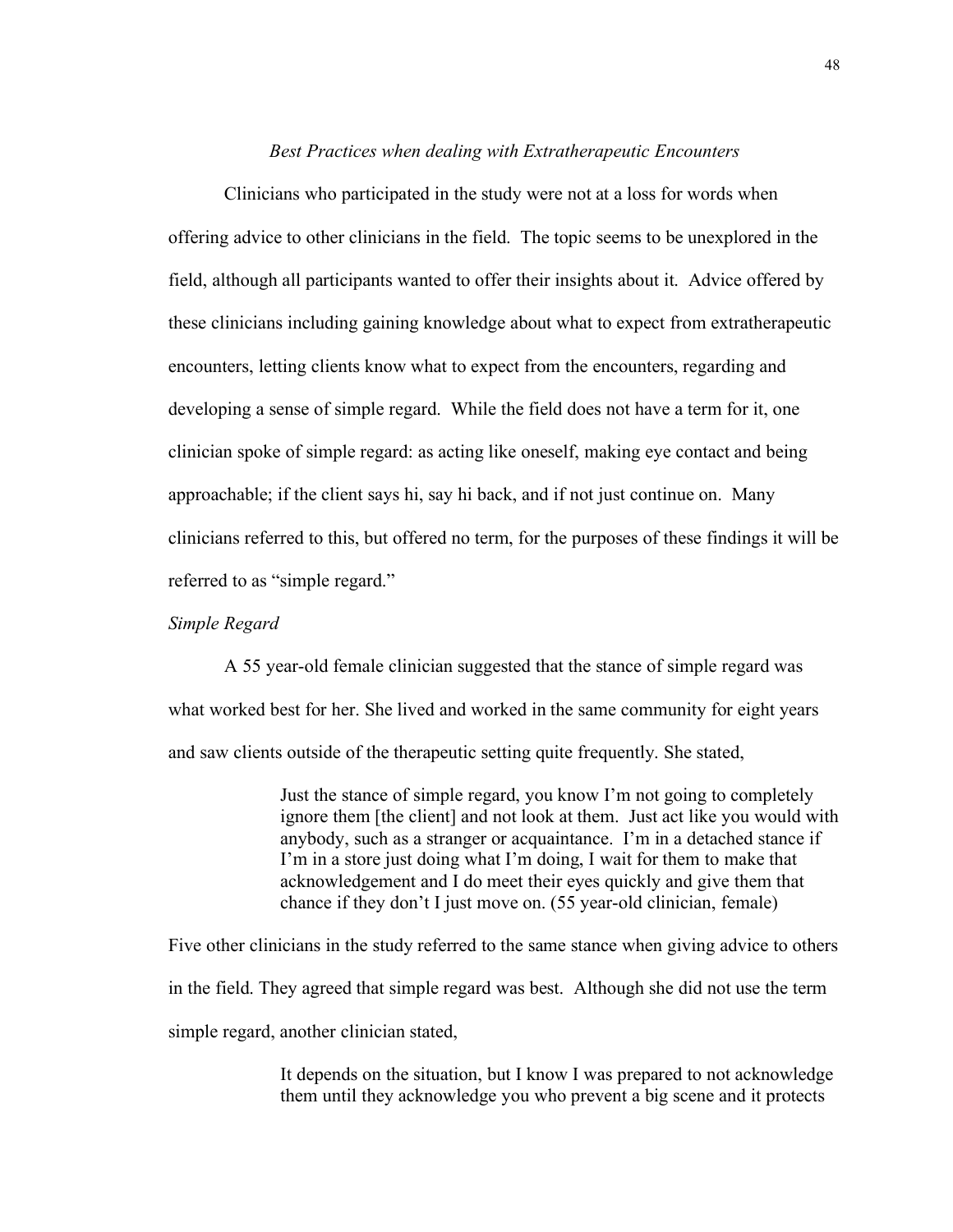#### *Best Practices when dealing with Extratherapeutic Encounters*

Clinicians who participated in the study were not at a loss for words when offering advice to other clinicians in the field. The topic seems to be unexplored in the field, although all participants wanted to offer their insights about it. Advice offered by these clinicians including gaining knowledge about what to expect from extratherapeutic encounters, letting clients know what to expect from the encounters, regarding and developing a sense of simple regard. While the field does not have a term for it, one clinician spoke of simple regard: as acting like oneself, making eye contact and being approachable; if the client says hi, say hi back, and if not just continue on. Many clinicians referred to this, but offered no term, for the purposes of these findings it will be referred to as "simple regard."

## *Simple Regard*

A 55 year-old female clinician suggested that the stance of simple regard was what worked best for her. She lived and worked in the same community for eight years and saw clients outside of the therapeutic setting quite frequently. She stated,

> Just the stance of simple regard, you know I'm not going to completely ignore them [the client] and not look at them. Just act like you would with anybody, such as a stranger or acquaintance. I'm in a detached stance if I'm in a store just doing what I'm doing, I wait for them to make that acknowledgement and I do meet their eyes quickly and give them that chance if they don't I just move on. (55 year-old clinician, female)

Five other clinicians in the study referred to the same stance when giving advice to others in the field. They agreed that simple regard was best. Although she did not use the term simple regard, another clinician stated,

> It depends on the situation, but I know I was prepared to not acknowledge them until they acknowledge you who prevent a big scene and it protects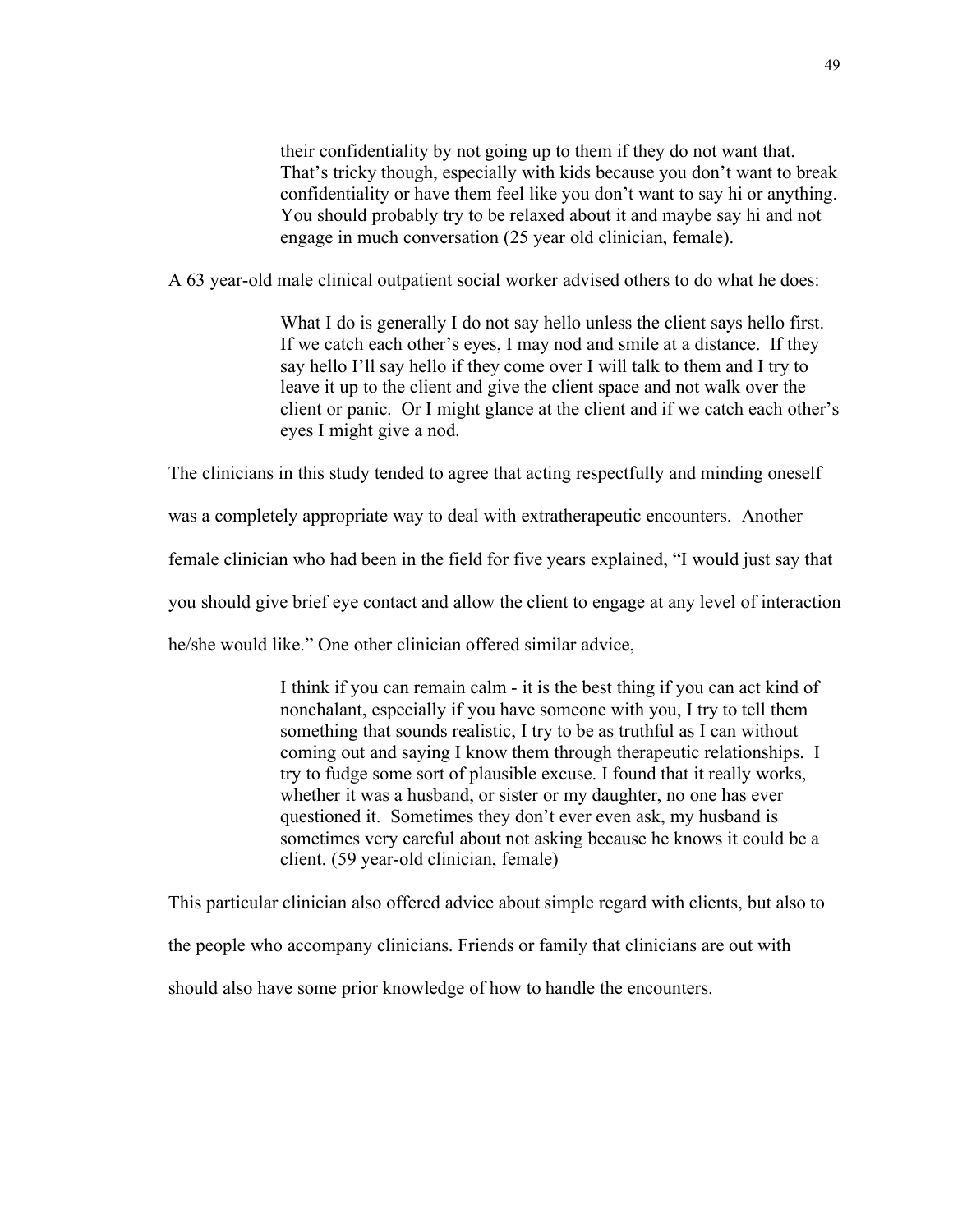their confidentiality by not going up to them if they do not want that. That's tricky though, especially with kids because you don't want to break confidentiality or have them feel like you don't want to say hi or anything. You should probably try to be relaxed about it and maybe say hi and not engage in much conversation (25 year old clinician, female).

A 63 year-old male clinical outpatient social worker advised others to do what he does:

What I do is generally I do not say hello unless the client says hello first. If we catch each other's eyes, I may nod and smile at a distance. If they say hello I'll say hello if they come over I will talk to them and I try to leave it up to the client and give the client space and not walk over the client or panic. Or I might glance at the client and if we catch each other's eyes I might give a nod.

The clinicians in this study tended to agree that acting respectfully and minding oneself

was a completely appropriate way to deal with extratherapeutic encounters. Another

female clinician who had been in the field for five years explained, "I would just say that

you should give brief eye contact and allow the client to engage at any level of interaction

he/she would like." One other clinician offered similar advice,

I think if you can remain calm - it is the best thing if you can act kind of nonchalant, especially if you have someone with you, I try to tell them something that sounds realistic, I try to be as truthful as I can without coming out and saying I know them through therapeutic relationships. I try to fudge some sort of plausible excuse. I found that it really works, whether it was a husband, or sister or my daughter, no one has ever questioned it. Sometimes they don't ever even ask, my husband is sometimes very careful about not asking because he knows it could be a client. (59 year-old clinician, female)

This particular clinician also offered advice about simple regard with clients, but also to

the people who accompany clinicians. Friends or family that clinicians are out with

should also have some prior knowledge of how to handle the encounters.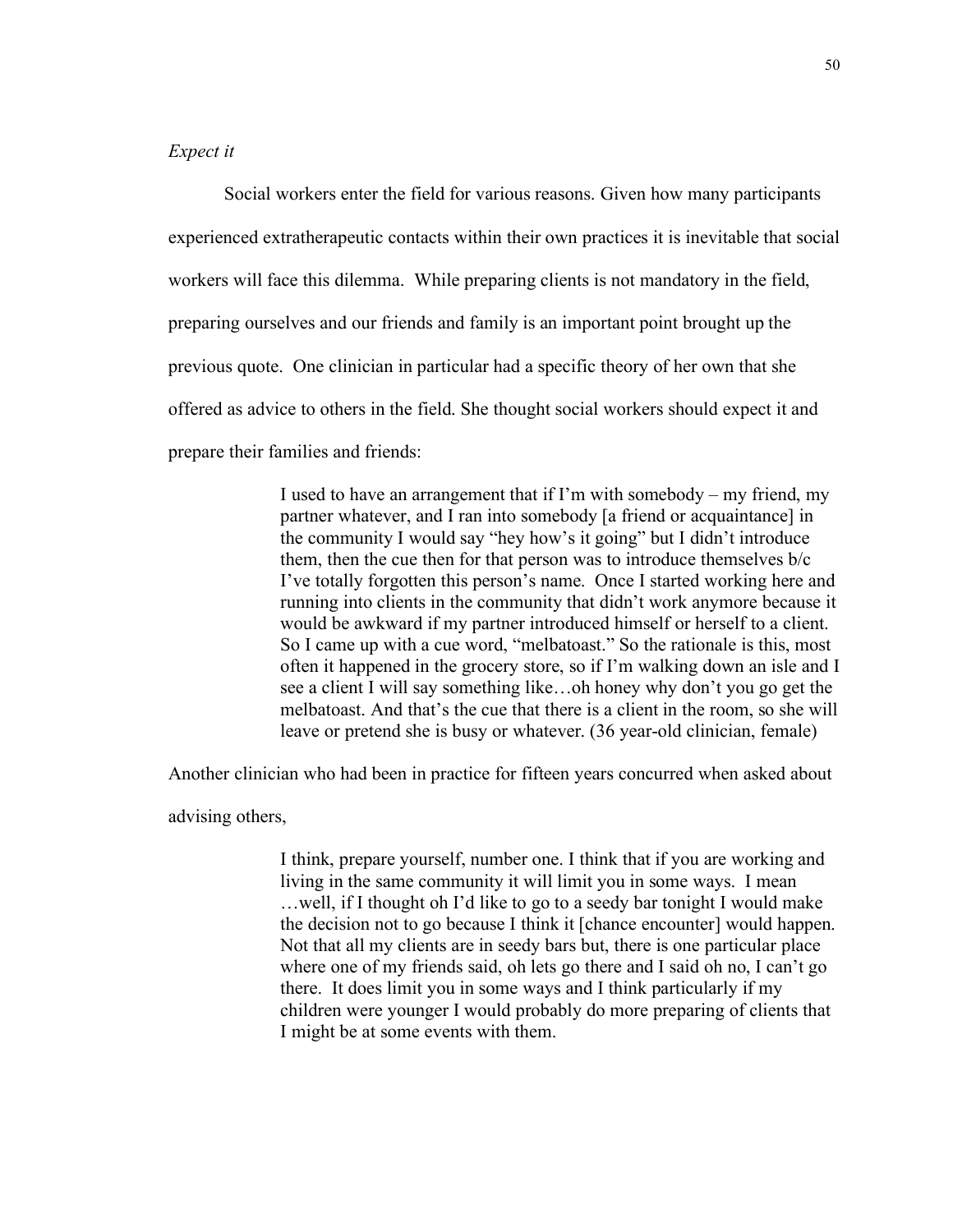## *Expect it*

Social workers enter the field for various reasons. Given how many participants experienced extratherapeutic contacts within their own practices it is inevitable that social workers will face this dilemma. While preparing clients is not mandatory in the field, preparing ourselves and our friends and family is an important point brought up the previous quote. One clinician in particular had a specific theory of her own that she offered as advice to others in the field. She thought social workers should expect it and prepare their families and friends:

> I used to have an arrangement that if I'm with somebody – my friend, my partner whatever, and I ran into somebody [a friend or acquaintance] in the community I would say "hey how's it going" but I didn't introduce them, then the cue then for that person was to introduce themselves b/c I've totally forgotten this person's name. Once I started working here and running into clients in the community that didn't work anymore because it would be awkward if my partner introduced himself or herself to a client. So I came up with a cue word, "melbatoast." So the rationale is this, most often it happened in the grocery store, so if I'm walking down an isle and I see a client I will say something like…oh honey why don't you go get the melbatoast. And that's the cue that there is a client in the room, so she will leave or pretend she is busy or whatever. (36 year-old clinician, female)

Another clinician who had been in practice for fifteen years concurred when asked about

#### advising others,

I think, prepare yourself, number one. I think that if you are working and living in the same community it will limit you in some ways. I mean …well, if I thought oh I'd like to go to a seedy bar tonight I would make the decision not to go because I think it [chance encounter] would happen. Not that all my clients are in seedy bars but, there is one particular place where one of my friends said, oh lets go there and I said oh no, I can't go there. It does limit you in some ways and I think particularly if my children were younger I would probably do more preparing of clients that I might be at some events with them.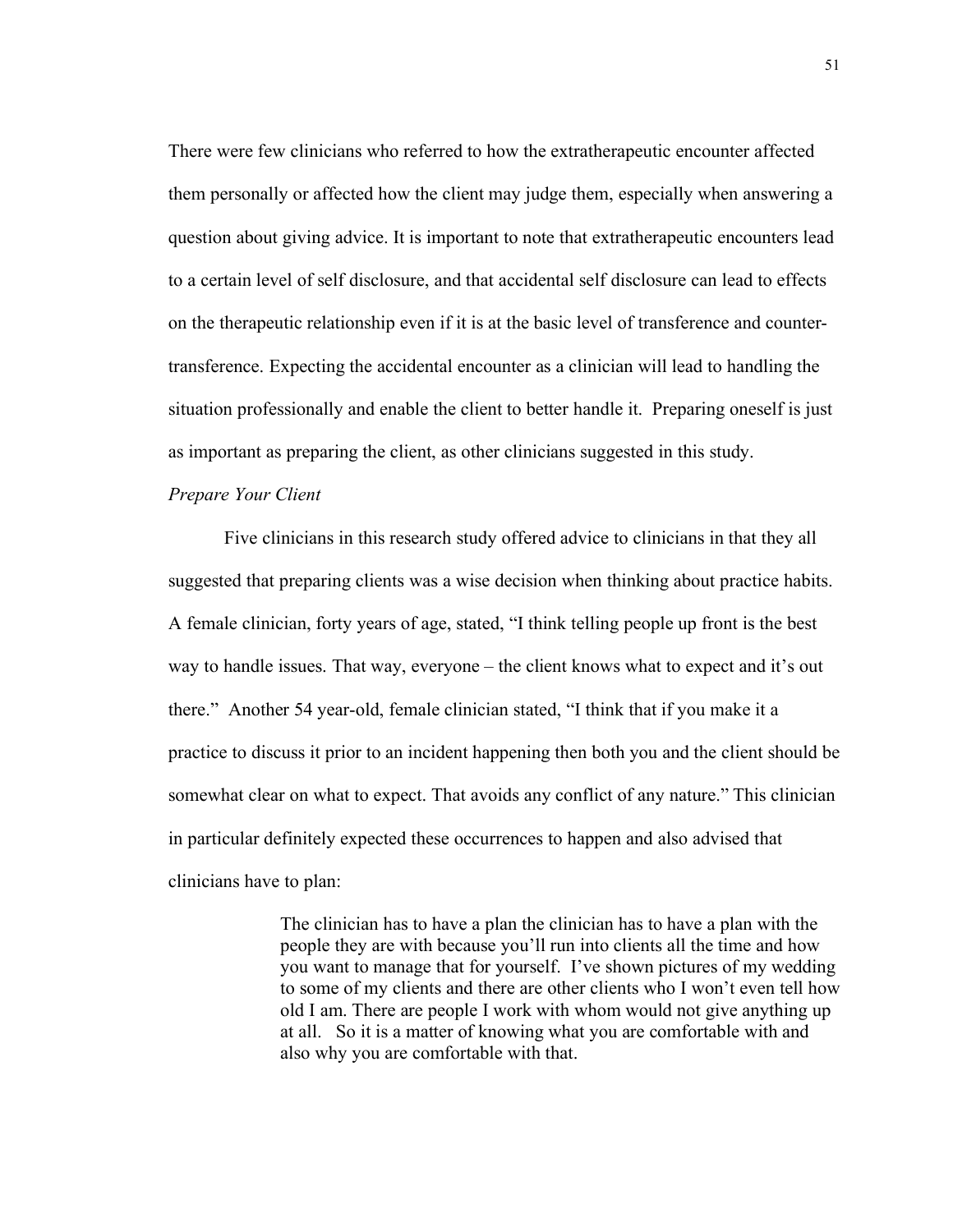There were few clinicians who referred to how the extratherapeutic encounter affected them personally or affected how the client may judge them, especially when answering a question about giving advice. It is important to note that extratherapeutic encounters lead to a certain level of self disclosure, and that accidental self disclosure can lead to effects on the therapeutic relationship even if it is at the basic level of transference and countertransference. Expecting the accidental encounter as a clinician will lead to handling the situation professionally and enable the client to better handle it. Preparing oneself is just as important as preparing the client, as other clinicians suggested in this study.

#### *Prepare Your Client*

Five clinicians in this research study offered advice to clinicians in that they all suggested that preparing clients was a wise decision when thinking about practice habits. A female clinician, forty years of age, stated, "I think telling people up front is the best way to handle issues. That way, everyone – the client knows what to expect and it's out there." Another 54 year-old, female clinician stated, "I think that if you make it a practice to discuss it prior to an incident happening then both you and the client should be somewhat clear on what to expect. That avoids any conflict of any nature." This clinician in particular definitely expected these occurrences to happen and also advised that clinicians have to plan:

> The clinician has to have a plan the clinician has to have a plan with the people they are with because you'll run into clients all the time and how you want to manage that for yourself. I've shown pictures of my wedding to some of my clients and there are other clients who I won't even tell how old I am. There are people I work with whom would not give anything up at all. So it is a matter of knowing what you are comfortable with and also why you are comfortable with that.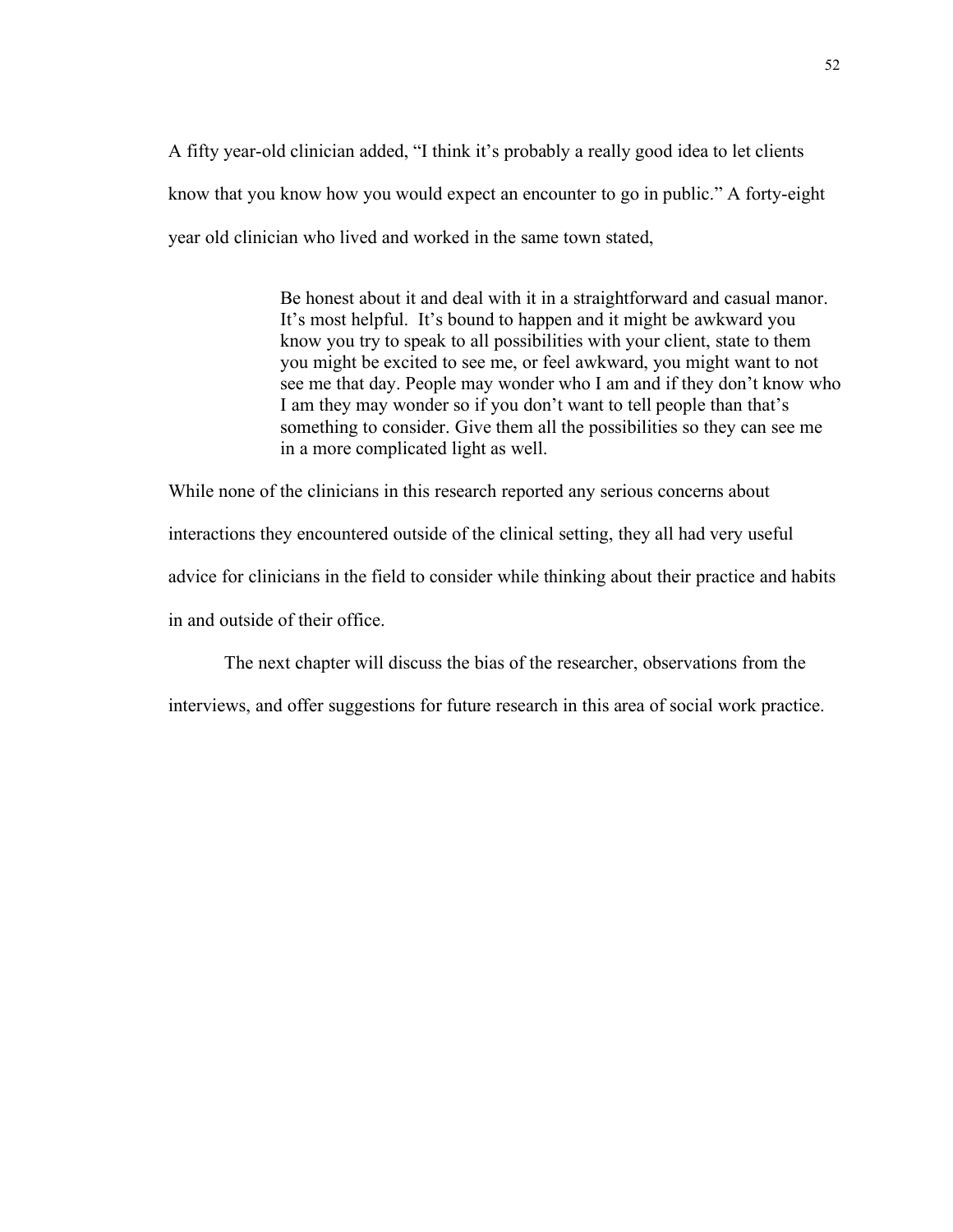A fifty year-old clinician added, "I think it's probably a really good idea to let clients know that you know how you would expect an encounter to go in public." A forty-eight year old clinician who lived and worked in the same town stated,

> Be honest about it and deal with it in a straightforward and casual manor. It's most helpful. It's bound to happen and it might be awkward you know you try to speak to all possibilities with your client, state to them you might be excited to see me, or feel awkward, you might want to not see me that day. People may wonder who I am and if they don't know who I am they may wonder so if you don't want to tell people than that's something to consider. Give them all the possibilities so they can see me in a more complicated light as well.

While none of the clinicians in this research reported any serious concerns about interactions they encountered outside of the clinical setting, they all had very useful advice for clinicians in the field to consider while thinking about their practice and habits in and outside of their office.

The next chapter will discuss the bias of the researcher, observations from the

interviews, and offer suggestions for future research in this area of social work practice.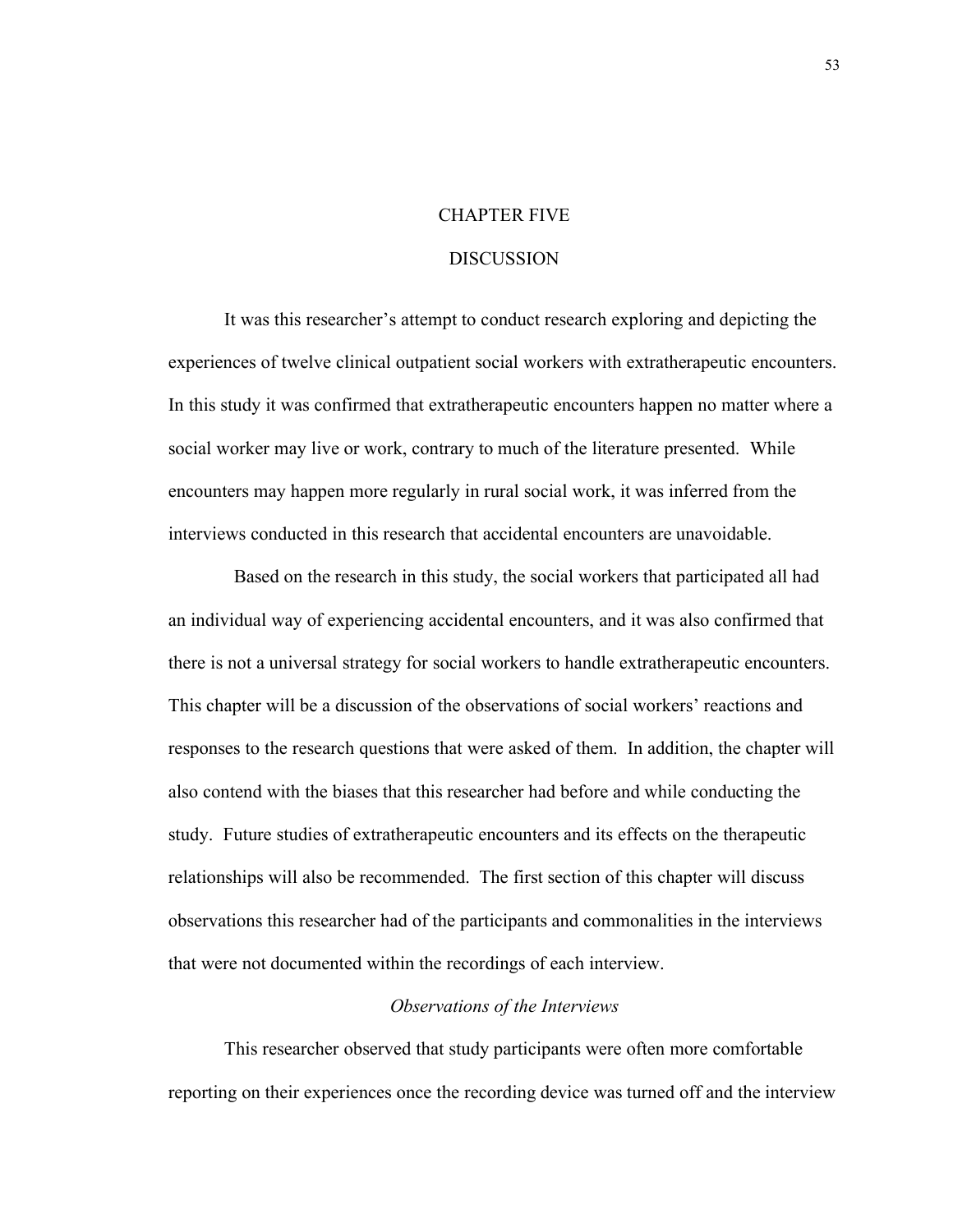## CHAPTER FIVE

### DISCUSSION

It was this researcher's attempt to conduct research exploring and depicting the experiences of twelve clinical outpatient social workers with extratherapeutic encounters. In this study it was confirmed that extratherapeutic encounters happen no matter where a social worker may live or work, contrary to much of the literature presented. While encounters may happen more regularly in rural social work, it was inferred from the interviews conducted in this research that accidental encounters are unavoidable.

 Based on the research in this study, the social workers that participated all had an individual way of experiencing accidental encounters, and it was also confirmed that there is not a universal strategy for social workers to handle extratherapeutic encounters. This chapter will be a discussion of the observations of social workers' reactions and responses to the research questions that were asked of them. In addition, the chapter will also contend with the biases that this researcher had before and while conducting the study. Future studies of extratherapeutic encounters and its effects on the therapeutic relationships will also be recommended. The first section of this chapter will discuss observations this researcher had of the participants and commonalities in the interviews that were not documented within the recordings of each interview.

#### *Observations of the Interviews*

This researcher observed that study participants were often more comfortable reporting on their experiences once the recording device was turned off and the interview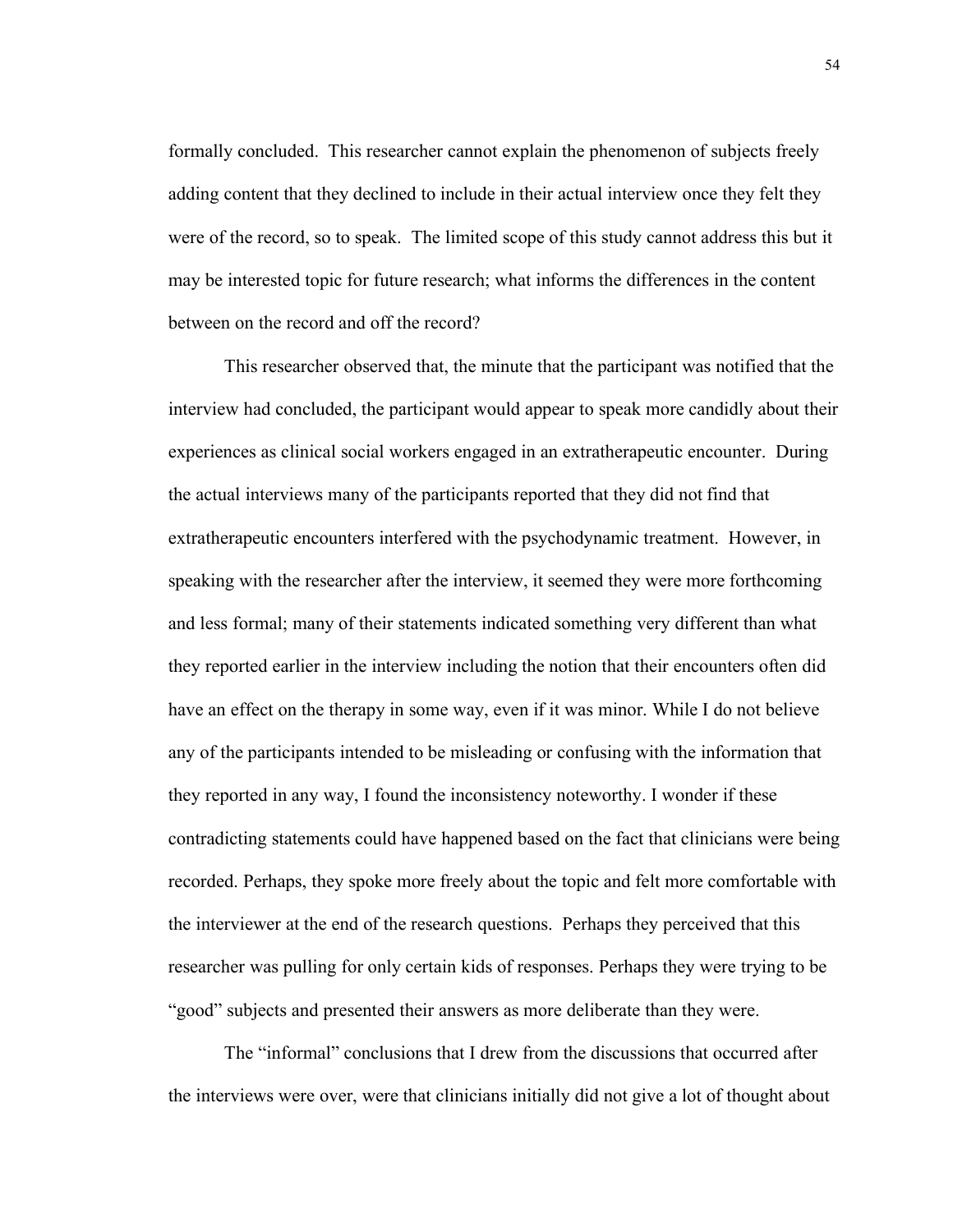formally concluded. This researcher cannot explain the phenomenon of subjects freely adding content that they declined to include in their actual interview once they felt they were of the record, so to speak. The limited scope of this study cannot address this but it may be interested topic for future research; what informs the differences in the content between on the record and off the record?

This researcher observed that, the minute that the participant was notified that the interview had concluded, the participant would appear to speak more candidly about their experiences as clinical social workers engaged in an extratherapeutic encounter. During the actual interviews many of the participants reported that they did not find that extratherapeutic encounters interfered with the psychodynamic treatment. However, in speaking with the researcher after the interview, it seemed they were more forthcoming and less formal; many of their statements indicated something very different than what they reported earlier in the interview including the notion that their encounters often did have an effect on the therapy in some way, even if it was minor. While I do not believe any of the participants intended to be misleading or confusing with the information that they reported in any way, I found the inconsistency noteworthy. I wonder if these contradicting statements could have happened based on the fact that clinicians were being recorded. Perhaps, they spoke more freely about the topic and felt more comfortable with the interviewer at the end of the research questions. Perhaps they perceived that this researcher was pulling for only certain kids of responses. Perhaps they were trying to be "good" subjects and presented their answers as more deliberate than they were.

The "informal" conclusions that I drew from the discussions that occurred after the interviews were over, were that clinicians initially did not give a lot of thought about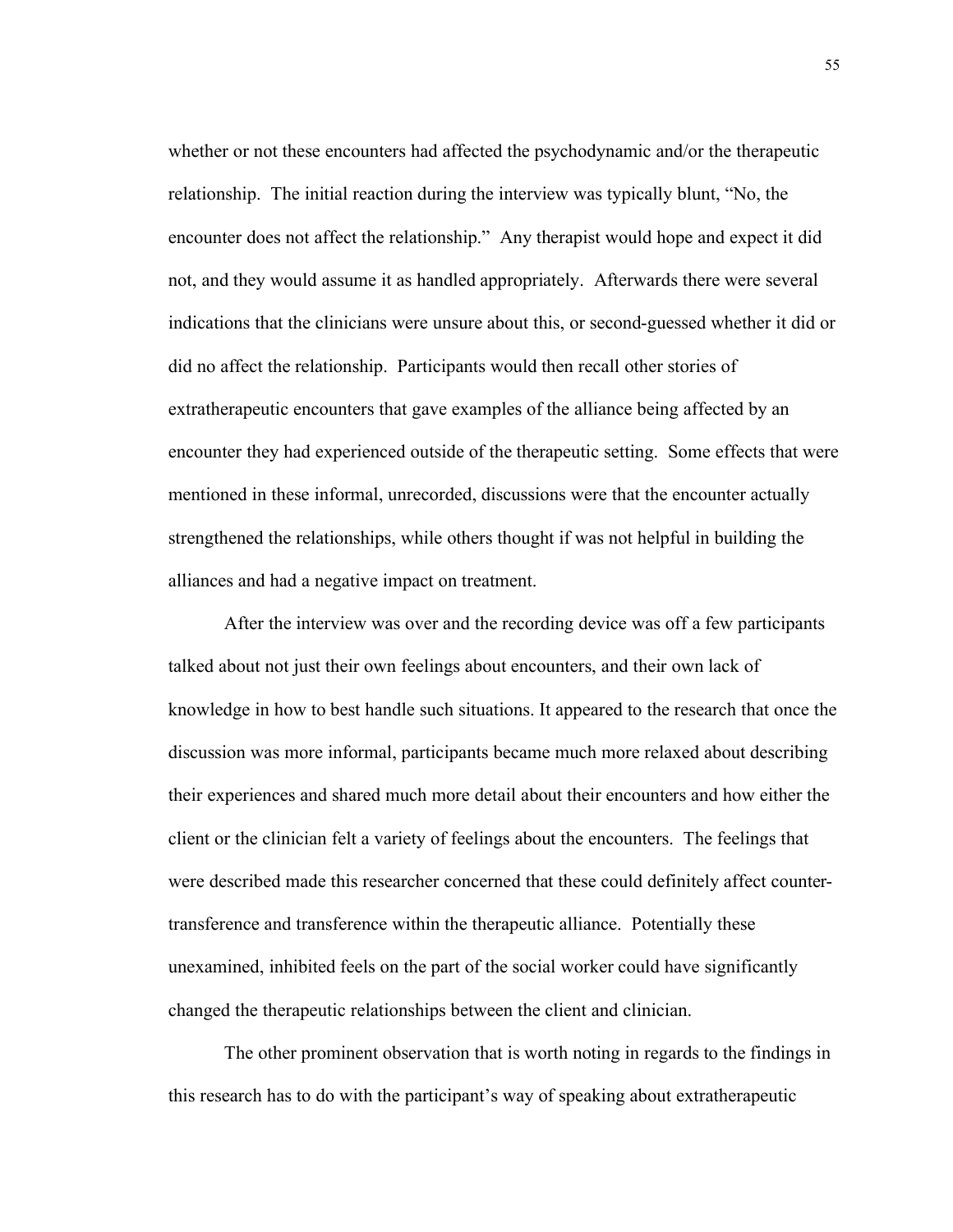whether or not these encounters had affected the psychodynamic and/or the therapeutic relationship. The initial reaction during the interview was typically blunt, "No, the encounter does not affect the relationship." Any therapist would hope and expect it did not, and they would assume it as handled appropriately. Afterwards there were several indications that the clinicians were unsure about this, or second-guessed whether it did or did no affect the relationship. Participants would then recall other stories of extratherapeutic encounters that gave examples of the alliance being affected by an encounter they had experienced outside of the therapeutic setting. Some effects that were mentioned in these informal, unrecorded, discussions were that the encounter actually strengthened the relationships, while others thought if was not helpful in building the alliances and had a negative impact on treatment.

After the interview was over and the recording device was off a few participants talked about not just their own feelings about encounters, and their own lack of knowledge in how to best handle such situations. It appeared to the research that once the discussion was more informal, participants became much more relaxed about describing their experiences and shared much more detail about their encounters and how either the client or the clinician felt a variety of feelings about the encounters. The feelings that were described made this researcher concerned that these could definitely affect countertransference and transference within the therapeutic alliance. Potentially these unexamined, inhibited feels on the part of the social worker could have significantly changed the therapeutic relationships between the client and clinician.

The other prominent observation that is worth noting in regards to the findings in this research has to do with the participant's way of speaking about extratherapeutic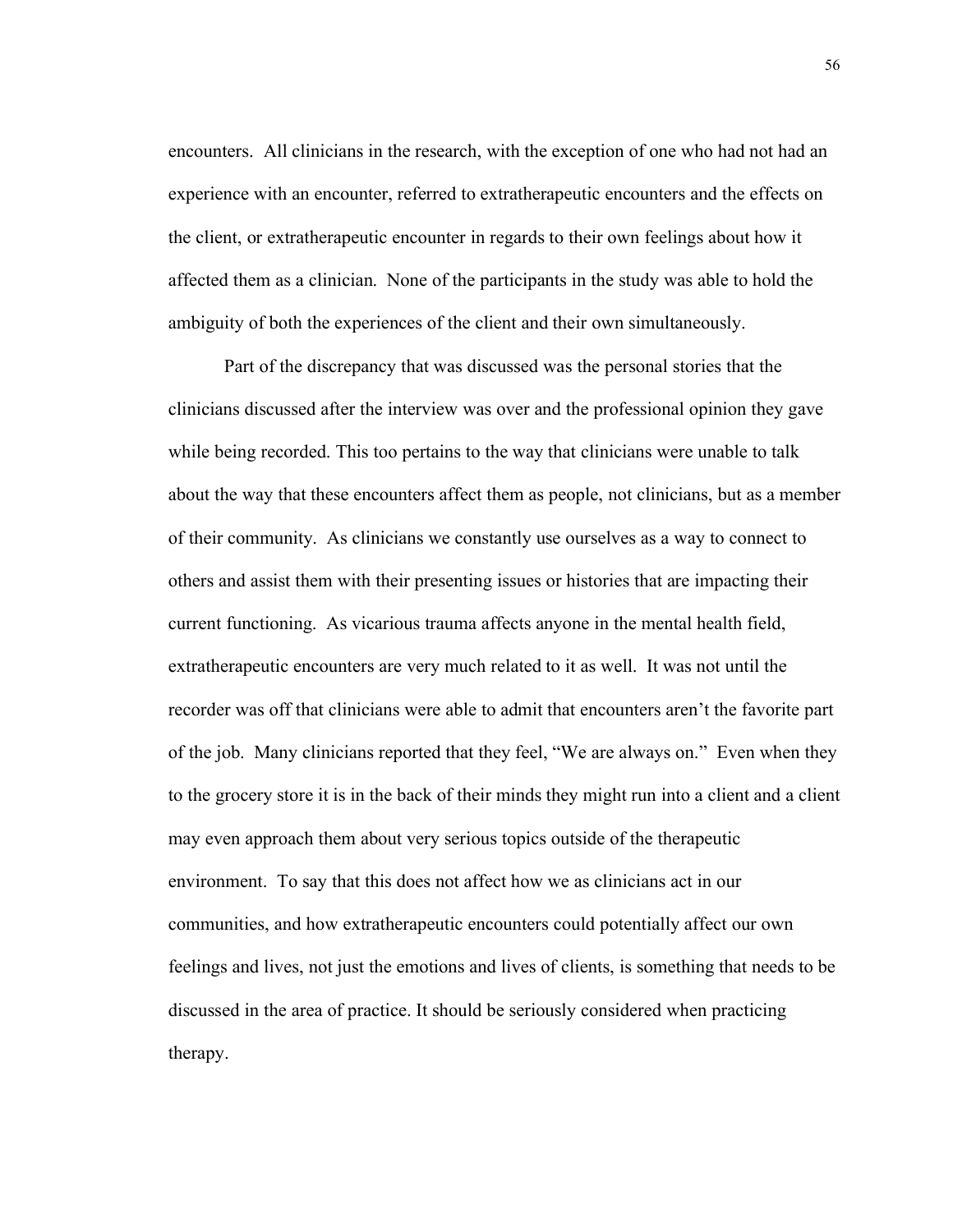encounters. All clinicians in the research, with the exception of one who had not had an experience with an encounter, referred to extratherapeutic encounters and the effects on the client, or extratherapeutic encounter in regards to their own feelings about how it affected them as a clinician. None of the participants in the study was able to hold the ambiguity of both the experiences of the client and their own simultaneously.

Part of the discrepancy that was discussed was the personal stories that the clinicians discussed after the interview was over and the professional opinion they gave while being recorded. This too pertains to the way that clinicians were unable to talk about the way that these encounters affect them as people, not clinicians, but as a member of their community. As clinicians we constantly use ourselves as a way to connect to others and assist them with their presenting issues or histories that are impacting their current functioning. As vicarious trauma affects anyone in the mental health field, extratherapeutic encounters are very much related to it as well. It was not until the recorder was off that clinicians were able to admit that encounters aren't the favorite part of the job. Many clinicians reported that they feel, "We are always on." Even when they to the grocery store it is in the back of their minds they might run into a client and a client may even approach them about very serious topics outside of the therapeutic environment. To say that this does not affect how we as clinicians act in our communities, and how extratherapeutic encounters could potentially affect our own feelings and lives, not just the emotions and lives of clients, is something that needs to be discussed in the area of practice. It should be seriously considered when practicing therapy.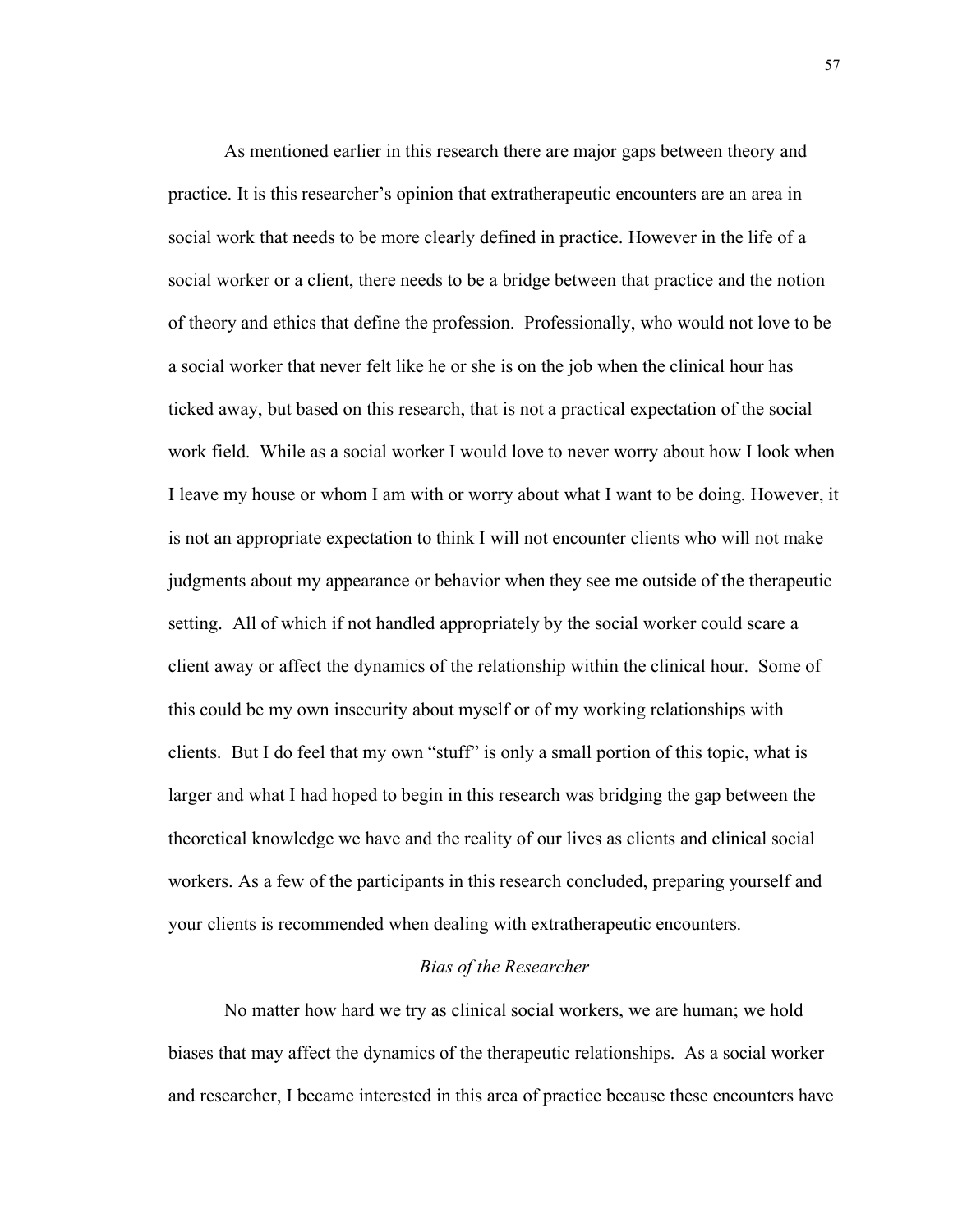As mentioned earlier in this research there are major gaps between theory and practice. It is this researcher's opinion that extratherapeutic encounters are an area in social work that needs to be more clearly defined in practice. However in the life of a social worker or a client, there needs to be a bridge between that practice and the notion of theory and ethics that define the profession. Professionally, who would not love to be a social worker that never felt like he or she is on the job when the clinical hour has ticked away, but based on this research, that is not a practical expectation of the social work field. While as a social worker I would love to never worry about how I look when I leave my house or whom I am with or worry about what I want to be doing. However, it is not an appropriate expectation to think I will not encounter clients who will not make judgments about my appearance or behavior when they see me outside of the therapeutic setting. All of which if not handled appropriately by the social worker could scare a client away or affect the dynamics of the relationship within the clinical hour. Some of this could be my own insecurity about myself or of my working relationships with clients. But I do feel that my own "stuff" is only a small portion of this topic, what is larger and what I had hoped to begin in this research was bridging the gap between the theoretical knowledge we have and the reality of our lives as clients and clinical social workers. As a few of the participants in this research concluded, preparing yourself and your clients is recommended when dealing with extratherapeutic encounters.

## *Bias of the Researcher*

No matter how hard we try as clinical social workers, we are human; we hold biases that may affect the dynamics of the therapeutic relationships. As a social worker and researcher, I became interested in this area of practice because these encounters have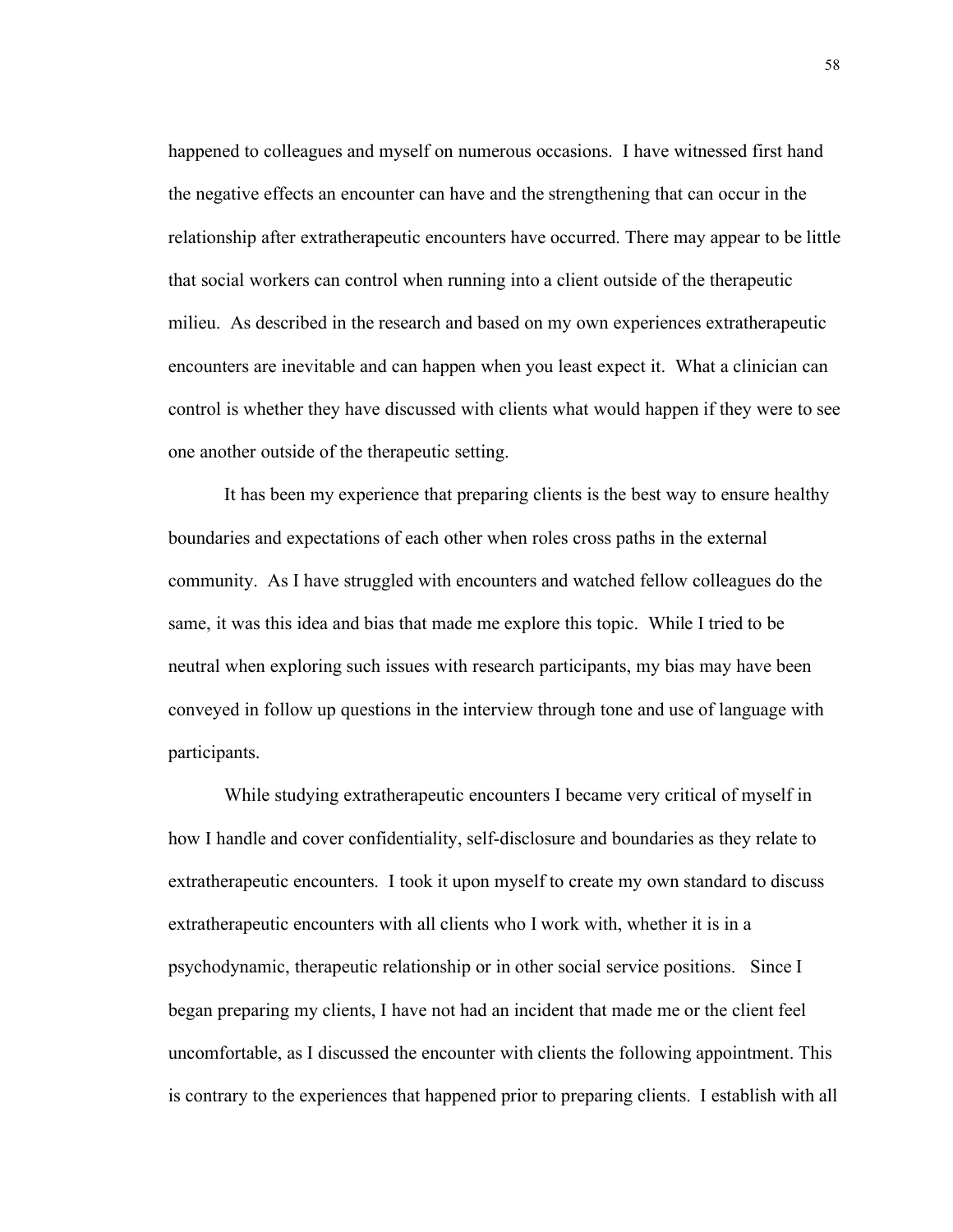happened to colleagues and myself on numerous occasions. I have witnessed first hand the negative effects an encounter can have and the strengthening that can occur in the relationship after extratherapeutic encounters have occurred. There may appear to be little that social workers can control when running into a client outside of the therapeutic milieu. As described in the research and based on my own experiences extratherapeutic encounters are inevitable and can happen when you least expect it. What a clinician can control is whether they have discussed with clients what would happen if they were to see one another outside of the therapeutic setting.

It has been my experience that preparing clients is the best way to ensure healthy boundaries and expectations of each other when roles cross paths in the external community. As I have struggled with encounters and watched fellow colleagues do the same, it was this idea and bias that made me explore this topic. While I tried to be neutral when exploring such issues with research participants, my bias may have been conveyed in follow up questions in the interview through tone and use of language with participants.

While studying extratherapeutic encounters I became very critical of myself in how I handle and cover confidentiality, self-disclosure and boundaries as they relate to extratherapeutic encounters. I took it upon myself to create my own standard to discuss extratherapeutic encounters with all clients who I work with, whether it is in a psychodynamic, therapeutic relationship or in other social service positions. Since I began preparing my clients, I have not had an incident that made me or the client feel uncomfortable, as I discussed the encounter with clients the following appointment. This is contrary to the experiences that happened prior to preparing clients. I establish with all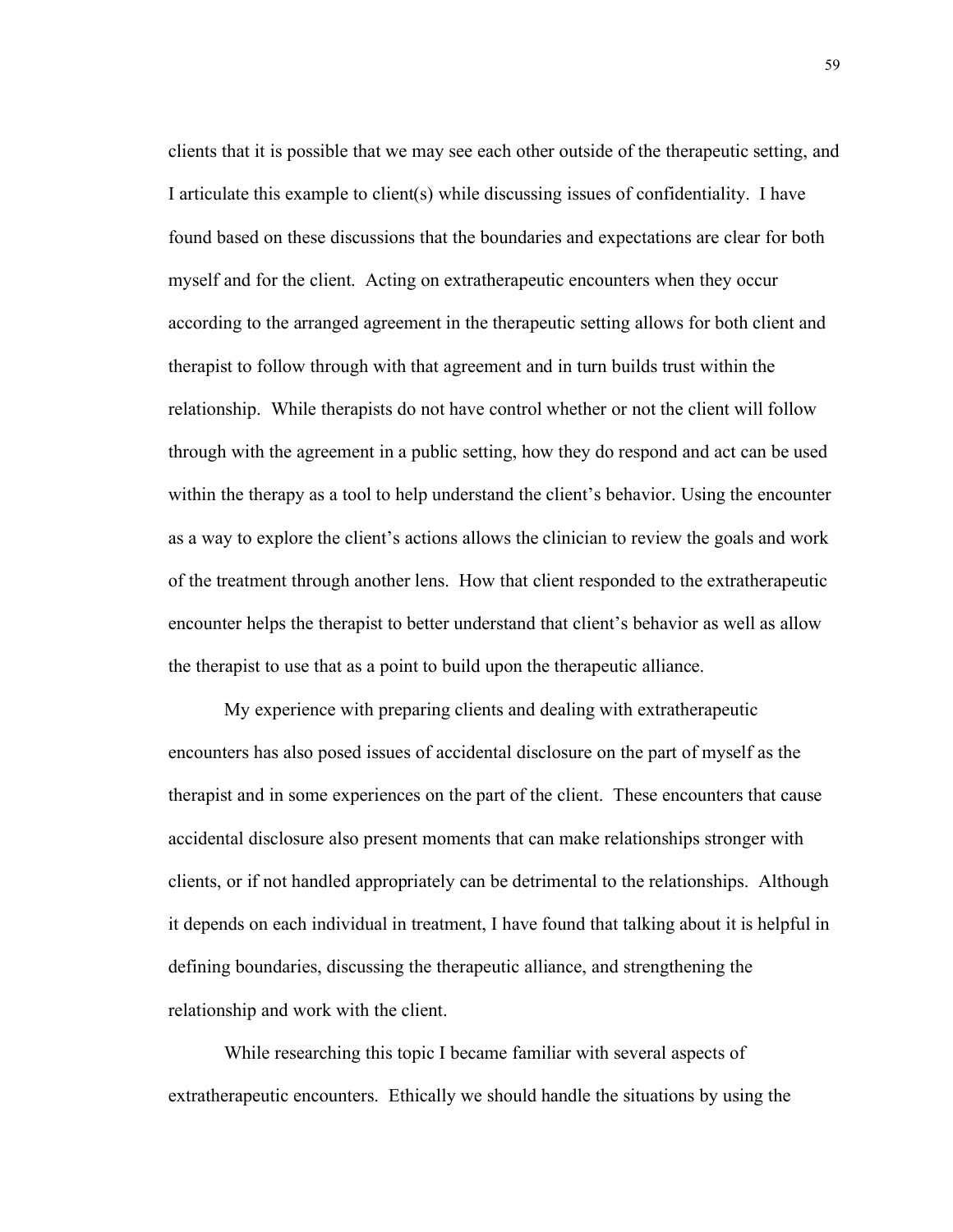clients that it is possible that we may see each other outside of the therapeutic setting, and I articulate this example to client(s) while discussing issues of confidentiality. I have found based on these discussions that the boundaries and expectations are clear for both myself and for the client. Acting on extratherapeutic encounters when they occur according to the arranged agreement in the therapeutic setting allows for both client and therapist to follow through with that agreement and in turn builds trust within the relationship. While therapists do not have control whether or not the client will follow through with the agreement in a public setting, how they do respond and act can be used within the therapy as a tool to help understand the client's behavior. Using the encounter as a way to explore the client's actions allows the clinician to review the goals and work of the treatment through another lens. How that client responded to the extratherapeutic encounter helps the therapist to better understand that client's behavior as well as allow the therapist to use that as a point to build upon the therapeutic alliance.

My experience with preparing clients and dealing with extratherapeutic encounters has also posed issues of accidental disclosure on the part of myself as the therapist and in some experiences on the part of the client. These encounters that cause accidental disclosure also present moments that can make relationships stronger with clients, or if not handled appropriately can be detrimental to the relationships. Although it depends on each individual in treatment, I have found that talking about it is helpful in defining boundaries, discussing the therapeutic alliance, and strengthening the relationship and work with the client.

While researching this topic I became familiar with several aspects of extratherapeutic encounters. Ethically we should handle the situations by using the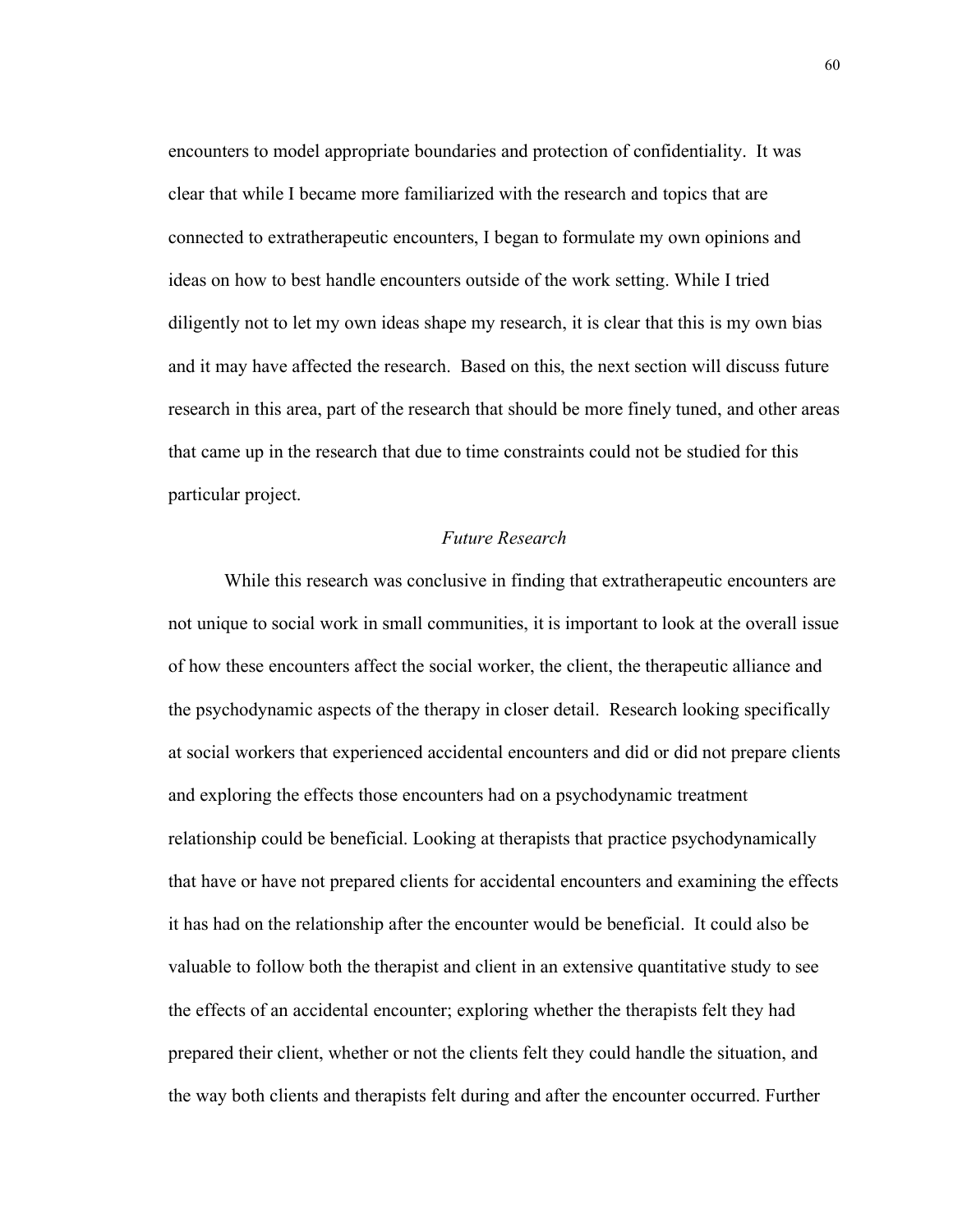encounters to model appropriate boundaries and protection of confidentiality. It was clear that while I became more familiarized with the research and topics that are connected to extratherapeutic encounters, I began to formulate my own opinions and ideas on how to best handle encounters outside of the work setting. While I tried diligently not to let my own ideas shape my research, it is clear that this is my own bias and it may have affected the research. Based on this, the next section will discuss future research in this area, part of the research that should be more finely tuned, and other areas that came up in the research that due to time constraints could not be studied for this particular project.

## *Future Research*

While this research was conclusive in finding that extratherapeutic encounters are not unique to social work in small communities, it is important to look at the overall issue of how these encounters affect the social worker, the client, the therapeutic alliance and the psychodynamic aspects of the therapy in closer detail. Research looking specifically at social workers that experienced accidental encounters and did or did not prepare clients and exploring the effects those encounters had on a psychodynamic treatment relationship could be beneficial. Looking at therapists that practice psychodynamically that have or have not prepared clients for accidental encounters and examining the effects it has had on the relationship after the encounter would be beneficial. It could also be valuable to follow both the therapist and client in an extensive quantitative study to see the effects of an accidental encounter; exploring whether the therapists felt they had prepared their client, whether or not the clients felt they could handle the situation, and the way both clients and therapists felt during and after the encounter occurred. Further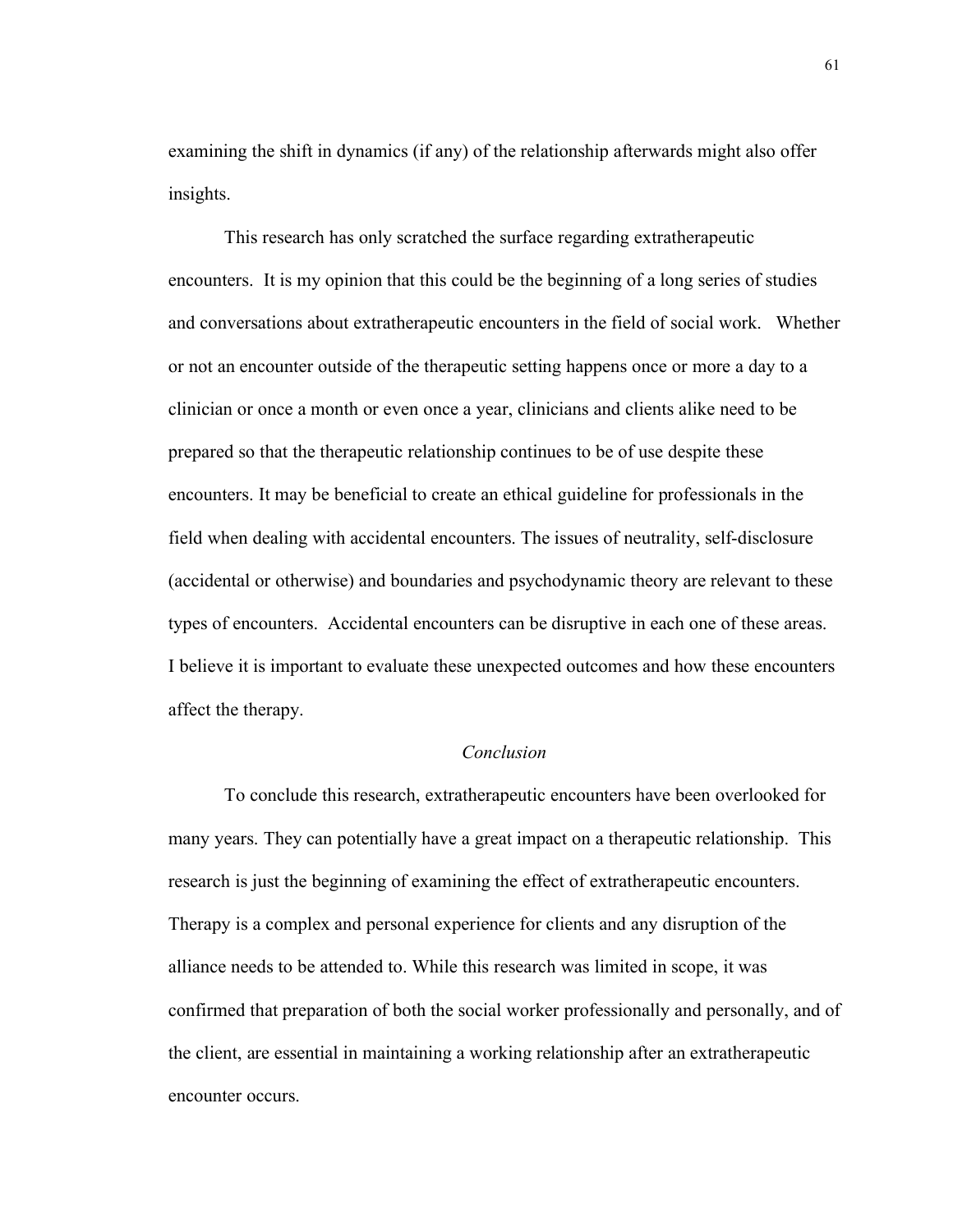examining the shift in dynamics (if any) of the relationship afterwards might also offer insights.

This research has only scratched the surface regarding extratherapeutic encounters. It is my opinion that this could be the beginning of a long series of studies and conversations about extratherapeutic encounters in the field of social work. Whether or not an encounter outside of the therapeutic setting happens once or more a day to a clinician or once a month or even once a year, clinicians and clients alike need to be prepared so that the therapeutic relationship continues to be of use despite these encounters. It may be beneficial to create an ethical guideline for professionals in the field when dealing with accidental encounters. The issues of neutrality, self-disclosure (accidental or otherwise) and boundaries and psychodynamic theory are relevant to these types of encounters. Accidental encounters can be disruptive in each one of these areas. I believe it is important to evaluate these unexpected outcomes and how these encounters affect the therapy.

## *Conclusion*

To conclude this research, extratherapeutic encounters have been overlooked for many years. They can potentially have a great impact on a therapeutic relationship. This research is just the beginning of examining the effect of extratherapeutic encounters. Therapy is a complex and personal experience for clients and any disruption of the alliance needs to be attended to. While this research was limited in scope, it was confirmed that preparation of both the social worker professionally and personally, and of the client, are essential in maintaining a working relationship after an extratherapeutic encounter occurs.

61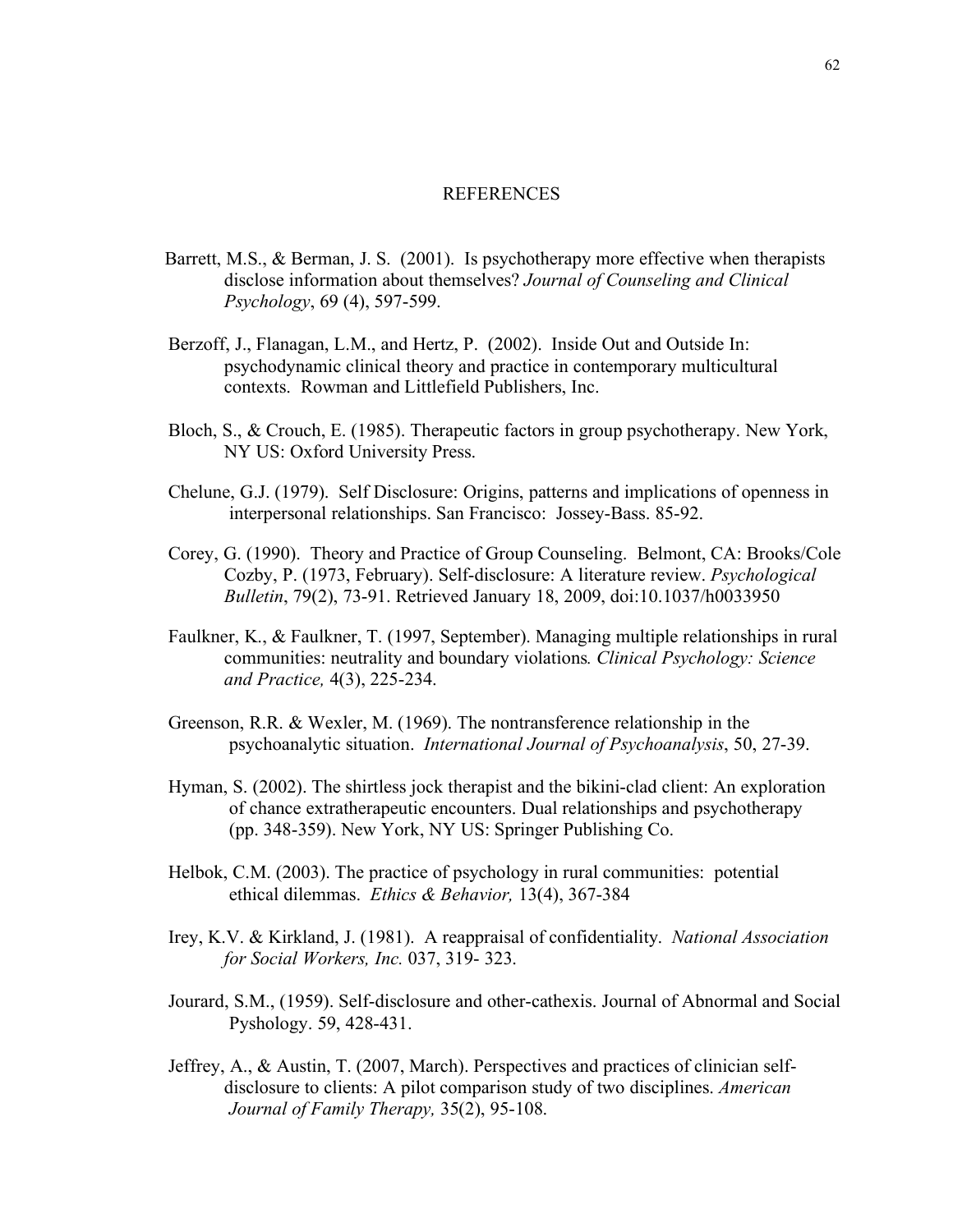#### REFERENCES

- Barrett, M.S., & Berman, J. S. (2001). Is psychotherapy more effective when therapists disclose information about themselves? *Journal of Counseling and Clinical Psychology*, 69 (4), 597-599.
- Berzoff, J., Flanagan, L.M., and Hertz, P. (2002). Inside Out and Outside In: psychodynamic clinical theory and practice in contemporary multicultural contexts. Rowman and Littlefield Publishers, Inc.
- Bloch, S., & Crouch, E. (1985). Therapeutic factors in group psychotherapy. New York, NY US: Oxford University Press.
- Chelune, G.J. (1979). Self Disclosure: Origins, patterns and implications of openness in interpersonal relationships. San Francisco: Jossey-Bass. 85-92.
- Corey, G. (1990). Theory and Practice of Group Counseling. Belmont, CA: Brooks/Cole Cozby, P. (1973, February). Self-disclosure: A literature review. *Psychological Bulletin*, 79(2), 73-91. Retrieved January 18, 2009, doi:10.1037/h0033950
- Faulkner, K., & Faulkner, T. (1997, September). Managing multiple relationships in rural communities: neutrality and boundary violations*. Clinical Psychology: Science and Practice,* 4(3), 225-234.
- Greenson, R.R. & Wexler, M. (1969). The nontransference relationship in the psychoanalytic situation. *International Journal of Psychoanalysis*, 50, 27-39.
- Hyman, S. (2002). The shirtless jock therapist and the bikini-clad client: An exploration of chance extratherapeutic encounters. Dual relationships and psychotherapy (pp. 348-359). New York, NY US: Springer Publishing Co.
- Helbok, C.M. (2003). The practice of psychology in rural communities: potential ethical dilemmas. *Ethics & Behavior,* 13(4), 367-384
- Irey, K.V. & Kirkland, J. (1981). A reappraisal of confidentiality. *National Association for Social Workers, Inc.* 037, 319- 323.
- Jourard, S.M., (1959). Self-disclosure and other-cathexis. Journal of Abnormal and Social Pyshology. 59, 428-431.
- Jeffrey, A., & Austin, T. (2007, March). Perspectives and practices of clinician selfdisclosure to clients: A pilot comparison study of two disciplines. *American Journal of Family Therapy,* 35(2), 95-108.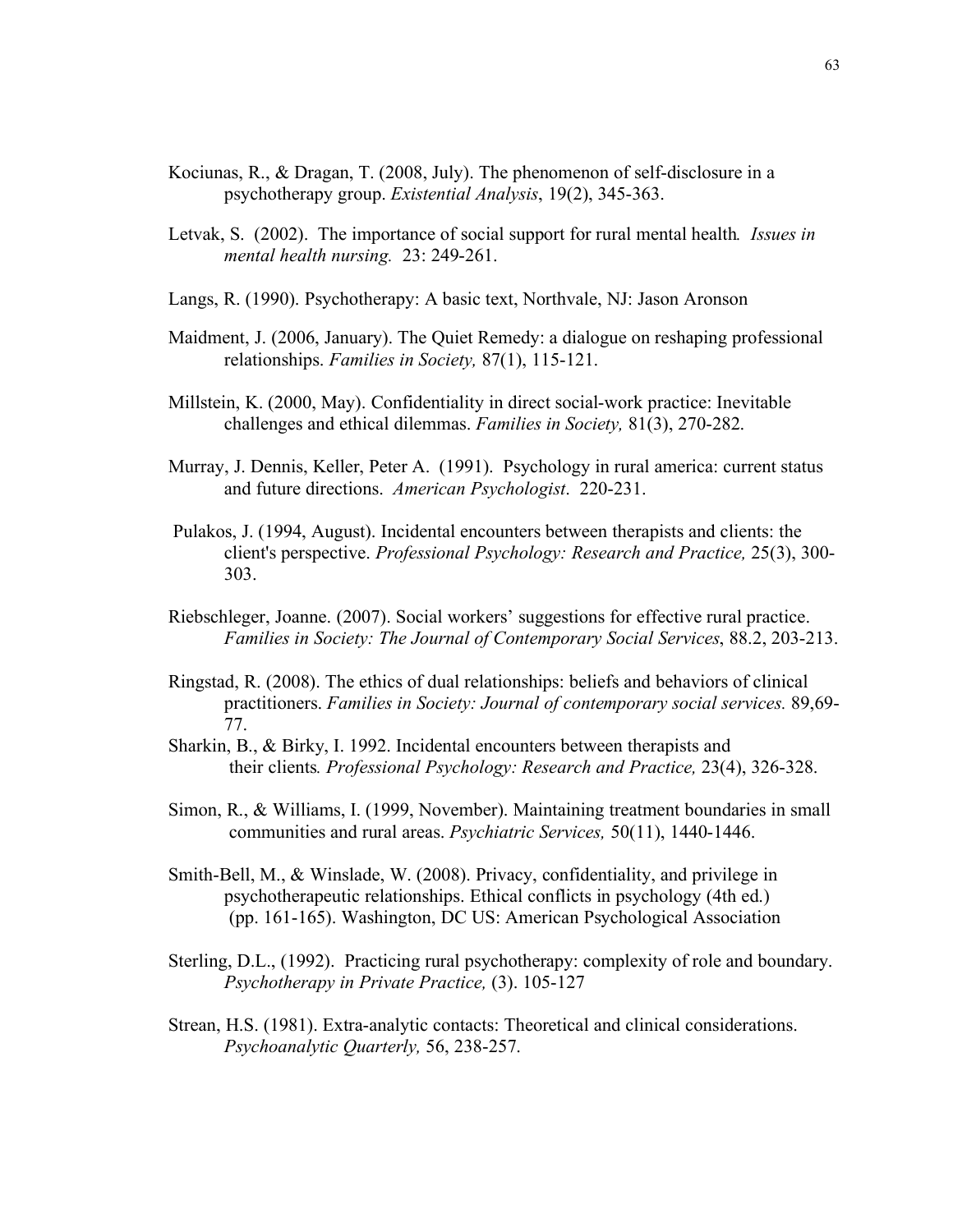- Kociunas, R., & Dragan, T. (2008, July). The phenomenon of self-disclosure in a psychotherapy group. *Existential Analysis*, 19(2), 345-363.
- Letvak, S. (2002). The importance of social support for rural mental health*. Issues in mental health nursing.* 23: 249-261.
- Langs, R. (1990). Psychotherapy: A basic text, Northvale, NJ: Jason Aronson
- Maidment, J. (2006, January). The Quiet Remedy: a dialogue on reshaping professional relationships. *Families in Society,* 87(1), 115-121.
- Millstein, K. (2000, May). Confidentiality in direct social-work practice: Inevitable challenges and ethical dilemmas. *Families in Society,* 81(3), 270-282.
- Murray, J. Dennis, Keller, Peter A. (1991). Psychology in rural america: current status and future directions. *American Psychologist*. 220-231.
- Pulakos, J. (1994, August). Incidental encounters between therapists and clients: the client's perspective. *Professional Psychology: Research and Practice,* 25(3), 300- 303.
- Riebschleger, Joanne. (2007). Social workers' suggestions for effective rural practice. *Families in Society: The Journal of Contemporary Social Services*, 88.2, 203-213.
- Ringstad, R. (2008). The ethics of dual relationships: beliefs and behaviors of clinical practitioners. *Families in Society: Journal of contemporary social services.* 89,69- 77.
- Sharkin, B., & Birky, I. 1992. Incidental encounters between therapists and their clients*. Professional Psychology: Research and Practice,* 23(4), 326-328.
- Simon, R., & Williams, I. (1999, November). Maintaining treatment boundaries in small communities and rural areas. *Psychiatric Services,* 50(11), 1440-1446.
- Smith-Bell, M., & Winslade, W. (2008). Privacy, confidentiality, and privilege in psychotherapeutic relationships. Ethical conflicts in psychology (4th ed.) (pp. 161-165). Washington, DC US: American Psychological Association
- Sterling, D.L., (1992). Practicing rural psychotherapy: complexity of role and boundary. *Psychotherapy in Private Practice,* (3). 105-127
- Strean, H.S. (1981). Extra-analytic contacts: Theoretical and clinical considerations. *Psychoanalytic Quarterly,* 56, 238-257.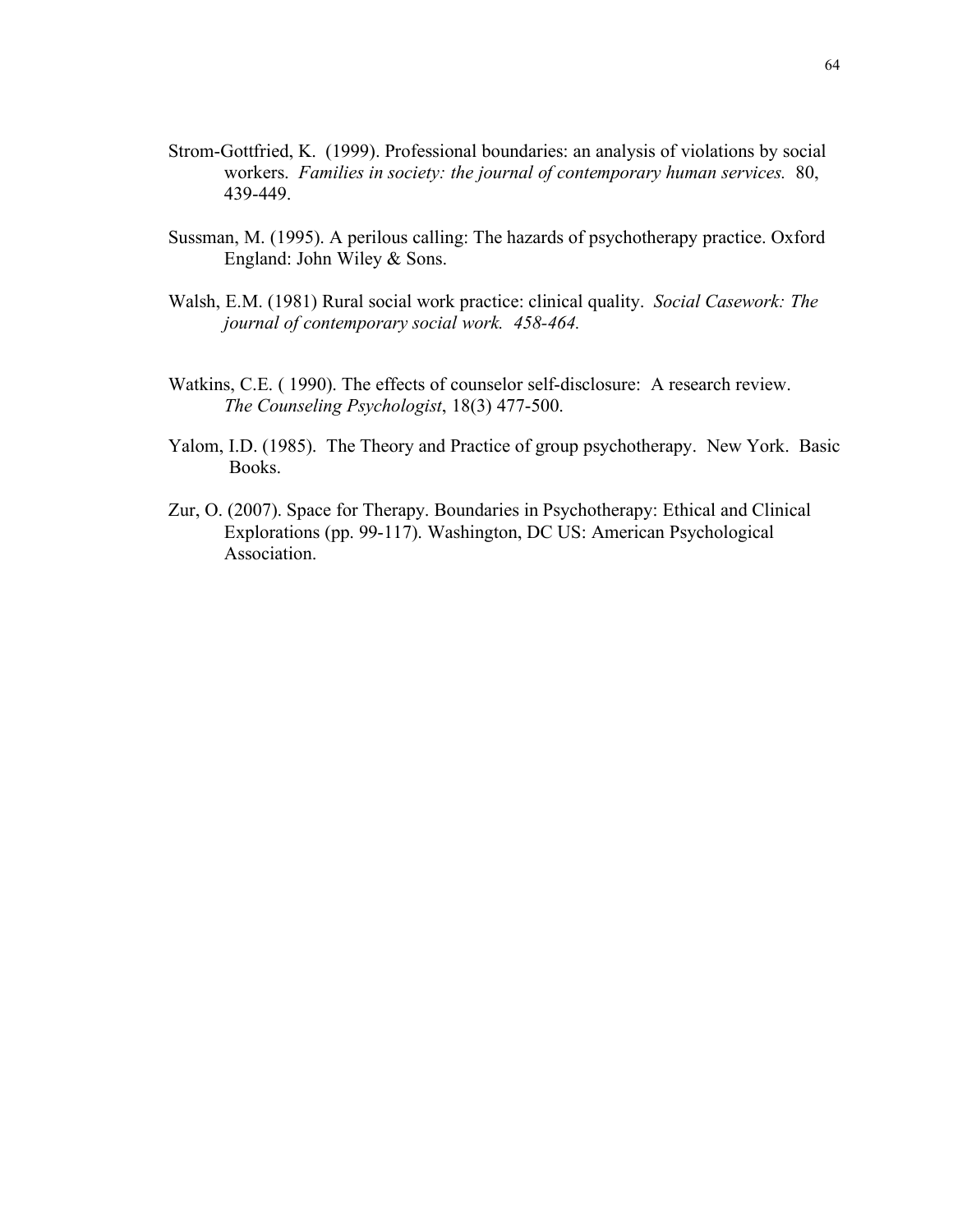- Strom-Gottfried, K. (1999). Professional boundaries: an analysis of violations by social workers. *Families in society: the journal of contemporary human services.* 80, 439-449.
- Sussman, M. (1995). A perilous calling: The hazards of psychotherapy practice. Oxford England: John Wiley & Sons.
- Walsh, E.M. (1981) Rural social work practice: clinical quality. *Social Casework: The journal of contemporary social work. 458-464.*
- Watkins, C.E. ( 1990). The effects of counselor self-disclosure: A research review. *The Counseling Psychologist*, 18(3) 477-500.
- Yalom, I.D. (1985). The Theory and Practice of group psychotherapy. New York. Basic Books.
- Zur, O. (2007). Space for Therapy. Boundaries in Psychotherapy: Ethical and Clinical Explorations (pp. 99-117). Washington, DC US: American Psychological Association.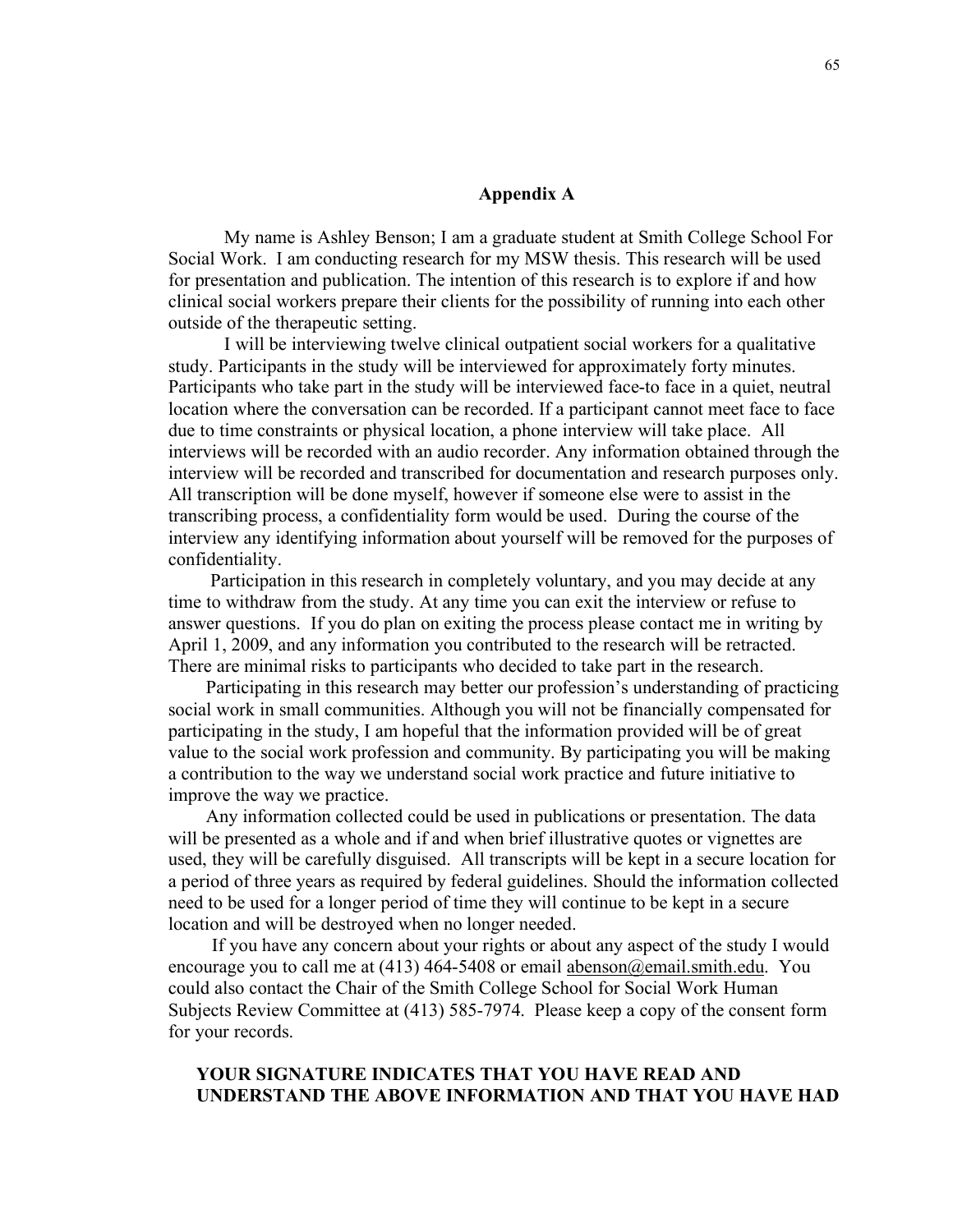#### **Appendix A**

My name is Ashley Benson; I am a graduate student at Smith College School For Social Work. I am conducting research for my MSW thesis. This research will be used for presentation and publication. The intention of this research is to explore if and how clinical social workers prepare their clients for the possibility of running into each other outside of the therapeutic setting.

I will be interviewing twelve clinical outpatient social workers for a qualitative study. Participants in the study will be interviewed for approximately forty minutes. Participants who take part in the study will be interviewed face-to face in a quiet, neutral location where the conversation can be recorded. If a participant cannot meet face to face due to time constraints or physical location, a phone interview will take place. All interviews will be recorded with an audio recorder. Any information obtained through the interview will be recorded and transcribed for documentation and research purposes only. All transcription will be done myself, however if someone else were to assist in the transcribing process, a confidentiality form would be used. During the course of the interview any identifying information about yourself will be removed for the purposes of confidentiality.

 Participation in this research in completely voluntary, and you may decide at any time to withdraw from the study. At any time you can exit the interview or refuse to answer questions. If you do plan on exiting the process please contact me in writing by April 1, 2009, and any information you contributed to the research will be retracted. There are minimal risks to participants who decided to take part in the research.

 Participating in this research may better our profession's understanding of practicing social work in small communities. Although you will not be financially compensated for participating in the study, I am hopeful that the information provided will be of great value to the social work profession and community. By participating you will be making a contribution to the way we understand social work practice and future initiative to improve the way we practice.

 Any information collected could be used in publications or presentation. The data will be presented as a whole and if and when brief illustrative quotes or vignettes are used, they will be carefully disguised. All transcripts will be kept in a secure location for a period of three years as required by federal guidelines. Should the information collected need to be used for a longer period of time they will continue to be kept in a secure location and will be destroyed when no longer needed.

If you have any concern about your rights or about any aspect of the study I would encourage you to call me at  $(413)$  464-5408 or email abenson $@$ email.smith.edu. You could also contact the Chair of the Smith College School for Social Work Human Subjects Review Committee at (413) 585-7974. Please keep a copy of the consent form for your records.

## **YOUR SIGNATURE INDICATES THAT YOU HAVE READ AND UNDERSTAND THE ABOVE INFORMATION AND THAT YOU HAVE HAD**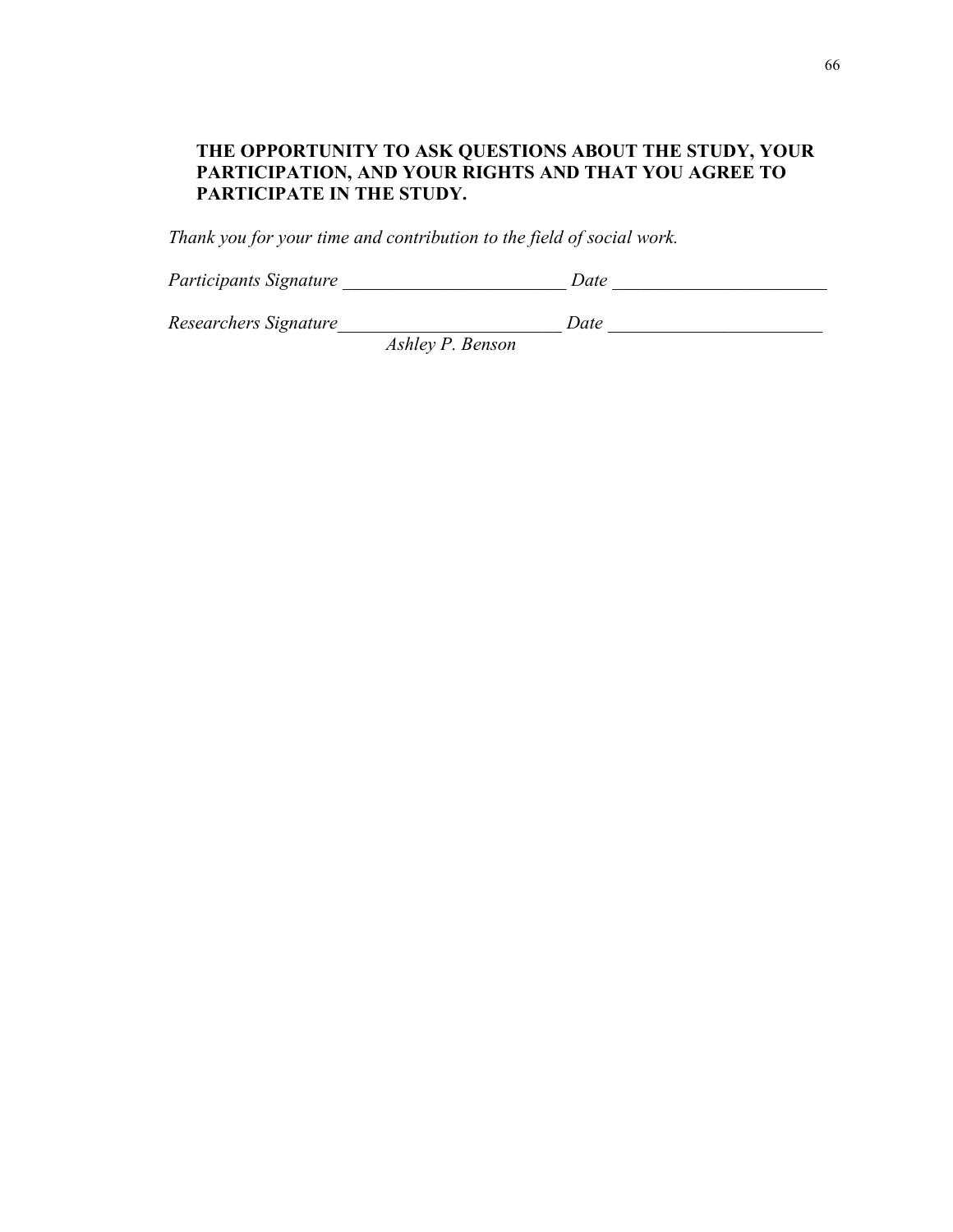# **THE OPPORTUNITY TO ASK QUESTIONS ABOUT THE STUDY, YOUR PARTICIPATION, AND YOUR RIGHTS AND THAT YOU AGREE TO PARTICIPATE IN THE STUDY.**

*Thank you for your time and contribution to the field of social work.* 

*Participants Signature \_\_\_\_\_\_\_\_\_\_\_\_\_\_\_\_\_\_\_\_\_\_\_\_ Date \_\_\_\_\_\_\_\_\_\_\_\_\_\_\_\_\_\_\_\_\_\_\_*

*Researchers Signature\_\_\_\_\_\_\_\_\_\_\_\_\_\_\_\_\_\_\_\_\_\_\_\_ Date \_\_\_\_\_\_\_\_\_\_\_\_\_\_\_\_\_\_\_\_\_\_\_*

*Ashley P. Benson*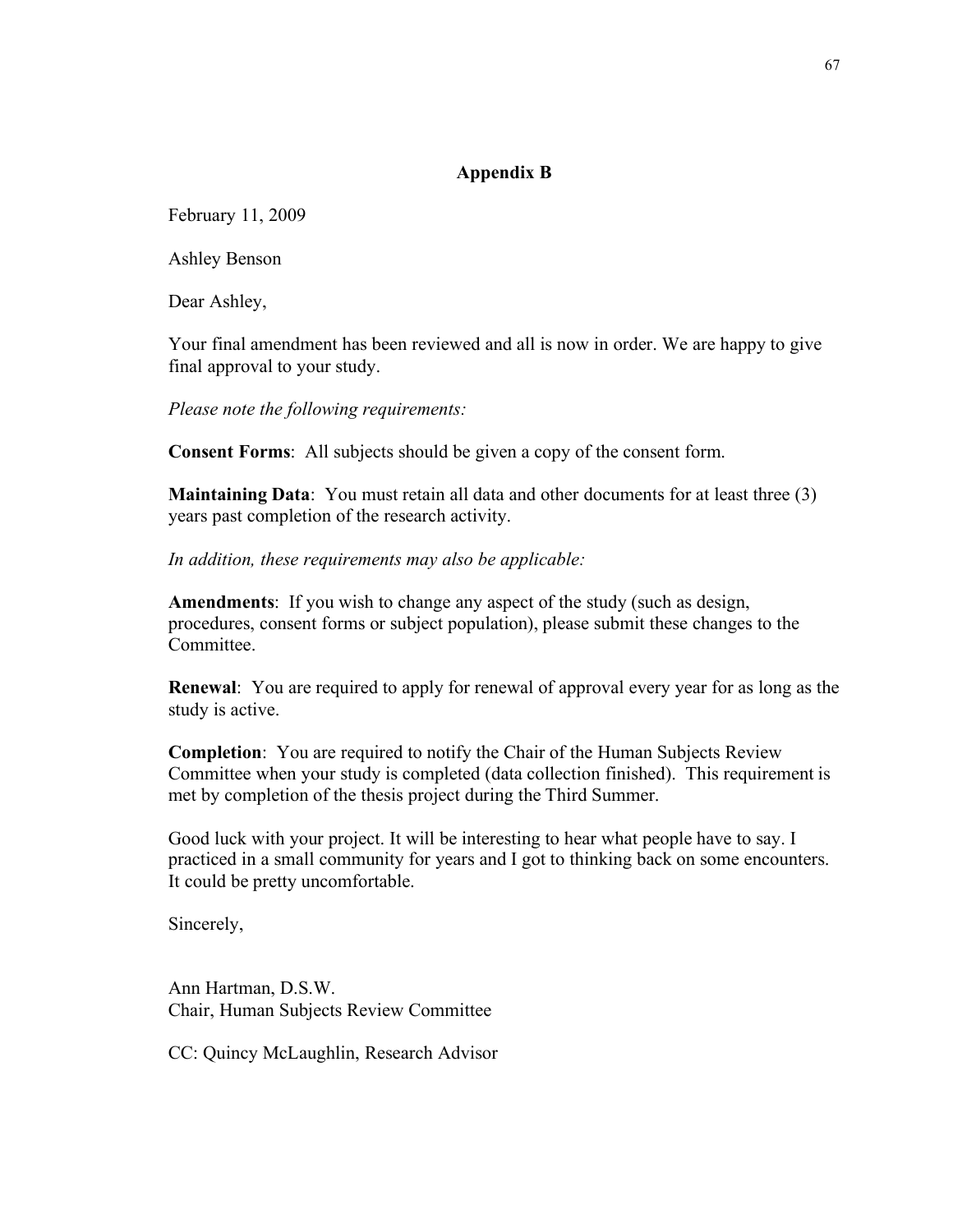## **Appendix B**

February 11, 2009

Ashley Benson

Dear Ashley,

Your final amendment has been reviewed and all is now in order. We are happy to give final approval to your study.

*Please note the following requirements:*

**Consent Forms**: All subjects should be given a copy of the consent form.

**Maintaining Data**: You must retain all data and other documents for at least three (3) years past completion of the research activity.

*In addition, these requirements may also be applicable:*

**Amendments**: If you wish to change any aspect of the study (such as design, procedures, consent forms or subject population), please submit these changes to the **Committee** 

**Renewal**: You are required to apply for renewal of approval every year for as long as the study is active.

**Completion**: You are required to notify the Chair of the Human Subjects Review Committee when your study is completed (data collection finished). This requirement is met by completion of the thesis project during the Third Summer.

Good luck with your project. It will be interesting to hear what people have to say. I practiced in a small community for years and I got to thinking back on some encounters. It could be pretty uncomfortable.

Sincerely,

Ann Hartman, D.S.W. Chair, Human Subjects Review Committee

CC: Quincy McLaughlin, Research Advisor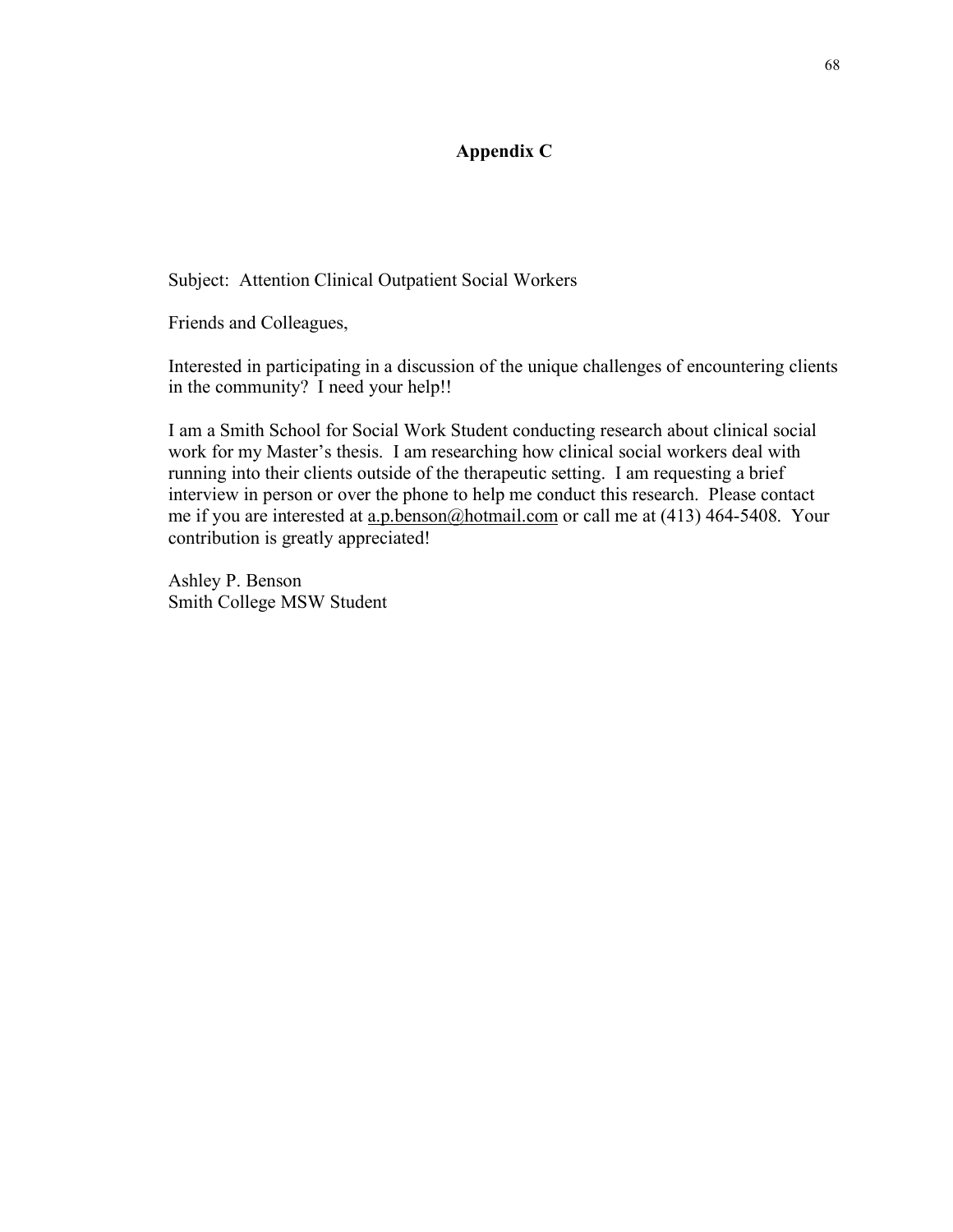## **Appendix C**

Subject: Attention Clinical Outpatient Social Workers

Friends and Colleagues,

Interested in participating in a discussion of the unique challenges of encountering clients in the community? I need your help!!

I am a Smith School for Social Work Student conducting research about clinical social work for my Master's thesis. I am researching how clinical social workers deal with running into their clients outside of the therapeutic setting. I am requesting a brief interview in person or over the phone to help me conduct this research. Please contact me if you are interested at a.p.benson@hotmail.com or call me at (413) 464-5408. Your contribution is greatly appreciated!

Ashley P. Benson Smith College MSW Student